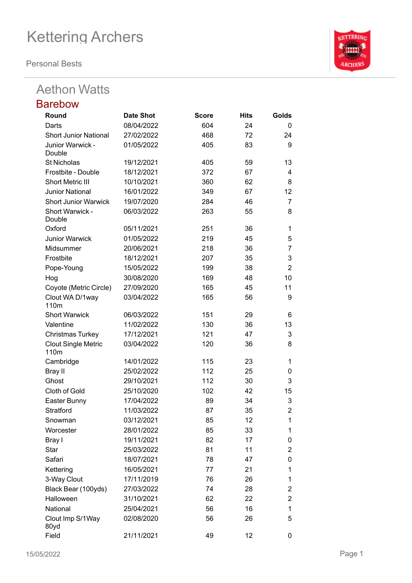**Personal Bests**

### Aethon Watts

#### Barebow **Round Date Shot Score Hits Golds** Darts 08/04/2022 604 24 0 Short Junior National 27/02/2022 468 72 24 Junior Warwick - Double 01/05/2022 405 83 9 St Nicholas 19/12/2021 405 59 13 Frostbite - Double 18/12/2021 372 67 4 Short Metric III 10/10/2021 360 62 8 Junior National 16/01/2022 349 67 12 Short Junior Warwick 19/07/2020 284 46 7 Short Warwick - Double 06/03/2022 263 55 8 Oxford 05/11/2021 251 36 1 Junior Warwick 01/05/2022 219 45 5 Midsummer 20/06/2021 218 36 7 Frostbite 18/12/2021 207 35 3 Pope-Young 15/05/2022 199 38 2 Hog 30/08/2020 169 48 10 Coyote (Metric Circle) 27/09/2020 165 45 11 Clout WA D/1way 110m 03/04/2022 165 56 9 Short Warwick 06/03/2022 151 29 6 Valentine 11/02/2022 130 36 13 Christmas Turkey 17/12/2021 121 47 3 Clout Single Metric 110m 03/04/2022 120 36 8 Cambridge 14/01/2022 115 23 1 Bray II 25/02/2022 112 25 0 Ghost 29/10/2021 112 30 3 Cloth of Gold 25/10/2020 102 42 15 Easter Bunny 17/04/2022 89 34 3 Stratford 11/03/2022 87 35 2 Snowman 03/12/2021 85 12 1 Worcester 28/01/2022 85 33 1 Bray I 19/11/2021 82 17 0 Star 25/03/2022 81 11 2 Safari 18/07/2021 78 47 0 Kettering 16/05/2021 77 21 1 3-Way Clout 17/11/2019 76 26 1 Black Bear (100yds) 27/03/2022 74 28 2 Halloween 31/10/2021 62 22 2 National 25/04/2021 56 16 1 Clout Imp S/1Way 80yd 02/08/2020 56 26 5

Field 21/11/2021 49 12 0

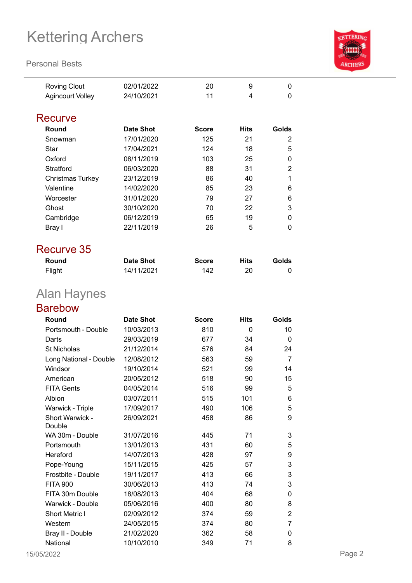#### **Personal Bests**



| Roving Clout     | 02/01/2022 | 20 |  |
|------------------|------------|----|--|
| Agincourt Volley | 24/10/2021 |    |  |

#### **Recurve**

| <b>Date Shot</b> | <b>Score</b> | <b>Hits</b> | Golds    |
|------------------|--------------|-------------|----------|
| 17/01/2020       | 125          | 21          | 2        |
| 17/04/2021       | 124          | 18          | 5        |
| 08/11/2019       | 103          | 25          | 0        |
| 06/03/2020       | 88           | 31          | 2        |
| 23/12/2019       | 86           | 40          |          |
| 14/02/2020       | 85           | 23          | 6        |
| 31/01/2020       | 79           | 27          | 6        |
| 30/10/2020       | 70           | 22          | 3        |
| 06/12/2019       | 65           | 19          | $\Omega$ |
| 22/11/2019       | 26           | 5           | 0        |
|                  |              |             |          |

### Recurve 35

| Round  | Date Shot  | <b>Score</b> | Hits | Golds |
|--------|------------|--------------|------|-------|
| Flight | 14/11/2021 | 142          |      |       |

## Alan Haynes

### Barebow

| Portsmouth - Double<br>10/03/2013<br>810<br>0<br>10<br>29/03/2019<br>677<br>34<br>Darts<br>0<br>21/12/2014<br><b>St Nicholas</b><br>576<br>84<br>24<br>Long National - Double<br>12/08/2012<br>563<br>59<br>7<br>19/10/2014<br>521<br>Windsor<br>99<br>14<br>20/05/2012<br>American<br>518<br>90<br>15<br><b>FITA Gents</b><br>04/05/2014<br>516<br>5<br>99<br>03/07/2011<br>Albion<br>101<br>515<br>6<br>17/09/2017<br>490<br>106<br>5<br>Warwick - Triple<br>Short Warwick -<br>26/09/2021<br>458<br>86<br>9<br>Double | Round | <b>Date Shot</b> | <b>Score</b> | <b>Hits</b> | Golds |
|--------------------------------------------------------------------------------------------------------------------------------------------------------------------------------------------------------------------------------------------------------------------------------------------------------------------------------------------------------------------------------------------------------------------------------------------------------------------------------------------------------------------------|-------|------------------|--------------|-------------|-------|
|                                                                                                                                                                                                                                                                                                                                                                                                                                                                                                                          |       |                  |              |             |       |
|                                                                                                                                                                                                                                                                                                                                                                                                                                                                                                                          |       |                  |              |             |       |
|                                                                                                                                                                                                                                                                                                                                                                                                                                                                                                                          |       |                  |              |             |       |
|                                                                                                                                                                                                                                                                                                                                                                                                                                                                                                                          |       |                  |              |             |       |
|                                                                                                                                                                                                                                                                                                                                                                                                                                                                                                                          |       |                  |              |             |       |
|                                                                                                                                                                                                                                                                                                                                                                                                                                                                                                                          |       |                  |              |             |       |
|                                                                                                                                                                                                                                                                                                                                                                                                                                                                                                                          |       |                  |              |             |       |
|                                                                                                                                                                                                                                                                                                                                                                                                                                                                                                                          |       |                  |              |             |       |
|                                                                                                                                                                                                                                                                                                                                                                                                                                                                                                                          |       |                  |              |             |       |
|                                                                                                                                                                                                                                                                                                                                                                                                                                                                                                                          |       |                  |              |             |       |
|                                                                                                                                                                                                                                                                                                                                                                                                                                                                                                                          |       |                  |              |             |       |
| 31/07/2016<br>71<br>3<br>WA 30m - Double<br>445                                                                                                                                                                                                                                                                                                                                                                                                                                                                          |       |                  |              |             |       |
| 13/01/2013<br>431<br>60<br>5<br>Portsmouth                                                                                                                                                                                                                                                                                                                                                                                                                                                                               |       |                  |              |             |       |
| Hereford<br>14/07/2013<br>428<br>97<br>9                                                                                                                                                                                                                                                                                                                                                                                                                                                                                 |       |                  |              |             |       |
| 3<br>Pope-Young<br>15/11/2015<br>425<br>57                                                                                                                                                                                                                                                                                                                                                                                                                                                                               |       |                  |              |             |       |
| 3<br>19/11/2017<br>413<br>Frostbite - Double<br>66                                                                                                                                                                                                                                                                                                                                                                                                                                                                       |       |                  |              |             |       |
| 3<br>30/06/2013<br>413<br><b>FITA 900</b><br>74                                                                                                                                                                                                                                                                                                                                                                                                                                                                          |       |                  |              |             |       |
| FITA 30m Double<br>18/08/2013<br>404<br>68<br>0                                                                                                                                                                                                                                                                                                                                                                                                                                                                          |       |                  |              |             |       |
| 05/06/2016<br>400<br>8<br>Warwick - Double<br>80                                                                                                                                                                                                                                                                                                                                                                                                                                                                         |       |                  |              |             |       |
| 02/09/2012<br>2<br><b>Short Metric I</b><br>374<br>59                                                                                                                                                                                                                                                                                                                                                                                                                                                                    |       |                  |              |             |       |
| 24/05/2015<br>Western<br>374<br>80<br>7                                                                                                                                                                                                                                                                                                                                                                                                                                                                                  |       |                  |              |             |       |
| Bray II - Double<br>21/02/2020<br>362<br>58<br>0                                                                                                                                                                                                                                                                                                                                                                                                                                                                         |       |                  |              |             |       |
| National<br>10/10/2010<br>349<br>71<br>8                                                                                                                                                                                                                                                                                                                                                                                                                                                                                 |       |                  |              |             |       |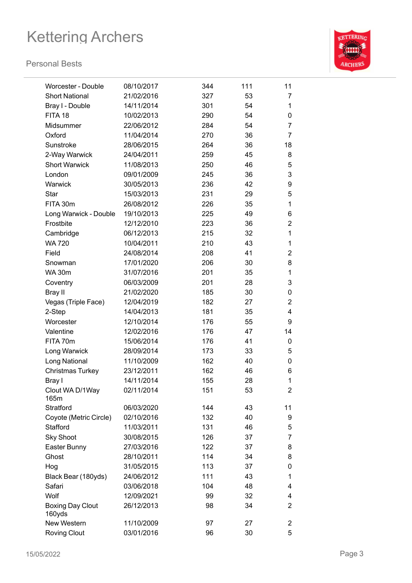

| Worcester - Double                | 08/10/2017 | 344 | 111 | 11             |
|-----------------------------------|------------|-----|-----|----------------|
| <b>Short National</b>             | 21/02/2016 | 327 | 53  | 7              |
| Bray I - Double                   | 14/11/2014 | 301 | 54  | 1              |
| FITA 18                           | 10/02/2013 | 290 | 54  | 0              |
| Midsummer                         | 22/06/2012 | 284 | 54  | 7              |
| Oxford                            | 11/04/2014 | 270 | 36  | 7              |
| Sunstroke                         | 28/06/2015 | 264 | 36  | 18             |
| 2-Way Warwick                     | 24/04/2011 | 259 | 45  | 8              |
| <b>Short Warwick</b>              | 11/08/2013 | 250 | 46  | 5              |
| London                            | 09/01/2009 | 245 | 36  | 3              |
| Warwick                           | 30/05/2013 | 236 | 42  | 9              |
| Star                              | 15/03/2013 | 231 | 29  | 5              |
| FITA 30m                          | 26/08/2012 | 226 | 35  | 1              |
| Long Warwick - Double             | 19/10/2013 | 225 | 49  | 6              |
| Frostbite                         | 12/12/2010 | 223 | 36  | $\overline{2}$ |
| Cambridge                         | 06/12/2013 | 215 | 32  | 1              |
| <b>WA 720</b>                     | 10/04/2011 | 210 | 43  | 1              |
| Field                             | 24/08/2014 | 208 | 41  | 2              |
| Snowman                           | 17/01/2020 | 206 | 30  | 8              |
| <b>WA 30m</b>                     | 31/07/2016 | 201 | 35  | 1              |
| Coventry                          | 06/03/2009 | 201 | 28  | 3              |
| Bray II                           | 21/02/2020 | 185 | 30  | 0              |
| Vegas (Triple Face)               | 12/04/2019 | 182 | 27  | $\overline{2}$ |
| 2-Step                            | 14/04/2013 | 181 | 35  | 4              |
| Worcester                         | 12/10/2014 | 176 | 55  | 9              |
| Valentine                         | 12/02/2016 | 176 | 47  | 14             |
| FITA 70m                          | 15/06/2014 | 176 | 41  | 0              |
| Long Warwick                      | 28/09/2014 | 173 | 33  | 5              |
| Long National                     | 11/10/2009 | 162 | 40  | 0              |
| Christmas Turkey                  | 23/12/2011 | 162 | 46  | 6              |
| Bray I                            | 14/11/2014 | 155 | 28  | 1              |
| Clout WA D/1Way<br>165m           | 02/11/2014 | 151 | 53  | 2              |
| Stratford                         | 06/03/2020 | 144 | 43  | 11             |
| Coyote (Metric Circle)            | 02/10/2016 | 132 | 40  | 9              |
| Stafford                          | 11/03/2011 | 131 | 46  | 5              |
| <b>Sky Shoot</b>                  | 30/08/2015 | 126 | 37  | 7              |
| Easter Bunny                      | 27/03/2016 | 122 | 37  | 8              |
| Ghost                             | 28/10/2011 | 114 | 34  | 8              |
| Hog                               | 31/05/2015 | 113 | 37  | 0              |
| Black Bear (180yds)               | 24/06/2012 | 111 | 43  | 1              |
| Safari                            | 03/06/2018 | 104 | 48  | 4              |
| Wolf                              | 12/09/2021 | 99  | 32  | 4              |
| <b>Boxing Day Clout</b><br>160yds | 26/12/2013 | 98  | 34  | $\overline{2}$ |
| New Western                       | 11/10/2009 | 97  | 27  | $\overline{2}$ |
| <b>Roving Clout</b>               | 03/01/2016 | 96  | 30  | 5              |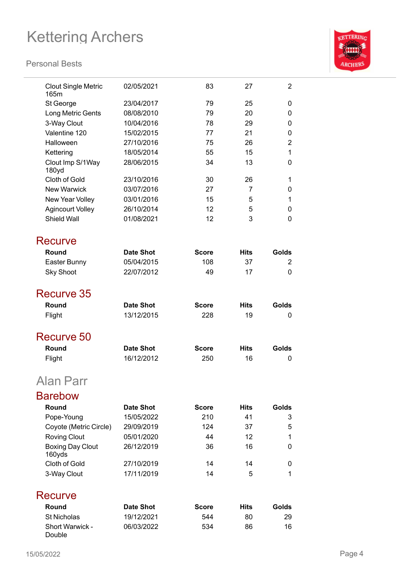

| <b>Clout Single Metric</b><br>165m | 02/05/2021       | 83           | 27          | 2              |
|------------------------------------|------------------|--------------|-------------|----------------|
| St George                          | 23/04/2017       | 79           | 25          | 0              |
| Long Metric Gents                  | 08/08/2010       | 79           | 20          | 0              |
| 3-Way Clout                        | 10/04/2016       | 78           | 29          | 0              |
| Valentine 120                      | 15/02/2015       | 77           | 21          | 0              |
| Halloween                          | 27/10/2016       | 75           | 26          | $\overline{2}$ |
| Kettering                          | 18/05/2014       | 55           | 15          | 1              |
| Clout Imp S/1Way<br>180yd          | 28/06/2015       | 34           | 13          | 0              |
| Cloth of Gold                      | 23/10/2016       | 30           | 26          | 1              |
| <b>New Warwick</b>                 | 03/07/2016       | 27           | 7           | 0              |
| New Year Volley                    | 03/01/2016       | 15           | 5           | 1              |
| <b>Agincourt Volley</b>            | 26/10/2014       | 12           | 5           | 0              |
| <b>Shield Wall</b>                 | 01/08/2021       | 12           | 3           | 0              |
| Recurve                            |                  |              |             |                |
| Round                              | <b>Date Shot</b> | <b>Score</b> | <b>Hits</b> | Golds          |
| Easter Bunny                       | 05/04/2015       | 108          | 37          | 2              |
| <b>Sky Shoot</b>                   | 22/07/2012       | 49           | 17          | 0              |
|                                    |                  |              |             |                |
| Recurve 35                         |                  |              |             |                |
| Round                              | <b>Date Shot</b> | <b>Score</b> | <b>Hits</b> | Golds          |
| Flight                             | 13/12/2015       | 228          | 19          | 0              |
| Recurve 50                         |                  |              |             |                |
| Round                              | Date Shot        | <b>Score</b> | <b>Hits</b> | Golds          |
| Flight                             | 16/12/2012       | 250          | 16          | 0              |
| Alan Parr                          |                  |              |             |                |
| <b>Barebow</b>                     |                  |              |             |                |
| Round                              | <b>Date Shot</b> | <b>Score</b> | <b>Hits</b> | Golds          |
| Pope-Young                         | 15/05/2022       | 210          | 41          | 3              |
| Coyote (Metric Circle)             | 29/09/2019       | 124          | 37          | 5              |
| <b>Roving Clout</b>                | 05/01/2020       | 44           | 12          | 1              |
| <b>Boxing Day Clout</b>            | 26/12/2019       | 36           | 16          | 0              |
| 160yds                             |                  |              |             |                |
| Cloth of Gold                      | 27/10/2019       | 14           | 14          | 0              |
| 3-Way Clout                        | 17/11/2019       | 14           | 5           | 1              |
| Recurve                            |                  |              |             |                |
| Round                              | <b>Date Shot</b> | <b>Score</b> | <b>Hits</b> | Golds          |
| <b>St Nicholas</b>                 | 19/12/2021       | 544          | 80          | 29             |
| Short Warwick -<br>Double          | 06/03/2022       | 534          | 86          | 16             |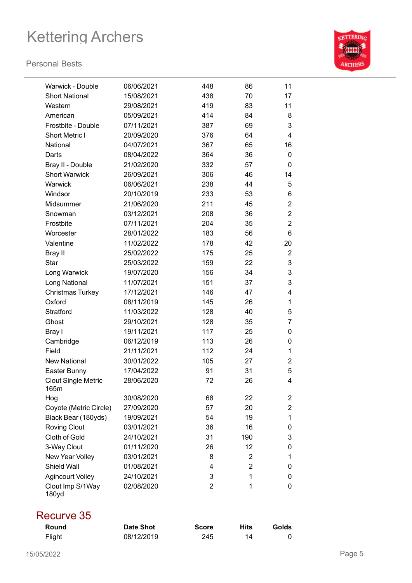#### **Personal Bests**



| Warwick - Double                   | 06/06/2021 | 448            | 86  | 11             |
|------------------------------------|------------|----------------|-----|----------------|
| <b>Short National</b>              | 15/08/2021 | 438            | 70  | 17             |
| Western                            | 29/08/2021 | 419            | 83  | 11             |
| American                           | 05/09/2021 | 414            | 84  | 8              |
| Frostbite - Double                 | 07/11/2021 | 387            | 69  | 3              |
| Short Metric I                     | 20/09/2020 | 376            | 64  | $\overline{4}$ |
| National                           | 04/07/2021 | 367            | 65  | 16             |
| Darts                              | 08/04/2022 | 364            | 36  | 0              |
| Bray II - Double                   | 21/02/2020 | 332            | 57  | 0              |
| <b>Short Warwick</b>               | 26/09/2021 | 306            | 46  | 14             |
| Warwick                            | 06/06/2021 | 238            | 44  | 5              |
| Windsor                            | 20/10/2019 | 233            | 53  | 6              |
| Midsummer                          | 21/06/2020 | 211            | 45  | $\overline{2}$ |
| Snowman                            | 03/12/2021 | 208            | 36  | $\overline{2}$ |
| Frostbite                          | 07/11/2021 | 204            | 35  | $\overline{2}$ |
| Worcester                          | 28/01/2022 | 183            | 56  | 6              |
| Valentine                          | 11/02/2022 | 178            | 42  | 20             |
| <b>Bray II</b>                     | 25/02/2022 | 175            | 25  | $\overline{2}$ |
| <b>Star</b>                        | 25/03/2022 | 159            | 22  | 3              |
| Long Warwick                       | 19/07/2020 | 156            | 34  | 3              |
| Long National                      | 11/07/2021 | 151            | 37  | 3              |
| <b>Christmas Turkey</b>            | 17/12/2021 | 146            | 47  | 4              |
| Oxford                             | 08/11/2019 | 145            | 26  | 1              |
| Stratford                          | 11/03/2022 | 128            | 40  | 5              |
| Ghost                              | 29/10/2021 | 128            | 35  | 7              |
| Bray I                             | 19/11/2021 | 117            | 25  | 0              |
| Cambridge                          | 06/12/2019 | 113            | 26  | 0              |
| Field                              | 21/11/2021 | 112            | 24  | 1              |
| <b>New National</b>                | 30/01/2022 | 105            | 27  | $\overline{2}$ |
| Easter Bunny                       | 17/04/2022 | 91             | 31  | 5              |
| <b>Clout Single Metric</b><br>165m | 28/06/2020 | 72             | 26  | 4              |
| Hog                                | 30/08/2020 | 68             | 22  | 2              |
| Coyote (Metric Circle)             | 27/09/2020 | 57             | 20  | $\overline{2}$ |
| Black Bear (180yds)                | 19/09/2021 | 54             | 19  | 1              |
| <b>Roving Clout</b>                | 03/01/2021 | 36             | 16  | 0              |
| Cloth of Gold                      | 24/10/2021 | 31             | 190 | 3              |
| 3-Way Clout                        | 01/11/2020 | 26             | 12  | 0              |
| New Year Volley                    | 03/01/2021 | 8              | 2   | 1              |
| Shield Wall                        | 01/08/2021 | 4              | 2   | 0              |
| <b>Agincourt Volley</b>            | 24/10/2021 | 3              | 1   | 0              |
| Clout Imp S/1Way<br>180yd          | 02/08/2020 | $\overline{2}$ | 1   | 0              |

### Recurve 35

| Round  | Date Shot  | <b>Score</b> | <b>Hits</b> | Golds |
|--------|------------|--------------|-------------|-------|
| Flight | 08/12/2019 | 245          |             |       |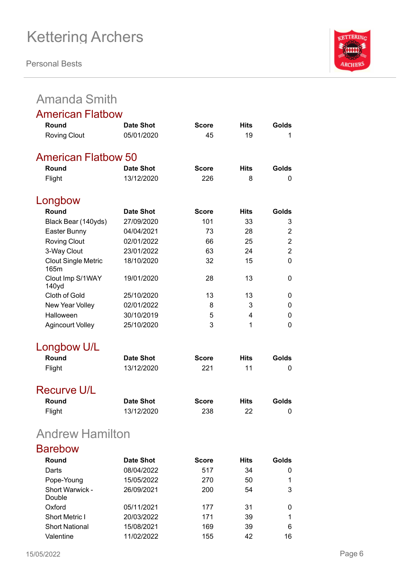**Personal Bests**



## Amanda Smith

| <b>American Flatbow</b>            |                          |                     |                   |                |
|------------------------------------|--------------------------|---------------------|-------------------|----------------|
| Round                              | <b>Date Shot</b>         | <b>Score</b>        | <b>Hits</b>       | Golds          |
| <b>Roving Clout</b>                | 05/01/2020               | 45                  | 19                | 1              |
| <b>American Flatbow 50</b>         |                          |                     |                   |                |
| Round                              | <b>Date Shot</b>         | <b>Score</b>        | <b>Hits</b>       | Golds          |
| Flight                             | 13/12/2020               | 226                 | 8                 | 0              |
| Longbow                            |                          |                     |                   |                |
| Round                              | <b>Date Shot</b>         | <b>Score</b>        | <b>Hits</b>       | Golds          |
| Black Bear (140yds)                | 27/09/2020               | 101                 | 33                | 3              |
| Easter Bunny                       | 04/04/2021               | 73                  | 28                | $\overline{2}$ |
| <b>Roving Clout</b>                | 02/01/2022               | 66                  | 25                | $\overline{2}$ |
| 3-Way Clout                        | 23/01/2022               | 63                  | 24                | $\overline{2}$ |
| <b>Clout Single Metric</b><br>165m | 18/10/2020               | 32                  | 15                | 0              |
| Clout Imp S/1WAY<br>140yd          | 19/01/2020               | 28                  | 13                | 0              |
| Cloth of Gold                      | 25/10/2020               | 13                  | 13                | 0              |
| New Year Volley                    | 02/01/2022               | 8                   | 3                 | 0              |
| Halloween                          | 30/10/2019               | 5                   | 4                 | 0              |
| <b>Agincourt Volley</b>            | 25/10/2020               | 3                   | 1                 | 0              |
| Longbow U/L                        |                          |                     |                   |                |
| Round                              | <b>Date Shot</b>         | <b>Score</b>        | <b>Hits</b>       | Golds          |
| Flight                             | 13/12/2020               | 221                 | 11                | 0              |
| <b>Recurve U/L</b>                 |                          |                     |                   |                |
| Round                              | <b>Date Shot</b>         | <b>Score</b>        | Hits              | Golds          |
| Flight                             | 13/12/2020               | 238                 | 22                | 0              |
| <b>Andrew Hamilton</b>             |                          |                     |                   |                |
| <b>Barebow</b>                     |                          |                     |                   |                |
| Round                              | Date Shot                |                     |                   | Golds          |
| Darts                              |                          | <b>Score</b><br>517 | <b>Hits</b><br>34 |                |
| Pope-Young                         | 08/04/2022<br>15/05/2022 | 270                 | 50                | 0<br>1         |
| Short Warwick -                    | 26/09/2021               | 200                 | 54                | 3              |
| Double                             |                          |                     |                   |                |
| Oxford                             | 05/11/2021               | 177                 | 31                | 0              |

Short Metric I 20/03/2022 171 39 1 Short National 15/08/2021 169 39 6 Valentine 11/02/2022 155 42 16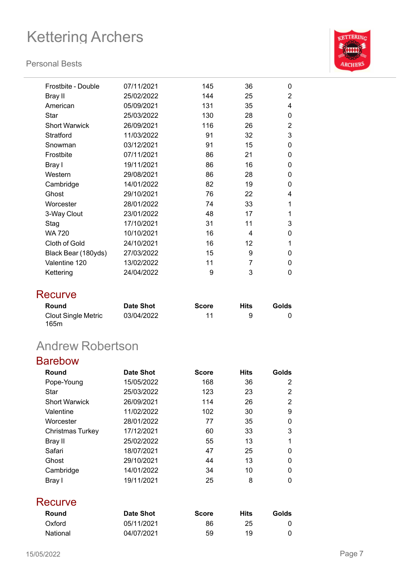#### **Personal Bests**



| Frostbite - Double   | 07/11/2021 | 145 | 36 | 0              |
|----------------------|------------|-----|----|----------------|
| Bray II              | 25/02/2022 | 144 | 25 | $\overline{2}$ |
| American             | 05/09/2021 | 131 | 35 | 4              |
| Star                 | 25/03/2022 | 130 | 28 | 0              |
| <b>Short Warwick</b> | 26/09/2021 | 116 | 26 | 2              |
| Stratford            | 11/03/2022 | 91  | 32 | 3              |
| Snowman              | 03/12/2021 | 91  | 15 | 0              |
| Frostbite            | 07/11/2021 | 86  | 21 | 0              |
| Bray I               | 19/11/2021 | 86  | 16 | 0              |
| Western              | 29/08/2021 | 86  | 28 | 0              |
| Cambridge            | 14/01/2022 | 82  | 19 | 0              |
| Ghost                | 29/10/2021 | 76  | 22 | 4              |
| Worcester            | 28/01/2022 | 74  | 33 | 1              |
| 3-Way Clout          | 23/01/2022 | 48  | 17 | 1              |
| Stag                 | 17/10/2021 | 31  | 11 | 3              |
| <b>WA 720</b>        | 10/10/2021 | 16  | 4  | $\Omega$       |
| Cloth of Gold        | 24/10/2021 | 16  | 12 | 1              |
| Black Bear (180yds)  | 27/03/2022 | 15  | 9  | 0              |
| Valentine 120        | 13/02/2022 | 11  | 7  | 0              |
| Kettering            | 24/04/2022 | 9   | 3  | 0              |

### **Recurve**

| Round                       | Date Shot  | <b>Score</b> | Hits | Golds |
|-----------------------------|------------|--------------|------|-------|
| Clout Single Metric<br>165m | 03/04/2022 | 11           | 9    |       |

## Andrew Robertson

| Round                   | Date Shot  | <b>Score</b> | <b>Hits</b> | Golds    |
|-------------------------|------------|--------------|-------------|----------|
| Pope-Young              | 15/05/2022 | 168          | 36          | 2        |
| Star                    | 25/03/2022 | 123          | 23          | 2        |
| <b>Short Warwick</b>    | 26/09/2021 | 114          | 26          | 2        |
| Valentine               | 11/02/2022 | 102          | 30          | 9        |
| Worcester               | 28/01/2022 | 77           | 35          | $\Omega$ |
| <b>Christmas Turkey</b> | 17/12/2021 | 60           | 33          | 3        |
| Bray II                 | 25/02/2022 | 55           | 13          | 1        |
| Safari                  | 18/07/2021 | 47           | 25          | $\Omega$ |
| Ghost                   | 29/10/2021 | 44           | 13          | $\Omega$ |
| Cambridge               | 14/01/2022 | 34           | 10          | $\Omega$ |
| Bray I                  | 19/11/2021 | 25           | 8           | $\Omega$ |

| Round           | Date Shot  | <b>Score</b> | Hits | Golds |
|-----------------|------------|--------------|------|-------|
| Oxford          | 05/11/2021 | 86           | 25   |       |
| <b>National</b> | 04/07/2021 | 59           | 19   |       |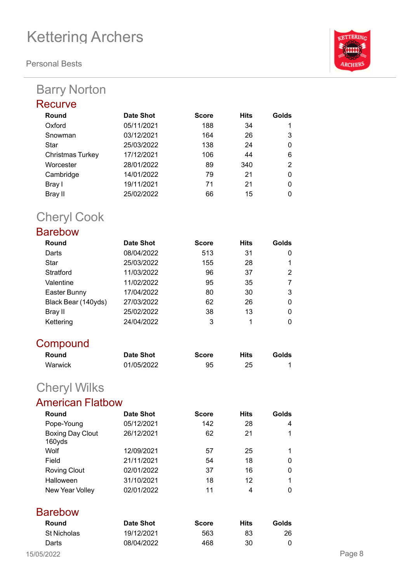**Personal Bests**

## Barry Norton

| <b>KETTERIN</b> |
|-----------------|
|                 |
|                 |
|                 |
|                 |
| <b>ARCHERS</b>  |
|                 |

| Date Shot  | <b>Score</b> | <b>Hits</b> | Golds    |
|------------|--------------|-------------|----------|
| 05/11/2021 | 188          | 34          |          |
| 03/12/2021 | 164          | 26          | 3        |
| 25/03/2022 | 138          | 24          | $\Omega$ |
| 17/12/2021 | 106          | 44          | 6        |
| 28/01/2022 | 89           | 340         | 2        |
| 14/01/2022 | 79           | 21          | $\Omega$ |
| 19/11/2021 | 71           | 21          | 0        |
| 25/02/2022 | 66           | 15          | 0        |
|            |              |             |          |

## Cheryl Cook

### Barebow

| Round               | <b>Date Shot</b> | <b>Score</b> | <b>Hits</b> | Golds |
|---------------------|------------------|--------------|-------------|-------|
| Darts               | 08/04/2022       | 513          | 31          |       |
| Star                | 25/03/2022       | 155          | 28          |       |
| Stratford           | 11/03/2022       | 96           | 37          | 2     |
| Valentine           | 11/02/2022       | 95           | 35          |       |
| Easter Bunny        | 17/04/2022       | 80           | 30          | 3     |
| Black Bear (140yds) | 27/03/2022       | 62           | 26          | 0     |
| Bray II             | 25/02/2022       | 38           | 13          |       |
| Kettering           | 24/04/2022       | 3            | 1           |       |

### **Compound**

| Round   | Date Shot  | <b>Score</b> | Hits | Golds |
|---------|------------|--------------|------|-------|
| Warwick | 01/05/2022 | 95           | 25   |       |

## Cheryl Wilks

### American Flatbow

| Round                             | <b>Date Shot</b> | <b>Score</b> | <b>Hits</b> | Golds |
|-----------------------------------|------------------|--------------|-------------|-------|
| Pope-Young                        | 05/12/2021       | 142          | 28          | 4     |
| <b>Boxing Day Clout</b><br>160yds | 26/12/2021       | 62           | 21          |       |
| Wolf                              | 12/09/2021       | 57           | 25          |       |
| Field                             | 21/11/2021       | 54           | 18          |       |
| <b>Roving Clout</b>               | 02/01/2022       | 37           | 16          |       |
| Halloween                         | 31/10/2021       | 18           | 12          |       |
| New Year Volley                   | 02/01/2022       | 11           | 4           |       |

# **Barebow**

| Round       | Date Shot  | <b>Score</b> | Hits | Golds |
|-------------|------------|--------------|------|-------|
| St Nicholas | 19/12/2021 | 563          | 83   | 26    |
| Darts       | 08/04/2022 | 468          | 30   |       |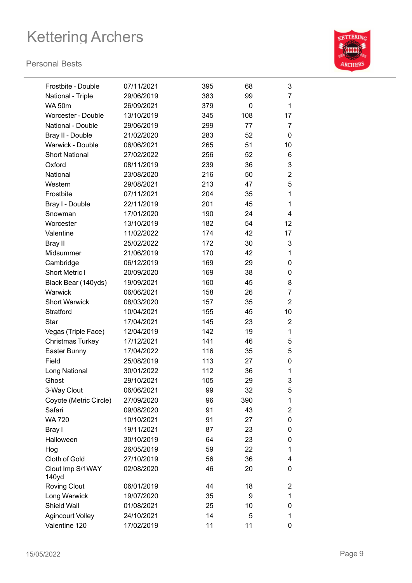

| Frostbite - Double        | 07/11/2021 | 395 | 68  | 3              |
|---------------------------|------------|-----|-----|----------------|
| National - Triple         | 29/06/2019 | 383 | 99  | 7              |
| <b>WA 50m</b>             | 26/09/2021 | 379 | 0   | 1              |
| <b>Worcester - Double</b> | 13/10/2019 | 345 | 108 | 17             |
| National - Double         | 29/06/2019 | 299 | 77  | 7              |
| Bray II - Double          | 21/02/2020 | 283 | 52  | 0              |
| Warwick - Double          | 06/06/2021 | 265 | 51  | 10             |
| <b>Short National</b>     | 27/02/2022 | 256 | 52  | 6              |
| Oxford                    | 08/11/2019 | 239 | 36  | 3              |
| National                  | 23/08/2020 | 216 | 50  | $\overline{2}$ |
| Western                   | 29/08/2021 | 213 | 47  | 5              |
| Frostbite                 | 07/11/2021 | 204 | 35  | 1              |
| Bray I - Double           | 22/11/2019 | 201 | 45  | 1              |
| Snowman                   | 17/01/2020 | 190 | 24  | 4              |
| Worcester                 | 13/10/2019 | 182 | 54  | 12             |
| Valentine                 | 11/02/2022 | 174 | 42  | 17             |
| Bray II                   | 25/02/2022 | 172 | 30  | 3              |
| Midsummer                 | 21/06/2019 | 170 | 42  | 1              |
| Cambridge                 | 06/12/2019 | 169 | 29  | 0              |
| <b>Short Metric I</b>     | 20/09/2020 | 169 | 38  | 0              |
| Black Bear (140yds)       | 19/09/2021 | 160 | 45  | 8              |
| Warwick                   | 06/06/2021 | 158 | 26  | 7              |
| <b>Short Warwick</b>      | 08/03/2020 | 157 | 35  | $\overline{2}$ |
| Stratford                 | 10/04/2021 | 155 | 45  | 10             |
| <b>Star</b>               | 17/04/2021 | 145 | 23  | $\overline{2}$ |
| Vegas (Triple Face)       | 12/04/2019 | 142 | 19  | 1              |
| <b>Christmas Turkey</b>   | 17/12/2021 | 141 | 46  | 5              |
| Easter Bunny              | 17/04/2022 | 116 | 35  | 5              |
| Field                     | 25/08/2019 | 113 | 27  | 0              |
| Long National             | 30/01/2022 | 112 | 36  | 1              |
| Ghost                     | 29/10/2021 | 105 | 29  | 3              |
| 3-Way Clout               | 06/06/2021 | 99  | 32  | 5              |
| Coyote (Metric Circle)    | 27/09/2020 | 96  | 390 | 1              |
| Safari                    | 09/08/2020 | 91  | 43  | 2              |
| <b>WA 720</b>             | 10/10/2021 | 91  | 27  | 0              |
| Bray I                    | 19/11/2021 | 87  | 23  | 0              |
| Halloween                 | 30/10/2019 | 64  | 23  | 0              |
| Hog                       | 26/05/2019 | 59  | 22  | 1              |
| Cloth of Gold             | 27/10/2019 | 56  | 36  | 4              |
| Clout Imp S/1WAY<br>140yd | 02/08/2020 | 46  | 20  | 0              |
| <b>Roving Clout</b>       | 06/01/2019 | 44  | 18  | 2              |
| Long Warwick              | 19/07/2020 | 35  | 9   | 1              |
| Shield Wall               | 01/08/2021 | 25  | 10  | 0              |
| <b>Agincourt Volley</b>   | 24/10/2021 | 14  | 5   | 1              |
| Valentine 120             | 17/02/2019 | 11  | 11  | 0              |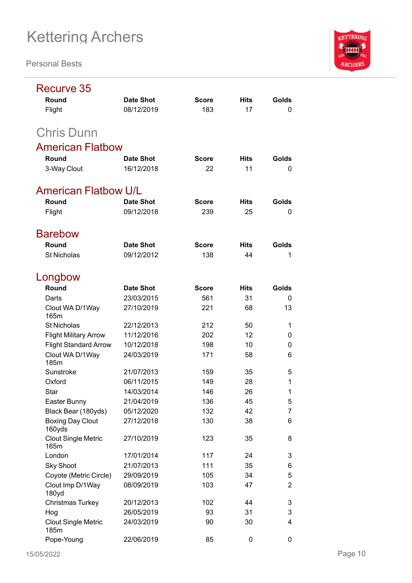

| Recurve 35                         |                  |              |             |                |
|------------------------------------|------------------|--------------|-------------|----------------|
| Round                              | <b>Date Shot</b> | <b>Score</b> | <b>Hits</b> | Golds          |
| Flight                             | 08/12/2019       | 183          | 17          | 0              |
| <b>Chris Dunn</b>                  |                  |              |             |                |
| <b>American Flatbow</b>            |                  |              |             |                |
| Round                              | <b>Date Shot</b> | <b>Score</b> | <b>Hits</b> | Golds          |
| 3-Way Clout                        | 16/12/2018       | 22           | 11          | 0              |
| <b>American Flatbow U/L</b>        |                  |              |             |                |
| Round                              | <b>Date Shot</b> | <b>Score</b> | <b>Hits</b> | Golds          |
| Flight                             | 09/12/2018       | 239          | 25          | 0              |
| <b>Barebow</b>                     |                  |              |             |                |
| Round                              | <b>Date Shot</b> | <b>Score</b> | <b>Hits</b> | Golds          |
| <b>St Nicholas</b>                 | 09/12/2012       | 138          | 44          | 1              |
| Longbow                            |                  |              |             |                |
| Round                              | <b>Date Shot</b> | <b>Score</b> | <b>Hits</b> | Golds          |
| Darts                              | 23/03/2015       | 561          | 31          | 0              |
| Clout WA D/1Way<br>165m            | 27/10/2019       | 221          | 68          | 13             |
| <b>St Nicholas</b>                 | 22/12/2013       | 212          | 50          | 1              |
| <b>Flight Military Arrow</b>       | 11/12/2016       | 202          | 12          | 0              |
| <b>Flight Standard Arrow</b>       | 10/12/2018       | 198          | 10          | 0              |
| Clout WA D/1Way<br>185m            | 24/03/2019       | 171          | 58          | 6              |
| Sunstroke                          | 21/07/2013       | 159          | 35          | 5              |
| Oxford                             | 06/11/2015       | 149          | 28          | 1              |
| Star                               | 14/03/2014       | 146          | 26          | 1              |
| Easter Bunny                       | 21/04/2019       | 136          | 45          | 5              |
| Black Bear (180yds)                | 05/12/2020       | 132          | 42          | $\overline{7}$ |
| <b>Boxing Day Clout</b><br>160yds  | 27/12/2018       | 130          | 38          | 6              |
| <b>Clout Single Metric</b><br>165m | 27/10/2019       | 123          | 35          | 8              |
| London                             | 17/01/2014       | 117          | 24          | 3              |
| <b>Sky Shoot</b>                   | 21/07/2013       | 111          | 35          | 6              |
| Coyote (Metric Circle)             | 29/09/2019       | 105          | 34          | 5              |
| Clout Imp D/1Way<br>180yd          | 08/09/2019       | 103          | 47          | $\overline{2}$ |
| <b>Christmas Turkey</b>            | 20/12/2013       | 102          | 44          | 3              |
| Hog                                | 26/05/2019       | 93           | 31          | 3              |
| <b>Clout Single Metric</b><br>185m | 24/03/2019       | 90           | 30          | 4              |
| Pope-Young                         | 22/06/2019       | 85           | 0           | 0              |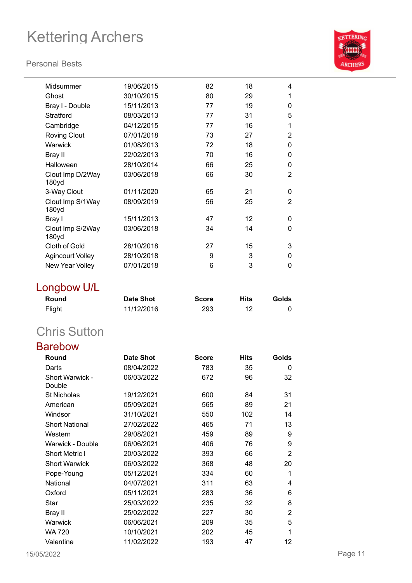#### **Personal Bests**



| Midsummer                             | 19/06/2015 | 82 | 18 | 4              |
|---------------------------------------|------------|----|----|----------------|
| Ghost                                 | 30/10/2015 | 80 | 29 | 1              |
| Bray I - Double                       | 15/11/2013 | 77 | 19 | 0              |
| Stratford                             | 08/03/2013 | 77 | 31 | 5              |
| Cambridge                             | 04/12/2015 | 77 | 16 | 1              |
| <b>Roving Clout</b>                   | 07/01/2018 | 73 | 27 | 2              |
| Warwick                               | 01/08/2013 | 72 | 18 | 0              |
| Bray II                               | 22/02/2013 | 70 | 16 | $\Omega$       |
| Halloween                             | 28/10/2014 | 66 | 25 | $\Omega$       |
| Clout Imp D/2Way<br>180yd             | 03/06/2018 | 66 | 30 | $\overline{2}$ |
| 3-Way Clout                           | 01/11/2020 | 65 | 21 | 0              |
| Clout Imp S/1Way<br>180 <sub>yd</sub> | 08/09/2019 | 56 | 25 | 2              |
| Bray I                                | 15/11/2013 | 47 | 12 | 0              |
| Clout Imp S/2Way<br>180yd             | 03/06/2018 | 34 | 14 | 0              |
| <b>Cloth of Gold</b>                  | 28/10/2018 | 27 | 15 | 3              |
| <b>Agincourt Volley</b>               | 28/10/2018 | 9  | 3  | 0              |
| New Year Volley                       | 07/01/2018 | 6  | 3  | 0              |
|                                       |            |    |    |                |

## Longbow U/L

| Round  | Date Shot  | <b>Score</b> | <b>Hits</b> | Golds |
|--------|------------|--------------|-------------|-------|
| Flight | 11/12/2016 | 293          |             |       |

## Chris Sutton

### Barebow

| Round                     | <b>Date Shot</b> | <b>Score</b> | <b>Hits</b> | Golds |
|---------------------------|------------------|--------------|-------------|-------|
| Darts                     | 08/04/2022       | 783          | 35          | 0     |
| Short Warwick -<br>Double | 06/03/2022       | 672          | 96          | 32    |
| <b>St Nicholas</b>        | 19/12/2021       | 600          | 84          | 31    |
| American                  | 05/09/2021       | 565          | 89          | 21    |
| Windsor                   | 31/10/2021       | 550          | 102         | 14    |
| <b>Short National</b>     | 27/02/2022       | 465          | 71          | 13    |
| Western                   | 29/08/2021       | 459          | 89          | 9     |
| Warwick - Double          | 06/06/2021       | 406          | 76          | 9     |
| <b>Short Metric I</b>     | 20/03/2022       | 393          | 66          | 2     |
| <b>Short Warwick</b>      | 06/03/2022       | 368          | 48          | 20    |
| Pope-Young                | 05/12/2021       | 334          | 60          | 1     |
| National                  | 04/07/2021       | 311          | 63          | 4     |
| Oxford                    | 05/11/2021       | 283          | 36          | 6     |
| Star                      | 25/03/2022       | 235          | 32          | 8     |
| Bray II                   | 25/02/2022       | 227          | 30          | 2     |
| Warwick                   | 06/06/2021       | 209          | 35          | 5     |
| WA 720                    | 10/10/2021       | 202          | 45          | 1     |
| Valentine                 | 11/02/2022       | 193          | 47          | 12    |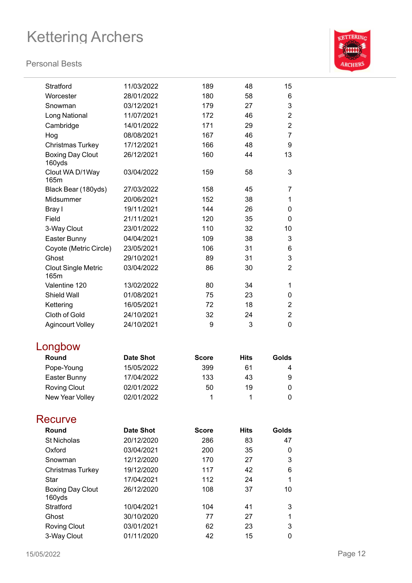#### **Personal Bests**



| Stratford                          | 11/03/2022       | 189          | 48          | 15               |
|------------------------------------|------------------|--------------|-------------|------------------|
| Worcester                          | 28/01/2022       | 180          | 58          | 6                |
| Snowman                            | 03/12/2021       | 179          | 27          | 3                |
| Long National                      | 11/07/2021       | 172          | 46          | $\overline{c}$   |
| Cambridge                          | 14/01/2022       | 171          | 29          | $\boldsymbol{2}$ |
| Hog                                | 08/08/2021       | 167          | 46          | $\overline{7}$   |
| Christmas Turkey                   | 17/12/2021       | 166          | 48          | $\boldsymbol{9}$ |
| <b>Boxing Day Clout</b><br>160yds  | 26/12/2021       | 160          | 44          | 13               |
| Clout WA D/1Way<br>165m            | 03/04/2022       | 159          | 58          | 3                |
| Black Bear (180yds)                | 27/03/2022       | 158          | 45          | $\overline{7}$   |
| Midsummer                          | 20/06/2021       | 152          | 38          | 1                |
| Bray I                             | 19/11/2021       | 144          | 26          | 0                |
| Field                              | 21/11/2021       | 120          | 35          | $\mathbf 0$      |
| 3-Way Clout                        | 23/01/2022       | 110          | 32          | 10               |
| Easter Bunny                       | 04/04/2021       | 109          | 38          | 3                |
| Coyote (Metric Circle)             | 23/05/2021       | 106          | 31          | 6                |
| Ghost                              | 29/10/2021       | 89           | 31          | 3                |
| <b>Clout Single Metric</b><br>165m | 03/04/2022       | 86           | 30          | $\overline{2}$   |
| Valentine 120                      | 13/02/2022       | 80           | 34          | 1                |
| <b>Shield Wall</b>                 | 01/08/2021       | 75           | 23          | 0                |
| Kettering                          | 16/05/2021       | 72           | 18          | $\overline{2}$   |
| Cloth of Gold                      | 24/10/2021       | 32           | 24          | $\overline{2}$   |
| <b>Agincourt Volley</b>            | 24/10/2021       | 9            | 3           | 0                |
| Longbow                            |                  |              |             |                  |
| Round                              | <b>Date Shot</b> | <b>Score</b> | <b>Hits</b> | <b>Golds</b>     |
| Pope-Young                         | 15/05/2022       | 399          | 61          | 4                |
| Easter Bunny                       | 17/04/2022       | 133          | 43          | 9                |
| <b>Roving Clout</b>                | 02/01/2022       | 50           | 19          | 0                |

### **Recurve**

| Round                             | <b>Date Shot</b> | <b>Score</b> | <b>Hits</b> | Golds |
|-----------------------------------|------------------|--------------|-------------|-------|
| <b>St Nicholas</b>                | 20/12/2020       | 286          | 83          | 47    |
| Oxford                            | 03/04/2021       | 200          | 35          | 0     |
| Snowman                           | 12/12/2020       | 170          | 27          | 3     |
| <b>Christmas Turkey</b>           | 19/12/2020       | 117          | 42          | 6     |
| Star                              | 17/04/2021       | 112          | 24          | 1     |
| <b>Boxing Day Clout</b><br>160yds | 26/12/2020       | 108          | 37          | 10    |
| Stratford                         | 10/04/2021       | 104          | 41          | 3     |
| Ghost                             | 30/10/2020       | 77           | 27          | 1     |
| <b>Roving Clout</b>               | 03/01/2021       | 62           | 23          | 3     |
| 3-Way Clout                       | 01/11/2020       | 42           | 15          | 0     |

New Year Volley 02/01/2022 1 1 1 0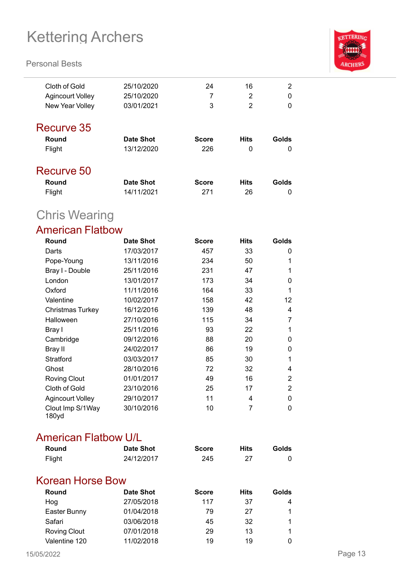#### **Personal Bests**



| Cloth of Gold    | 25/10/2020 | 24           | 16          | $\overline{2}$ |
|------------------|------------|--------------|-------------|----------------|
| Agincourt Volley | 25/10/2020 | 7            | 2           | 0              |
| New Year Volley  | 03/01/2021 | 3            | 2           | $\Omega$       |
| Recurve 35       |            |              |             |                |
| Round            | Date Shot  | <b>Score</b> | <b>Hits</b> | Golds          |
| Flight           | 13/12/2020 | 226          | 0           | 0              |
| Recurve 50       |            |              |             |                |
| Round            | Date Shot  | <b>Score</b> | <b>Hits</b> | Golds          |

Flight 14/11/2021 271 26 0

## Chris Wearing

### American Flatbow

| Round                     | <b>Date Shot</b> | <b>Score</b> | <b>Hits</b> | <b>Golds</b> |
|---------------------------|------------------|--------------|-------------|--------------|
| Darts                     | 17/03/2017       | 457          | 33          | 0            |
| Pope-Young                | 13/11/2016       | 234          | 50          | 1            |
| Bray I - Double           | 25/11/2016       | 231          | 47          | 1            |
| London                    | 13/01/2017       | 173          | 34          | 0            |
| Oxford                    | 11/11/2016       | 164          | 33          | 1            |
| Valentine                 | 10/02/2017       | 158          | 42          | 12           |
| <b>Christmas Turkey</b>   | 16/12/2016       | 139          | 48          | 4            |
| Halloween                 | 27/10/2016       | 115          | 34          | 7            |
| Bray I                    | 25/11/2016       | 93           | 22          | 1            |
| Cambridge                 | 09/12/2016       | 88           | 20          | 0            |
| Bray II                   | 24/02/2017       | 86           | 19          | 0            |
| Stratford                 | 03/03/2017       | 85           | 30          | 1            |
| Ghost                     | 28/10/2016       | 72           | 32          | 4            |
| <b>Roving Clout</b>       | 01/01/2017       | 49           | 16          | 2            |
| Cloth of Gold             | 23/10/2016       | 25           | 17          | 2            |
| <b>Agincourt Volley</b>   | 29/10/2017       | 11           | 4           | 0            |
| Clout Imp S/1Way<br>180yd | 30/10/2016       | 10           | 7           | 0            |

#### American Flatbow U/L

| Round  | <b>Date Shot</b> | <b>Score</b> | <b>Hits</b> | Golds |
|--------|------------------|--------------|-------------|-------|
| Flight | 24/12/2017       | 245          |             |       |

### Korean Horse Bow

| Round               | Date Shot  | <b>Score</b> | <b>Hits</b> | Golds |
|---------------------|------------|--------------|-------------|-------|
| Hog                 | 27/05/2018 | 117          | 37          | 4     |
| Easter Bunny        | 01/04/2018 | 79           | 27          |       |
| Safari              | 03/06/2018 | 45           | 32          |       |
| <b>Roving Clout</b> | 07/01/2018 | 29           | 13          |       |
| Valentine 120       | 11/02/2018 | 19           | 19          |       |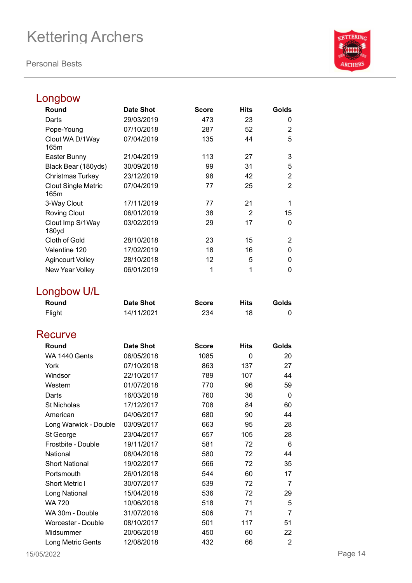**Personal Bests**



### Longbow

| Round                              | <b>Date Shot</b> | Score        | Hits           | Golds          |
|------------------------------------|------------------|--------------|----------------|----------------|
| Darts                              | 29/03/2019       | 473          | 23             | 0              |
| Pope-Young                         | 07/10/2018       | 287          | 52             | $\overline{2}$ |
| Clout WA D/1Way<br>165m            | 07/04/2019       | 135          | 44             | 5              |
| Easter Bunny                       | 21/04/2019       | 113          | 27             | 3              |
| Black Bear (180yds)                | 30/09/2018       | 99           | 31             | 5              |
| Christmas Turkey                   | 23/12/2019       | 98           | 42             | $\overline{2}$ |
| <b>Clout Single Metric</b><br>165m | 07/04/2019       | 77           | 25             | $\overline{2}$ |
| 3-Way Clout                        | 17/11/2019       | 77           | 21             | 1              |
| <b>Roving Clout</b>                | 06/01/2019       | 38           | $\overline{2}$ | 15             |
| Clout Imp S/1Way<br>180yd          | 03/02/2019       | 29           | 17             | $\mathbf 0$    |
| Cloth of Gold                      | 28/10/2018       | 23           | 15             | 2              |
| Valentine 120                      | 17/02/2019       | 18           | 16             | 0              |
| <b>Agincourt Volley</b>            | 28/10/2018       | 12           | 5              | 0              |
| New Year Volley                    | 06/01/2019       | 1            | 1              | 0              |
| Longbow U/L                        |                  |              |                |                |
| Round                              | <b>Date Shot</b> | <b>Score</b> | <b>Hits</b>    | Golds          |
| Flight                             | 14/11/2021       | 234          | 18             | 0              |
| <b>Recurve</b>                     |                  |              |                |                |
| Round                              | <b>Date Shot</b> | <b>Score</b> | <b>Hits</b>    | Golds          |
| WA 1440 Gents                      | 06/05/2018       | 1085         | 0              | 20             |
| York                               | 07/10/2018       | 863          | 137            | 27             |
| Windsor                            | 22/10/2017       | 789          | 107            | 44             |
| Western                            | 01/07/2018       | 770          | 96             | 59             |
| Darts                              | 16/03/2018       | 760          | 36             | 0              |
| <b>St Nicholas</b>                 | 17/12/2017       | 708          | 84             | 60             |
| American                           | 04/06/2017       | 680          | 90             | 44             |
| Long Warwick - Double              | 03/09/2017       | 663          | 95             | 28             |
| St George                          | 23/04/2017       | 657          | 105            | 28             |
| Frostbite - Double                 | 19/11/2017       | 581          | 72             | 6              |
| National                           | 08/04/2018       | 580          | 72             | 44             |
| <b>Short National</b>              | 19/02/2017       | 566          | 72             | 35             |
| Portsmouth                         | 26/01/2018       | 544          | 60             | 17             |
| <b>Short Metric I</b>              | 30/07/2017       | 539          | 72             | 7              |
| Long National                      | 15/04/2018       | 536          | 72             | 29             |
| <b>WA 720</b>                      | 10/06/2018       | 518          | 71             | 5              |
| WA 30m - Double                    | 31/07/2016       | 506          | 71             | 7              |
| Worcester - Double                 | 08/10/2017       | 501          | 117            | 51             |
| Midsummer                          | 20/06/2018       | 450          | 60             | 22             |
| Long Metric Gents                  | 12/08/2018       | 432          | 66             | $\overline{2}$ |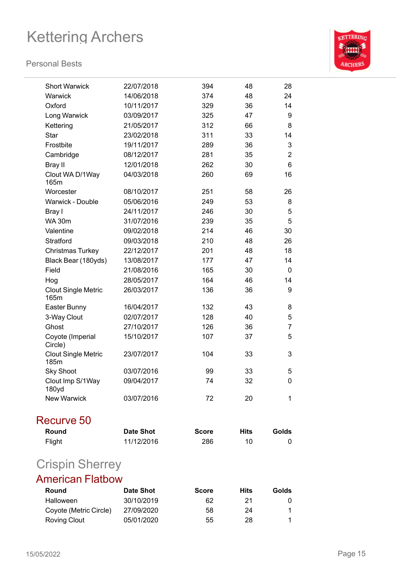

| <b>Short Warwick</b>               | 22/07/2018       | 394          |          |                |
|------------------------------------|------------------|--------------|----------|----------------|
| Warwick                            | 14/06/2018       | 374          | 48<br>48 | 28<br>24       |
| Oxford                             | 10/11/2017       | 329          | 36       | 14             |
| Long Warwick                       | 03/09/2017       | 325          | 47       | 9              |
| Kettering                          | 21/05/2017       | 312          | 66       | 8              |
| <b>Star</b>                        | 23/02/2018       | 311          | 33       | 14             |
| Frostbite                          | 19/11/2017       | 289          | 36       | 3              |
| Cambridge                          | 08/12/2017       | 281          | 35       | $\overline{2}$ |
| <b>Bray II</b>                     | 12/01/2018       | 262          | 30       | 6              |
| Clout WA D/1Way                    | 04/03/2018       | 260          | 69       | 16             |
| 165m                               |                  |              |          |                |
| Worcester                          | 08/10/2017       | 251          | 58       | 26             |
| Warwick - Double                   | 05/06/2016       | 249          | 53       | 8              |
| Bray I                             | 24/11/2017       | 246          | 30       | 5              |
| <b>WA 30m</b>                      | 31/07/2016       | 239          | 35       | 5              |
| Valentine                          | 09/02/2018       | 214          | 46       | 30             |
| <b>Stratford</b>                   | 09/03/2018       | 210          | 48       | 26             |
| <b>Christmas Turkey</b>            | 22/12/2017       | 201          | 48       | 18             |
| Black Bear (180yds)                | 13/08/2017       | 177          | 47       | 14             |
| Field                              | 21/08/2016       | 165          | 30       | 0              |
| Hog                                | 28/05/2017       | 164          | 46       | 14             |
| <b>Clout Single Metric</b><br>165m | 26/03/2017       | 136          | 36       | 9              |
| Easter Bunny                       | 16/04/2017       | 132          | 43       | 8              |
| 3-Way Clout                        | 02/07/2017       | 128          | 40       | 5              |
| Ghost                              | 27/10/2017       | 126          | 36       | $\overline{7}$ |
| Coyote (Imperial<br>Circle)        | 15/10/2017       | 107          | 37       | 5              |
| <b>Clout Single Metric</b><br>185m | 23/07/2017       | 104          | 33       | 3              |
| <b>Sky Shoot</b>                   | 03/07/2016       | 99           | 33       | 5              |
| Clout Imp S/1Way<br>180yd          | 09/04/2017       | 74           | 32       | 0              |
| <b>New Warwick</b>                 | 03/07/2016       | 72           | 20       | 1              |
| Recurve 50                         |                  |              |          |                |
| Round                              | <b>Date Shot</b> | <b>Score</b> | Hits     | Golds          |
| Flight                             | 11/12/2016       | 286          | 10       | 0              |
| <b>Crispin Sherrey</b>             |                  |              |          |                |
| <b>American Flatbow</b>            |                  |              |          |                |

| Round                  | Date Shot  | <b>Score</b> | Hits | Golds |
|------------------------|------------|--------------|------|-------|
| Halloween              | 30/10/2019 | 62           | 21   |       |
| Coyote (Metric Circle) | 27/09/2020 | 58           | 24   |       |
| Roving Clout           | 05/01/2020 | 55           | 28   |       |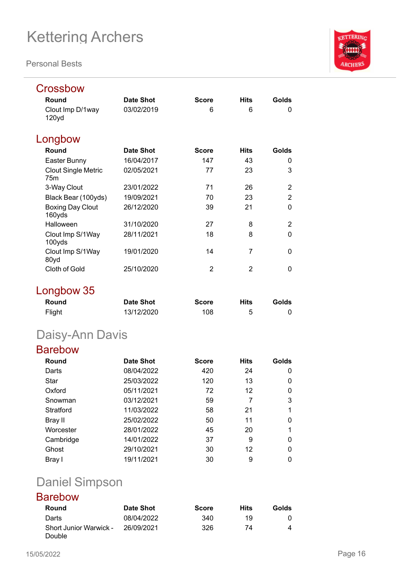**Personal Bests**



| Round                                         | <b>Date Shot</b> | <b>Score</b> | <b>Hits</b> | Golds          |
|-----------------------------------------------|------------------|--------------|-------------|----------------|
| Clout Imp D/1way<br>120yd                     | 03/02/2019       | 6            | 6           | 0              |
| Longbow                                       |                  |              |             |                |
| Round                                         | <b>Date Shot</b> | <b>Score</b> | <b>Hits</b> | Golds          |
| Easter Bunny                                  | 16/04/2017       | 147          | 43          | 0              |
| <b>Clout Single Metric</b><br>75 <sub>m</sub> | 02/05/2021       | 77           | 23          | 3              |
| 3-Way Clout                                   | 23/01/2022       | 71           | 26          | $\overline{2}$ |
| Black Bear (100yds)                           | 19/09/2021       | 70           | 23          | $\overline{2}$ |
| <b>Boxing Day Clout</b><br>160yds             | 26/12/2020       | 39           | 21          | $\Omega$       |
| Halloween                                     | 31/10/2020       | 27           | 8           | $\overline{2}$ |
| Clout Imp S/1Way<br>100yds                    | 28/11/2021       | 18           | 8           | $\Omega$       |
| Clout Imp S/1Way<br>80yd                      | 19/01/2020       | 14           | 7           | 0              |
| Cloth of Gold                                 | 25/10/2020       | 2            | 2           | 0              |

### Longbow 35

| Round  | <b>Date Shot</b> | <b>Score</b> | <b>Hits</b> | Golds |
|--------|------------------|--------------|-------------|-------|
| Flight | 13/12/2020       | 108          | 5           |       |

## Daisy-Ann Davis

### Barebow

| Round     | Date Shot  | <b>Score</b> | <b>Hits</b> | Golds |
|-----------|------------|--------------|-------------|-------|
| Darts     | 08/04/2022 | 420          | 24          | 0     |
| Star      | 25/03/2022 | 120          | 13          | 0     |
| Oxford    | 05/11/2021 | 72           | 12          | 0     |
| Snowman   | 03/12/2021 | 59           | 7           | 3     |
| Stratford | 11/03/2022 | 58           | 21          |       |
| Bray II   | 25/02/2022 | 50           | 11          | 0     |
| Worcester | 28/01/2022 | 45           | 20          |       |
| Cambridge | 14/01/2022 | 37           | 9           | 0     |
| Ghost     | 29/10/2021 | 30           | 12          | 0     |
| Bray I    | 19/11/2021 | 30           | 9           |       |

## Daniel Simpson

### Barebow

| Round                                   | Date Shot  | <b>Score</b> | Hits | Golds |
|-----------------------------------------|------------|--------------|------|-------|
| Darts                                   | 08/04/2022 | 340          | 19   |       |
| <b>Short Junior Warwick -</b><br>Double | 26/09/2021 | 326          | 74   |       |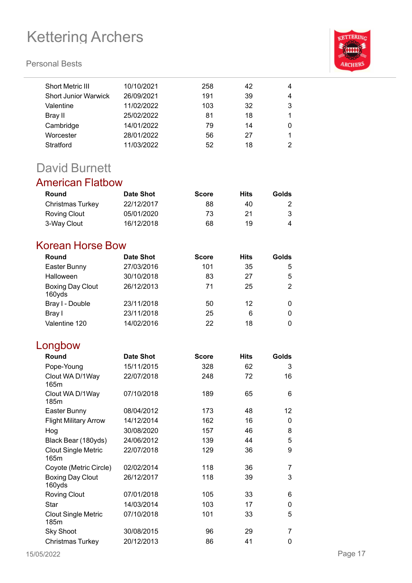#### **Personal Bests**

| Short Metric III            | 10/10/2021 | 258 | 42 | 4 |
|-----------------------------|------------|-----|----|---|
| <b>Short Junior Warwick</b> | 26/09/2021 | 191 | 39 | 4 |
| Valentine                   | 11/02/2022 | 103 | 32 | 3 |
| Bray II                     | 25/02/2022 | 81  | 18 |   |
| Cambridge                   | 14/01/2022 | 79  | 14 | 0 |
| Worcester                   | 28/01/2022 | 56  | 27 |   |
| Stratford                   | 11/03/2022 | 52  | 18 | 2 |
|                             |            |     |    |   |

## David Burnett

### American Flatbow

| <b>Round</b>     | <b>Date Shot</b> | <b>Score</b> | Hits | Golds |
|------------------|------------------|--------------|------|-------|
| Christmas Turkey | 22/12/2017       | 88           | 40   |       |
| Roving Clout     | 05/01/2020       | 73           | 21   |       |
| 3-Way Clout      | 16/12/2018       | 68           | 19   | 4     |

### Korean Horse Bow

| Round                             | <b>Date Shot</b> | <b>Score</b> | <b>Hits</b> | Golds |
|-----------------------------------|------------------|--------------|-------------|-------|
| Easter Bunny                      | 27/03/2016       | 101          | 35          | 5     |
| Halloween                         | 30/10/2018       | 83           | 27          | 5     |
| <b>Boxing Day Clout</b><br>160yds | 26/12/2013       | 71           | 25          | 2     |
| Bray I - Double                   | 23/11/2018       | 50           | 12          |       |
| Bray I                            | 23/11/2018       | 25           | 6           | 0     |
| Valentine 120                     | 14/02/2016       | 22           | 18          |       |

### Longbow

| Round                               | <b>Date Shot</b> | <b>Score</b> | <b>Hits</b> | Golds |
|-------------------------------------|------------------|--------------|-------------|-------|
| Pope-Young                          | 15/11/2015       | 328          | 62          | 3     |
| Clout WA D/1Way<br>165m             | 22/07/2018       | 248          | 72          | 16    |
| Clout WA D/1Way<br>185 <sub>m</sub> | 07/10/2018       | 189          | 65          | 6     |
| Easter Bunny                        | 08/04/2012       | 173          | 48          | 12    |
| <b>Flight Military Arrow</b>        | 14/12/2014       | 162          | 16          | 0     |
| Hog                                 | 30/08/2020       | 157          | 46          | 8     |
| Black Bear (180yds)                 | 24/06/2012       | 139          | 44          | 5     |
| <b>Clout Single Metric</b><br>165m  | 22/07/2018       | 129          | 36          | 9     |
| Coyote (Metric Circle)              | 02/02/2014       | 118          | 36          | 7     |
| <b>Boxing Day Clout</b><br>160yds   | 26/12/2017       | 118          | 39          | 3     |
| <b>Roving Clout</b>                 | 07/01/2018       | 105          | 33          | 6     |
| Star                                | 14/03/2014       | 103          | 17          | 0     |
| <b>Clout Single Metric</b><br>185m  | 07/10/2018       | 101          | 33          | 5     |
| Sky Shoot                           | 30/08/2015       | 96           | 29          | 7     |
| Christmas Turkey                    | 20/12/2013       | 86           | 41          | 0     |

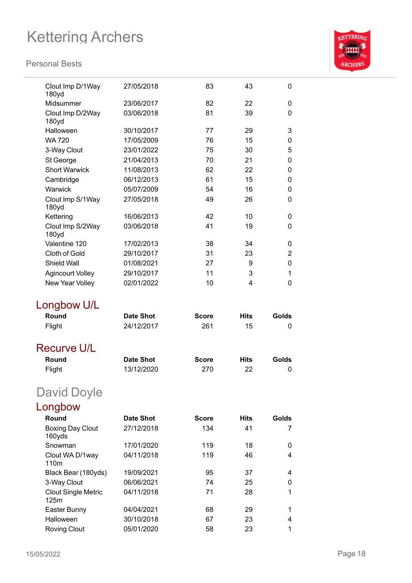

| Clout Imp D/1Way<br>180yd          | 27/05/2018               | 83           | 43          | 0              |
|------------------------------------|--------------------------|--------------|-------------|----------------|
| Midsummer                          | 23/06/2017               | 82           | 22          | $\Omega$       |
| Clout Imp D/2Way<br>180yd          | 03/06/2018               | 81           | 39          | 0              |
| Halloween                          | 30/10/2017               | 77           | 29          | 3              |
| <b>WA 720</b>                      | 17/05/2009               | 76           | 15          | 0              |
| 3-Way Clout                        | 23/01/2022               | 75           | 30          | 5              |
| St George                          | 21/04/2013               | 70           | 21          | 0              |
| <b>Short Warwick</b>               | 11/08/2013               | 62           | 22          | 0              |
| Cambridge                          | 06/12/2013               | 61           | 15          | 0              |
| Warwick                            | 05/07/2009               | 54           | 16          | 0              |
| Clout Imp S/1Way<br>180yd          | 27/05/2018               | 49           | 26          | 0              |
| Kettering                          | 16/06/2013               | 42           | 10          | 0              |
| Clout Imp S/2Way<br>180yd          | 03/06/2018               | 41           | 19          | 0              |
| Valentine 120                      | 17/02/2013               | 38           | 34          | 0              |
| Cloth of Gold                      | 29/10/2017               | 31           | 23          | $\overline{2}$ |
| Shield Wall                        | 01/08/2021               | 27           | 9           | 0              |
| <b>Agincourt Volley</b>            | 29/10/2017               | 11           | 3           | 1              |
| New Year Volley                    | 02/01/2022               | 10           | 4           | 0              |
|                                    |                          |              |             |                |
|                                    |                          |              |             |                |
| Longbow U/L                        |                          |              |             |                |
| Round                              | <b>Date Shot</b>         | Score        | <b>Hits</b> | Golds          |
| Flight                             | 24/12/2017               | 261          | 15          | 0              |
| Recurve U/L                        |                          |              |             |                |
| Round                              | <b>Date Shot</b>         | <b>Score</b> | <b>Hits</b> | Golds          |
| Flight                             | 13/12/2020               | 270          | 22          | 0              |
| <b>David Doyle</b>                 |                          |              |             |                |
|                                    |                          |              |             |                |
| Longbow<br>Round                   | <b>Date Shot</b>         | <b>Score</b> | <b>Hits</b> | Golds          |
| <b>Boxing Day Clout</b><br>160yds  | 27/12/2018               | 134          | 41          | 7              |
| Snowman                            | 17/01/2020               | 119          | 18          | 0              |
| Clout WA D/1way<br>110m            | 04/11/2018               | 119          | 46          | 4              |
| Black Bear (180yds)                | 19/09/2021               | 95           | 37          | 4              |
| 3-Way Clout                        | 06/06/2021               | 74           | 25          | 0              |
| <b>Clout Single Metric</b><br>125m | 04/11/2018               | 71           | 28          | 1              |
| Easter Bunny                       | 04/04/2021               | 68           | 29          | 1              |
| Halloween<br><b>Roving Clout</b>   | 30/10/2018<br>05/01/2020 | 67<br>58     | 23<br>23    | 4<br>1         |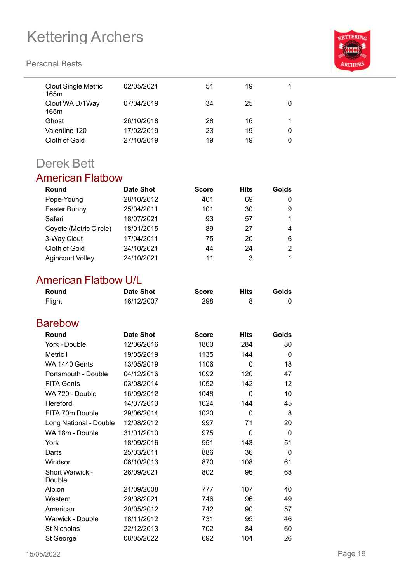#### **Personal Bests**



| <b>Clout Single Metric</b><br>165m | 02/05/2021 | 51 | 19 |   |
|------------------------------------|------------|----|----|---|
| Clout WA D/1Way<br>165m            | 07/04/2019 | 34 | 25 | 0 |
| Ghost                              | 26/10/2018 | 28 | 16 |   |
| Valentine 120                      | 17/02/2019 | 23 | 19 | 0 |
| Cloth of Gold                      | 27/10/2019 | 19 | 19 | 0 |
|                                    |            |    |    |   |

### Derek Bett

### American Flatbow

| Round                   | <b>Date Shot</b> | <b>Score</b> | <b>Hits</b> | Golds |
|-------------------------|------------------|--------------|-------------|-------|
| Pope-Young              | 28/10/2012       | 401          | 69          | 0     |
| Easter Bunny            | 25/04/2011       | 101          | 30          | 9     |
| Safari                  | 18/07/2021       | 93           | 57          |       |
| Coyote (Metric Circle)  | 18/01/2015       | 89           | 27          | 4     |
| 3-Way Clout             | 17/04/2011       | 75           | 20          | 6     |
| Cloth of Gold           | 24/10/2021       | 44           | 24          | 2     |
| <b>Agincourt Volley</b> | 24/10/2021       | 11           | 3           |       |

### American Flatbow U/L

| Round  | <b>Date Shot</b> | <b>Score</b> | Hits | Golds |
|--------|------------------|--------------|------|-------|
| Flight | 16/12/2007       | 298          |      |       |

### Barebow

| Round                  | Date Shot  | <b>Score</b> | <b>Hits</b> | Golds |
|------------------------|------------|--------------|-------------|-------|
| York - Double          | 12/06/2016 | 1860         | 284         | 80    |
| Metric I               | 19/05/2019 | 1135         | 144         | 0     |
| <b>WA 1440 Gents</b>   | 13/05/2019 | 1106         | 0           | 18    |
| Portsmouth - Double    | 04/12/2016 | 1092         | 120         | 47    |
| <b>FITA Gents</b>      | 03/08/2014 | 1052         | 142         | 12    |
| WA 720 - Double        | 16/09/2012 | 1048         | 0           | 10    |
| Hereford               | 14/07/2013 | 1024         | 144         | 45    |
| FITA 70m Double        | 29/06/2014 | 1020         | 0           | 8     |
| Long National - Double | 12/08/2012 | 997          | 71          | 20    |
| WA 18m - Double        | 31/01/2010 | 975          | 0           | 0     |
| York                   | 18/09/2016 | 951          | 143         | 51    |
| Darts                  | 25/03/2011 | 886          | 36          | 0     |
| Windsor                | 06/10/2013 | 870          | 108         | 61    |
| Short Warwick -        | 26/09/2021 | 802          | 96          | 68    |
| Double                 |            |              |             |       |
| Albion                 | 21/09/2008 | 777          | 107         | 40    |
| Western                | 29/08/2021 | 746          | 96          | 49    |
| American               | 20/05/2012 | 742          | 90          | 57    |
| Warwick - Double       | 18/11/2012 | 731          | 95          | 46    |
| <b>St Nicholas</b>     | 22/12/2013 | 702          | 84          | 60    |
| St George              | 08/05/2022 | 692          | 104         | 26    |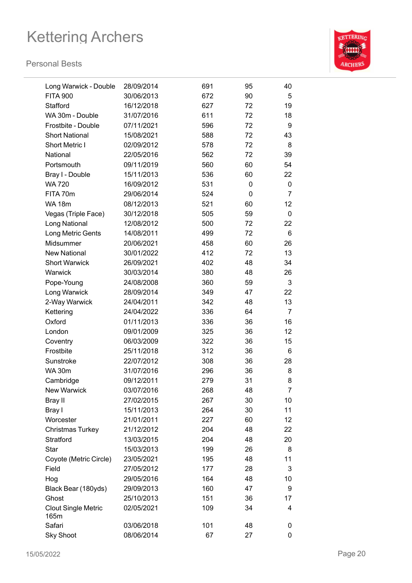

| Long Warwick - Double              | 28/09/2014 | 691 | 95 | 40             |
|------------------------------------|------------|-----|----|----------------|
| <b>FITA 900</b>                    | 30/06/2013 | 672 | 90 | 5              |
| Stafford                           | 16/12/2018 | 627 | 72 | 19             |
| WA 30m - Double                    | 31/07/2016 | 611 | 72 | 18             |
| Frostbite - Double                 | 07/11/2021 | 596 | 72 | 9              |
| <b>Short National</b>              | 15/08/2021 | 588 | 72 | 43             |
| Short Metric I                     | 02/09/2012 | 578 | 72 | 8              |
| National                           | 22/05/2016 | 562 | 72 | 39             |
| Portsmouth                         | 09/11/2019 | 560 | 60 | 54             |
| Bray I - Double                    | 15/11/2013 | 536 | 60 | 22             |
| <b>WA 720</b>                      | 16/09/2012 | 531 | 0  | 0              |
| FITA 70m                           | 29/06/2014 | 524 | 0  | $\overline{7}$ |
| <b>WA 18m</b>                      | 08/12/2013 | 521 | 60 | 12             |
| Vegas (Triple Face)                | 30/12/2018 | 505 | 59 | 0              |
| Long National                      | 12/08/2012 | 500 | 72 | 22             |
| Long Metric Gents                  | 14/08/2011 | 499 | 72 | 6              |
| Midsummer                          | 20/06/2021 | 458 | 60 | 26             |
| <b>New National</b>                | 30/01/2022 | 412 | 72 | 13             |
| <b>Short Warwick</b>               | 26/09/2021 | 402 | 48 | 34             |
| Warwick                            | 30/03/2014 | 380 | 48 | 26             |
| Pope-Young                         | 24/08/2008 | 360 | 59 | 3              |
| Long Warwick                       | 28/09/2014 | 349 | 47 | 22             |
| 2-Way Warwick                      | 24/04/2011 | 342 | 48 | 13             |
| Kettering                          | 24/04/2022 | 336 | 64 | $\overline{7}$ |
| Oxford                             | 01/11/2013 | 336 | 36 | 16             |
| London                             | 09/01/2009 | 325 | 36 | 12             |
| Coventry                           | 06/03/2009 | 322 | 36 | 15             |
| Frostbite                          | 25/11/2018 | 312 | 36 | 6              |
| Sunstroke                          | 22/07/2012 | 308 | 36 | 28             |
| <b>WA 30m</b>                      | 31/07/2016 | 296 | 36 | 8              |
| Cambridge                          | 09/12/2011 | 279 | 31 | 8              |
| New Warwick                        | 03/07/2016 | 268 | 48 | $\overline{7}$ |
| Bray II                            | 27/02/2015 | 267 | 30 | 10             |
| Bray I                             | 15/11/2013 | 264 | 30 | 11             |
| Worcester                          | 21/01/2011 | 227 | 60 | 12             |
| Christmas Turkey                   | 21/12/2012 | 204 | 48 | 22             |
| Stratford                          | 13/03/2015 | 204 | 48 | 20             |
| Star                               | 15/03/2013 | 199 | 26 | 8              |
| Coyote (Metric Circle)             | 23/05/2021 | 195 | 48 | 11             |
| Field                              | 27/05/2012 | 177 | 28 | 3              |
| Hog                                | 29/05/2016 | 164 | 48 | 10             |
| Black Bear (180yds)                | 29/09/2013 | 160 | 47 | 9              |
| Ghost                              | 25/10/2013 | 151 | 36 | 17             |
| <b>Clout Single Metric</b><br>165m | 02/05/2021 | 109 | 34 | 4              |
| Safari                             | 03/06/2018 | 101 | 48 | 0              |
| <b>Sky Shoot</b>                   | 08/06/2014 | 67  | 27 | 0              |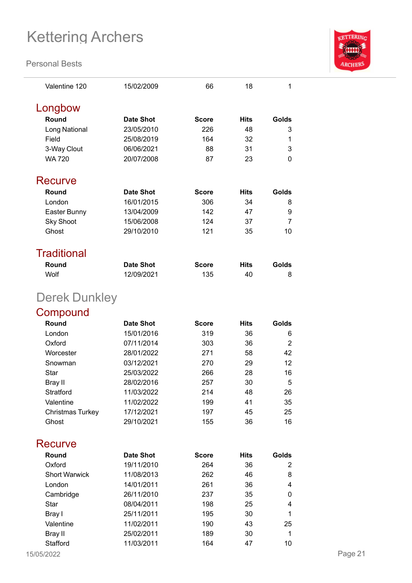#### **Personal Bests**



| Valentine 120      | 15/02/2009 | 66           | 18          | 1     |
|--------------------|------------|--------------|-------------|-------|
| Longbow            |            |              |             |       |
| Round              | Date Shot  | <b>Score</b> | <b>Hits</b> | Golds |
| Long National      | 23/05/2010 | 226          | 48          | 3     |
| Field              | 25/08/2019 | 164          | 32          | 1     |
| 3-Way Clout        | 06/06/2021 | 88           | 31          | 3     |
| <b>WA 720</b>      | 20/07/2008 | 87           | 23          | 0     |
|                    |            |              |             |       |
| Recurve            |            |              |             |       |
| Round              | Date Shot  | <b>Score</b> | <b>Hits</b> | Golds |
| London             | 16/01/2015 | 306          | 34          | 8     |
| Easter Bunny       | 13/04/2009 | 142          | 47          | 9     |
| <b>Sky Shoot</b>   | 15/06/2008 | 124          | 37          | 7     |
| Ghost              | 29/10/2010 | 121          | 35          | 10    |
|                    |            |              |             |       |
| <b>Traditional</b> |            |              |             |       |
| Round              | Date Shot  | <b>Score</b> | <b>Hits</b> | Golds |
| Wolf               | 12/09/2021 | 135          | 40          | 8     |
| Derek Dunkley      |            |              |             |       |

### **Compound**

| Round                   | Date Shot  | <b>Score</b> | <b>Hits</b> | Golds |
|-------------------------|------------|--------------|-------------|-------|
| London                  | 15/01/2016 | 319          | 36          | 6     |
| Oxford                  | 07/11/2014 | 303          | 36          | 2     |
| Worcester               | 28/01/2022 | 271          | 58          | 42    |
| Snowman                 | 03/12/2021 | 270          | 29          | 12    |
| Star                    | 25/03/2022 | 266          | 28          | 16    |
| Bray II                 | 28/02/2016 | 257          | 30          | 5     |
| Stratford               | 11/03/2022 | 214          | 48          | 26    |
| Valentine               | 11/02/2022 | 199          | 41          | 35    |
| <b>Christmas Turkey</b> | 17/12/2021 | 197          | 45          | 25    |
| Ghost                   | 29/10/2021 | 155          | 36          | 16    |

### **Recurve**

| Round                | <b>Date Shot</b> | <b>Score</b> | <b>Hits</b> | Golds |
|----------------------|------------------|--------------|-------------|-------|
| Oxford               | 19/11/2010       | 264          | 36          | 2     |
| <b>Short Warwick</b> | 11/08/2013       | 262          | 46          | 8     |
| London               | 14/01/2011       | 261          | 36          | 4     |
| Cambridge            | 26/11/2010       | 237          | 35          | 0     |
| Star                 | 08/04/2011       | 198          | 25          | 4     |
| Bray I               | 25/11/2011       | 195          | 30          | 1     |
| Valentine            | 11/02/2011       | 190          | 43          | 25    |
| Bray II              | 25/02/2011       | 189          | 30          | 1     |
| Stafford             | 11/03/2011       | 164          | 47          | 10    |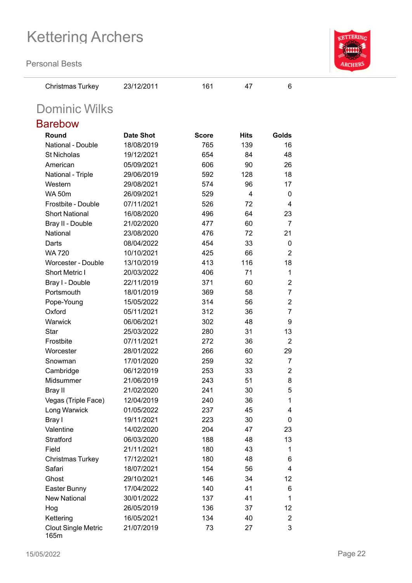**Personal Bests**



| ersonal Bests         |                  |              |             |                |
|-----------------------|------------------|--------------|-------------|----------------|
| Christmas Turkey      | 23/12/2011       | 161          | 47          | 6              |
| <b>Dominic Wilks</b>  |                  |              |             |                |
| Barebow               |                  |              |             |                |
| Round                 | <b>Date Shot</b> | <b>Score</b> | <b>Hits</b> | Golds          |
| National - Double     | 18/08/2019       | 765          | 139         | 16             |
| <b>St Nicholas</b>    | 19/12/2021       | 654          | 84          | 48             |
| American              | 05/09/2021       | 606          | 90          | 26             |
| National - Triple     | 29/06/2019       | 592          | 128         | 18             |
| Western               | 29/08/2021       | 574          | 96          | 17             |
| <b>WA 50m</b>         | 26/09/2021       | 529          | 4           | 0              |
| Frostbite - Double    | 07/11/2021       | 526          | 72          | 4              |
| <b>Short National</b> | 16/08/2020       | 496          | 64          | 23             |
| Bray II - Double      | 21/02/2020       | 477          | 60          | $\overline{7}$ |
| National              | 23/08/2020       | 476          | 72          | 21             |
| Darts                 | 08/04/2022       | 454          | 33          | 0              |
| <b>WA 720</b>         | 10/10/2021       | 425          | 66          | $\overline{2}$ |
| Worcester - Double    | 13/10/2019       | 413          | 116         | 18             |
| <b>Short Metric I</b> | 20/03/2022       | 406          | 71          | 1              |
| Bray I - Double       | 22/11/2019       | 371          | 60          | $\overline{2}$ |
| Portsmouth            | 18/01/2019       | 369          | 58          | 7              |
| Pope-Young            | 15/05/2022       | 314          | 56          | $\overline{2}$ |
| Oxford                | 05/11/2021       | 312          | 36          | 7              |
| Warwick               | 06/06/2021       | 302          | 48          | 9              |
| <b>Star</b>           | 25/03/2022       | 280          | 31          | 13             |
| Frostbite             | 07/11/2021       | 272          | 36          | $\overline{2}$ |
| Worcester             | 28/01/2022       | 266          | 60          | 29             |
| Snowman               | 17/01/2020       | 259          | 32          | $\overline{7}$ |
| Cambridge             | 06/12/2019       | 253          | 33          | 2              |
| Midsummer             | 21/06/2019       | 243          | 51          | 8              |
| <b>Bray II</b>        | 21/02/2020       | 241          | 30          | 5              |
| Vegas (Triple Face)   | 12/04/2019       | 240          | 36          | 1              |
| Long Warwick          | 01/05/2022       | 237          | 45          | 4              |
| Bray I                | 19/11/2021       | 223          | 30          | 0              |
| Valentine             | 14/02/2020       | 204          | 47          | 23             |
| Stratford             | 06/03/2020       | 188          | 48          | 13             |
| Field                 | 21/11/2021       | 180          | 43          | 1              |

Christmas Turkey 17/12/2021 180 48 6 Safari 18/07/2021 154 56 4 Ghost 29/10/2021 146 34 12 Easter Bunny 17/04/2022 140 41 6 New National 30/01/2022 137 41 1 Hog 26/05/2019 136 37 12 Kettering 16/05/2021 134 40 2

21/07/2019 73 27 3

165m

Clout Single Metric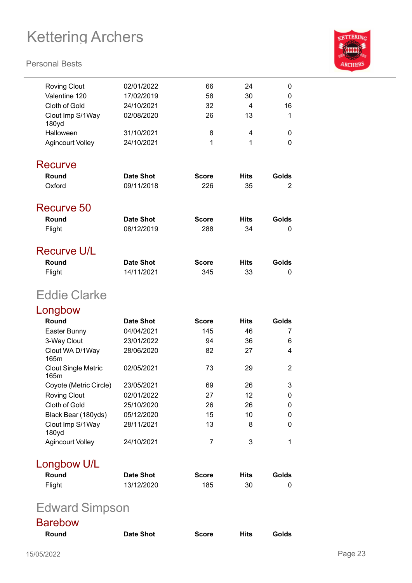#### **Personal Bests**



| <b>Roving Clout</b>                | 02/01/2022       | 66             | 24          | 0              |
|------------------------------------|------------------|----------------|-------------|----------------|
| Valentine 120                      | 17/02/2019       | 58             | 30          | 0              |
| <b>Cloth of Gold</b>               | 24/10/2021       | 32             | 4           | 16             |
| Clout Imp S/1Way<br>180yd          | 02/08/2020       | 26             | 13          | 1              |
| Halloween                          | 31/10/2021       | 8              | 4           | 0              |
| <b>Agincourt Volley</b>            | 24/10/2021       | 1              | 1           | 0              |
| <b>Recurve</b>                     |                  |                |             |                |
| Round                              | <b>Date Shot</b> | <b>Score</b>   | <b>Hits</b> | Golds          |
| Oxford                             | 09/11/2018       | 226            | 35          | $\overline{2}$ |
| Recurve 50                         |                  |                |             |                |
| Round                              | <b>Date Shot</b> | <b>Score</b>   | <b>Hits</b> | Golds          |
| Flight                             | 08/12/2019       | 288            | 34          | 0              |
|                                    |                  |                |             |                |
| <b>Recurve U/L</b>                 |                  |                |             |                |
| Round                              | <b>Date Shot</b> | <b>Score</b>   | <b>Hits</b> | Golds          |
| Flight                             | 14/11/2021       | 345            | 33          | 0              |
| <b>Eddie Clarke</b>                |                  |                |             |                |
| Longbow                            |                  |                |             |                |
| Round                              | <b>Date Shot</b> | <b>Score</b>   | <b>Hits</b> | Golds          |
| Easter Bunny                       | 04/04/2021       | 145            | 46          | 7              |
| 3-Way Clout                        | 23/01/2022       | 94             | 36          | 6              |
| Clout WA D/1Way<br>165m            | 28/06/2020       | 82             | 27          | 4              |
| <b>Clout Single Metric</b><br>165m | 02/05/2021       | 73             | 29          | 2              |
| Coyote (Metric Circle)             | 23/05/2021       | 69             | 26          | 3              |
| <b>Roving Clout</b>                | 02/01/2022       | 27             | 12          | 0              |
| Cloth of Gold                      | 25/10/2020       | 26             | 26          | 0              |
| Black Bear (180yds)                | 05/12/2020       | 15             | 10          | 0              |
| Clout Imp S/1Way<br>180yd          | 28/11/2021       | 13             | 8           | 0              |
| <b>Agincourt Volley</b>            | 24/10/2021       | $\overline{7}$ | 3           | 1              |
| Longbow U/L                        |                  |                |             |                |
| Round                              | <b>Date Shot</b> | <b>Score</b>   | <b>Hits</b> | Golds          |
| Flight                             | 13/12/2020       | 185            | 30          | 0              |
|                                    |                  |                |             |                |

## Edward Simpson

| <b>Barebow</b> |                  |              |      |       |
|----------------|------------------|--------------|------|-------|
| Round          | <b>Date Shot</b> | <b>Score</b> | Hits | Golds |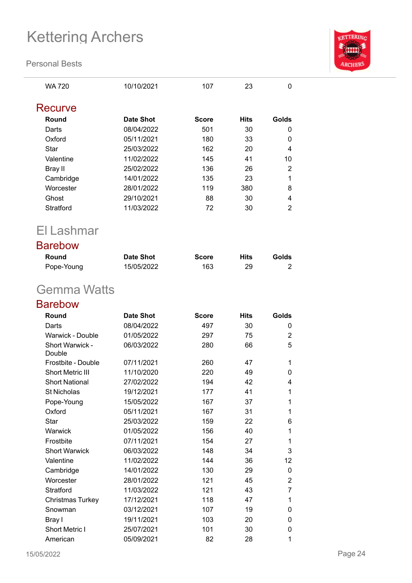**Personal Bests**



WA 720 10/10/2021 107 23 0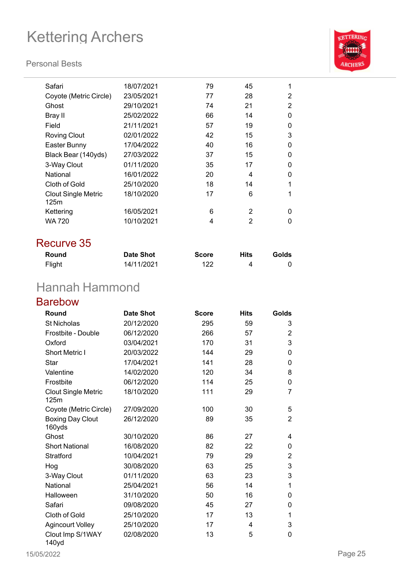#### **Personal Bests**



| Safari                             | 18/07/2021 | 79 | 45 |   |
|------------------------------------|------------|----|----|---|
| Coyote (Metric Circle)             | 23/05/2021 | 77 | 28 | 2 |
| Ghost                              | 29/10/2021 | 74 | 21 | 2 |
| Bray II                            | 25/02/2022 | 66 | 14 | 0 |
| Field                              | 21/11/2021 | 57 | 19 | 0 |
| <b>Roving Clout</b>                | 02/01/2022 | 42 | 15 | 3 |
| Easter Bunny                       | 17/04/2022 | 40 | 16 | 0 |
| Black Bear (140yds)                | 27/03/2022 | 37 | 15 | 0 |
| 3-Way Clout                        | 01/11/2020 | 35 | 17 | 0 |
| National                           | 16/01/2022 | 20 | 4  | 0 |
| Cloth of Gold                      | 25/10/2020 | 18 | 14 | 1 |
| <b>Clout Single Metric</b><br>125m | 18/10/2020 | 17 | 6  |   |
| Kettering                          | 16/05/2021 | 6  | 2  | ŋ |
| WA 720                             | 10/10/2021 | 4  | 2  | ŋ |
|                                    |            |    |    |   |

### Recurve 35

| Round  | <b>Date Shot</b> | <b>Score</b> | <b>Hits</b> | Golds |
|--------|------------------|--------------|-------------|-------|
| Flight | 14/11/2021       | 122          | 4           |       |

## Hannah Hammond

### Barebow

| Round                              | <b>Date Shot</b> | <b>Score</b> | <b>Hits</b> | Golds          |
|------------------------------------|------------------|--------------|-------------|----------------|
| <b>St Nicholas</b>                 | 20/12/2020       | 295          | 59          | 3              |
| Frostbite - Double                 | 06/12/2020       | 266          | 57          | 2              |
| Oxford                             | 03/04/2021       | 170          | 31          | 3              |
| <b>Short Metric I</b>              | 20/03/2022       | 144          | 29          | 0              |
| <b>Star</b>                        | 17/04/2021       | 141          | 28          | 0              |
| Valentine                          | 14/02/2020       | 120          | 34          | 8              |
| Frostbite                          | 06/12/2020       | 114          | 25          | 0              |
| <b>Clout Single Metric</b><br>125m | 18/10/2020       | 111          | 29          | 7              |
| Coyote (Metric Circle)             | 27/09/2020       | 100          | 30          | 5              |
| <b>Boxing Day Clout</b><br>160yds  | 26/12/2020       | 89           | 35          | $\overline{2}$ |
| Ghost                              | 30/10/2020       | 86           | 27          | 4              |
| <b>Short National</b>              | 16/08/2020       | 82           | 22          | 0              |
| Stratford                          | 10/04/2021       | 79           | 29          | $\overline{2}$ |
| Hog                                | 30/08/2020       | 63           | 25          | 3              |
| 3-Way Clout                        | 01/11/2020       | 63           | 23          | 3              |
| National                           | 25/04/2021       | 56           | 14          | 1              |
| Halloween                          | 31/10/2020       | 50           | 16          | 0              |
| Safari                             | 09/08/2020       | 45           | 27          | 0              |
| Cloth of Gold                      | 25/10/2020       | 17           | 13          | 1              |
| <b>Agincourt Volley</b>            | 25/10/2020       | 17           | 4           | 3              |
| Clout Imp S/1WAY<br>140yd          | 02/08/2020       | 13           | 5           | 0              |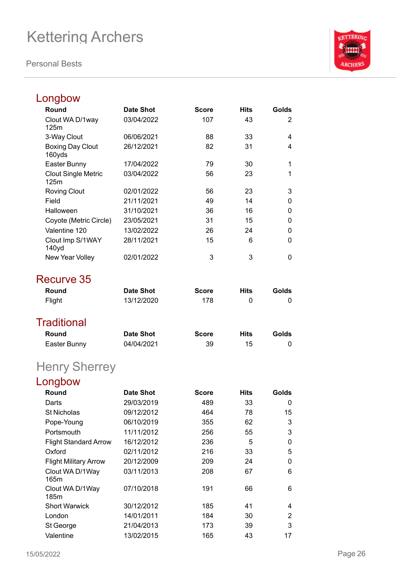**Personal Bests**



#### Longbow **Round Date Shot Score Hits Golds** Clout WA D/1way 125m 03/04/2022 107 43 2 3-Way Clout 06/06/2021 88 33 4 Boxing Day Clout 160yds 26/12/2021 82 31 4 Easter Bunny 17/04/2022 79 30 1 Clout Single Metric 125m 03/04/2022 56 23 1 Roving Clout 02/01/2022 56 23 3 Field 21/11/2021 49 14 0 Halloween 31/10/2021 36 16 0 Coyote (Metric Circle) 23/05/2021 31 15 0 Valentine 120 13/02/2022 26 24 0 Clout Imp S/1WAY 140yd 28/11/2021 15 6 0 New Year Volley 02/01/2022 3 3 0 Recurve 35 **Round Date Shot Score Hits Golds** Flight 13/12/2020 178 0 0 **Traditional Round Date Shot Score Hits Golds** Easter Bunny 04/04/2021 39 15 0 Henry Sherrey Longbow **Round Date Shot Score Hits Golds** Darts 29/03/2019 489 33 0 St Nicholas 09/12/2012 464 78 15 Pope-Young 06/10/2019 355 62 3 Portsmouth 11/11/2012 256 55 3 Flight Standard Arrow 16/12/2012 236 5 0 Oxford 02/11/2012 216 33 5 Flight Military Arrow 20/12/2009 209 24 0 Clout WA D/1Way 165m 03/11/2013 208 67 6 Clout WA D/1Way 185m 07/10/2018 191 66 6 Short Warwick 30/12/2012 185 41 4 London 14/01/2011 184 30 2 St George 21/04/2013 173 39 3

Valentine 13/02/2015 165 43 17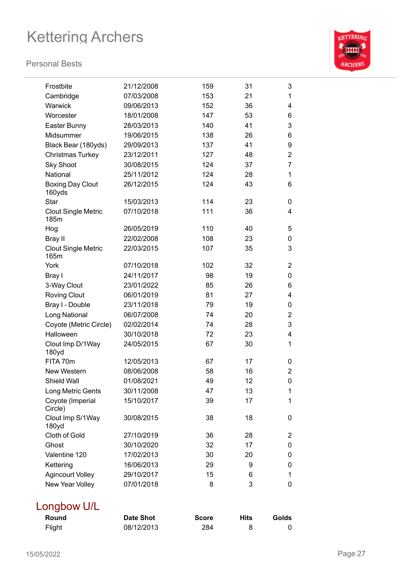#### **Personal Bests**



| Frostbite                          | 21/12/2008 | 159 | 31 | 3              |
|------------------------------------|------------|-----|----|----------------|
| Cambridge                          | 07/03/2008 | 153 | 21 | 1              |
| Warwick                            | 09/06/2013 | 152 | 36 | 4              |
| Worcester                          | 18/01/2008 | 147 | 53 | 6              |
| Easter Bunny                       | 28/03/2013 | 140 | 41 | 3              |
| Midsummer                          | 19/06/2015 | 138 | 26 | 6              |
| Black Bear (180yds)                | 29/09/2013 | 137 | 41 | 9              |
| Christmas Turkey                   | 23/12/2011 | 127 | 48 | $\overline{2}$ |
| <b>Sky Shoot</b>                   | 30/08/2015 | 124 | 37 | 7              |
| National                           | 25/11/2012 | 124 | 28 | 1              |
| <b>Boxing Day Clout</b><br>160yds  | 26/12/2015 | 124 | 43 | 6              |
| <b>Star</b>                        | 15/03/2013 | 114 | 23 | 0              |
| <b>Clout Single Metric</b><br>185m | 07/10/2018 | 111 | 36 | $\overline{4}$ |
| Hog                                | 26/05/2019 | 110 | 40 | 5              |
| Bray II                            | 22/02/2008 | 108 | 23 | 0              |
| <b>Clout Single Metric</b><br>165m | 22/03/2015 | 107 | 35 | 3              |
| York                               | 07/10/2018 | 102 | 32 | 2              |
| Bray I                             | 24/11/2017 | 98  | 19 | 0              |
| 3-Way Clout                        | 23/01/2022 | 85  | 26 | 6              |
| <b>Roving Clout</b>                | 06/01/2019 | 81  | 27 | 4              |
| Bray I - Double                    | 23/11/2018 | 79  | 19 | 0              |
| Long National                      | 06/07/2008 | 74  | 20 | $\overline{2}$ |
| Coyote (Metric Circle)             | 02/02/2014 | 74  | 28 | 3              |
| Halloween                          | 30/10/2018 | 72  | 23 | 4              |
| Clout Imp D/1Way<br>180yd          | 24/05/2015 | 67  | 30 | 1              |
| FITA 70m                           | 12/05/2013 | 67  | 17 | 0              |
| New Western                        | 08/06/2008 | 58  | 16 | 2              |
| <b>Shield Wall</b>                 | 01/08/2021 | 49  | 12 | 0              |
| Long Metric Gents                  | 30/11/2008 | 47  | 13 | 1              |
| Coyote (Imperial<br>Circle)        | 15/10/2017 | 39  | 17 | 1              |
| Clout Imp S/1Way<br>180yd          | 30/08/2015 | 38  | 18 | 0              |
| Cloth of Gold                      | 27/10/2019 | 36  | 28 | $\overline{2}$ |
| Ghost                              | 30/10/2020 | 32  | 17 | 0              |
| Valentine 120                      | 17/02/2013 | 30  | 20 | 0              |
| Kettering                          | 16/06/2013 | 29  | 9  | 0              |
| <b>Agincourt Volley</b>            | 29/10/2017 | 15  | 6  | 1              |
| New Year Volley                    | 07/01/2018 | 8   | 3  | 0              |
|                                    |            |     |    |                |

## Longbow U/L

| <b>Round</b> | Date Shot  | <b>Score</b> | <b>Hits</b> | Golds |
|--------------|------------|--------------|-------------|-------|
| Flight       | 08/12/2013 | 284          |             |       |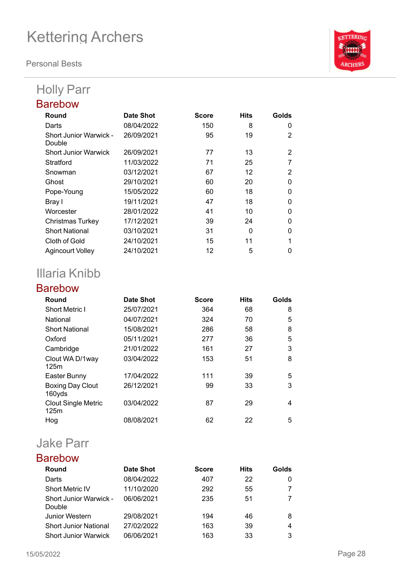**Personal Bests**

## Holly Parr

| Round                            | Date Shot  | <b>Score</b> | <b>Hits</b> | Golds    |
|----------------------------------|------------|--------------|-------------|----------|
| Darts                            | 08/04/2022 | 150          | 8           | 0        |
| Short Junior Warwick -<br>Double | 26/09/2021 | 95           | 19          | 2        |
| <b>Short Junior Warwick</b>      | 26/09/2021 | 77           | 13          | 2        |
| Stratford                        | 11/03/2022 | 71           | 25          |          |
| Snowman                          | 03/12/2021 | 67           | 12          | 2        |
| Ghost                            | 29/10/2021 | 60           | 20          | $\Omega$ |
| Pope-Young                       | 15/05/2022 | 60           | 18          | 0        |
| Bray I                           | 19/11/2021 | 47           | 18          | ∩        |
| Worcester                        | 28/01/2022 | 41           | 10          | 0        |
| <b>Christmas Turkey</b>          | 17/12/2021 | 39           | 24          | O        |
| <b>Short National</b>            | 03/10/2021 | 31           | 0           | 0        |
| Cloth of Gold                    | 24/10/2021 | 15           | 11          |          |
| <b>Agincourt Volley</b>          | 24/10/2021 | 12           | 5           |          |

## Illaria Knibb

### Barebow

| Round                              | Date Shot  | <b>Score</b> | <b>Hits</b> | Golds |
|------------------------------------|------------|--------------|-------------|-------|
| <b>Short Metric I</b>              | 25/07/2021 | 364          | 68          | 8     |
| National                           | 04/07/2021 | 324          | 70          | 5     |
| <b>Short National</b>              | 15/08/2021 | 286          | 58          | 8     |
| Oxford                             | 05/11/2021 | 277          | 36          | 5     |
| Cambridge                          | 21/01/2022 | 161          | 27          | 3     |
| Clout WA D/1way<br>125m            | 03/04/2022 | 153          | 51          | 8     |
| Easter Bunny                       | 17/04/2022 | 111          | 39          | 5     |
| <b>Boxing Day Clout</b><br>160yds  | 26/12/2021 | 99           | 33          | 3     |
| <b>Clout Single Metric</b><br>125m | 03/04/2022 | 87           | 29          | 4     |
| Hog                                | 08/08/2021 | 62           | 22          | 5     |

## Jake Parr

| <b>Round</b>                  | Date Shot  | <b>Score</b> | <b>Hits</b> | Golds |
|-------------------------------|------------|--------------|-------------|-------|
| Darts                         | 08/04/2022 | 407          | 22          |       |
| <b>Short Metric IV</b>        | 11/10/2020 | 292          | 55          |       |
| <b>Short Junior Warwick -</b> | 06/06/2021 | 235          | 51          |       |
| Double                        |            |              |             |       |
| Junior Western                | 29/08/2021 | 194          | 46          | 8     |
| <b>Short Junior National</b>  | 27/02/2022 | 163          | 39          | 4     |
| <b>Short Junior Warwick</b>   | 06/06/2021 | 163          | 33          | 3     |

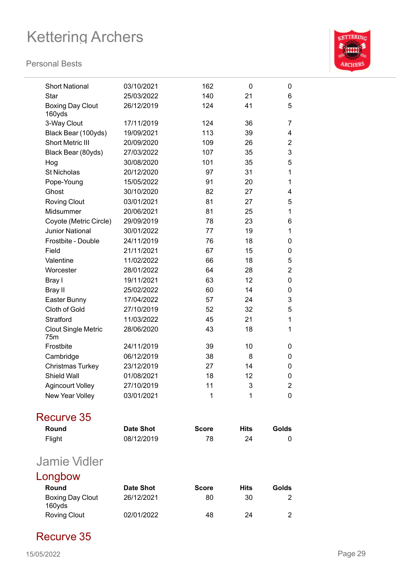#### **Personal Bests**



| <b>Short National</b>             | 03/10/2021       | 162          | 0           | 0              |
|-----------------------------------|------------------|--------------|-------------|----------------|
| Star                              | 25/03/2022       | 140          | 21          | 6              |
| <b>Boxing Day Clout</b><br>160yds | 26/12/2019       | 124          | 41          | 5              |
| 3-Way Clout                       | 17/11/2019       | 124          | 36          | 7              |
| Black Bear (100yds)               | 19/09/2021       | 113          | 39          | 4              |
| <b>Short Metric III</b>           | 20/09/2020       | 109          | 26          | $\overline{2}$ |
| Black Bear (80yds)                | 27/03/2022       | 107          | 35          | 3              |
| Hog                               | 30/08/2020       | 101          | 35          | 5              |
| <b>St Nicholas</b>                | 20/12/2020       | 97           | 31          | 1              |
| Pope-Young                        | 15/05/2022       | 91           | 20          | 1              |
| Ghost                             | 30/10/2020       | 82           | 27          | 4              |
| <b>Roving Clout</b>               | 03/01/2021       | 81           | 27          | 5              |
| Midsummer                         | 20/06/2021       | 81           | 25          | 1              |
| Coyote (Metric Circle)            | 29/09/2019       | 78           | 23          | 6              |
| <b>Junior National</b>            | 30/01/2022       | 77           | 19          | 1              |
| Frostbite - Double                | 24/11/2019       | 76           | 18          | 0              |
| Field                             | 21/11/2021       | 67           | 15          | 0              |
| Valentine                         | 11/02/2022       | 66           | 18          | 5              |
| Worcester                         | 28/01/2022       | 64           | 28          | $\overline{2}$ |
| Bray I                            | 19/11/2021       | 63           | 12          | 0              |
| Bray II                           | 25/02/2022       | 60           | 14          | 0              |
| Easter Bunny                      | 17/04/2022       | 57           | 24          | 3              |
| Cloth of Gold                     | 27/10/2019       | 52           | 32          | 5              |
| Stratford                         | 11/03/2022       | 45           | 21          | 1              |
| <b>Clout Single Metric</b><br>75m | 28/06/2020       | 43           | 18          | 1              |
| Frostbite                         | 24/11/2019       | 39           | 10          | 0              |
| Cambridge                         | 06/12/2019       | 38           | 8           | 0              |
| Christmas Turkey                  | 23/12/2019       | 27           | 14          | 0              |
| Shield Wall                       | 01/08/2021       | 18           | 12          | 0              |
| Agincourt Volley                  | 27/10/2019       | 11           | 3           | 2              |
| New Year Volley                   | 03/01/2021       | 1            | 1           | 0              |
| Recurve 35                        |                  |              |             |                |
| Round                             | <b>Date Shot</b> | <b>Score</b> | <b>Hits</b> | Golds          |
| Flight                            | 08/12/2019       | 78           | 24          | 0              |
| <b>Jamie Vidler</b>               |                  |              |             |                |
| Longbow                           |                  |              |             |                |
| <b>Round</b>                      | <b>Date Shot</b> | <b>Score</b> | Hits        | Golds          |
| <b>Boxing Day Clout</b><br>160yds | 26/12/2021       | 80           | 30          | 2              |
| <b>Roving Clout</b>               | 02/01/2022       | 48           | 24          | $\mathbf{2}$   |

### Recurve 35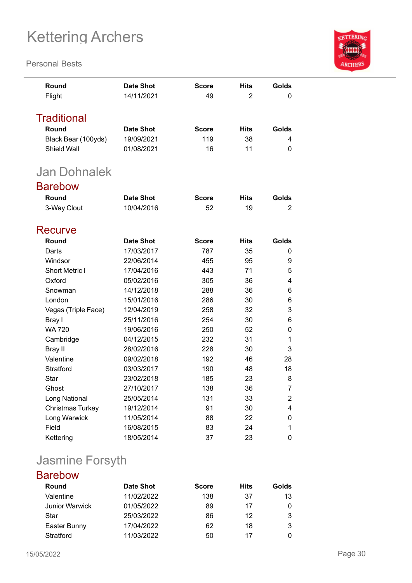#### **Personal Bests**



| Round<br>Flight                    | <b>Date Shot</b><br>14/11/2021 | <b>Score</b><br>49 | <b>Hits</b><br>$\overline{2}$ | Golds<br>0     |
|------------------------------------|--------------------------------|--------------------|-------------------------------|----------------|
| <b>Traditional</b>                 |                                |                    |                               |                |
| Round                              | <b>Date Shot</b>               | <b>Score</b>       | <b>Hits</b>                   | Golds          |
|                                    | 19/09/2021                     | 119                |                               | 4              |
| Black Bear (100yds)<br>Shield Wall | 01/08/2021                     | 16                 | 38<br>11                      | 0              |
|                                    |                                |                    |                               |                |
| <b>Jan Dohnalek</b>                |                                |                    |                               |                |
| <b>Barebow</b>                     |                                |                    |                               |                |
| Round                              | <b>Date Shot</b>               | <b>Score</b>       | <b>Hits</b>                   | Golds          |
| 3-Way Clout                        | 10/04/2016                     | 52                 | 19                            | 2              |
|                                    |                                |                    |                               |                |
| Recurve                            |                                |                    |                               |                |
| Round                              | <b>Date Shot</b>               | <b>Score</b>       | <b>Hits</b>                   | Golds          |
| Darts                              | 17/03/2017                     | 787                | 35                            | 0              |
| Windsor                            | 22/06/2014                     | 455                | 95                            | 9              |
| <b>Short Metric I</b>              | 17/04/2016                     | 443                | 71                            | 5              |
| Oxford                             | 05/02/2016                     | 305                | 36                            | 4              |
| Snowman                            | 14/12/2018                     | 288                | 36                            | 6              |
| London                             | 15/01/2016                     | 286                | 30                            | 6              |
| Vegas (Triple Face)                | 12/04/2019                     | 258                | 32                            | 3              |
| Bray I                             | 25/11/2016                     | 254                | 30                            | 6              |
| <b>WA 720</b>                      | 19/06/2016                     | 250                | 52                            | 0              |
| Cambridge                          | 04/12/2015                     | 232                | 31                            | 1              |
| Bray II                            | 28/02/2016                     | 228                | 30                            | 3              |
| Valentine                          | 09/02/2018                     | 192                | 46                            | 28             |
| Stratford                          | 03/03/2017                     | 190                | 48                            | 18             |
| Star                               | 23/02/2018                     | 185                | 23                            | 8              |
| Ghost                              | 27/10/2017                     | 138                | 36                            | $\overline{7}$ |
| Long National                      | 25/05/2014                     | 131                | 33                            | 2              |
| Christmas Turkey                   | 19/12/2014                     | 91                 | 30                            | 4              |
| Long Warwick                       | 11/05/2014                     | 88                 | 22                            | 0              |
| Field                              | 16/08/2015                     | 83                 | 24                            | 1              |
| Kettering                          | 18/05/2014                     | 37                 | 23                            | 0              |

## Jasmine Forsyth

| <b>Barebow</b>        |            |              |             |       |
|-----------------------|------------|--------------|-------------|-------|
| Round                 | Date Shot  | <b>Score</b> | <b>Hits</b> | Golds |
| Valentine             | 11/02/2022 | 138          | 37          | 13    |
| <b>Junior Warwick</b> | 01/05/2022 | 89           | 17          | 0     |
| Star                  | 25/03/2022 | 86           | 12          | 3     |
| Easter Bunny          | 17/04/2022 | 62           | 18          | 3     |
| Stratford             | 11/03/2022 | 50           | 17          |       |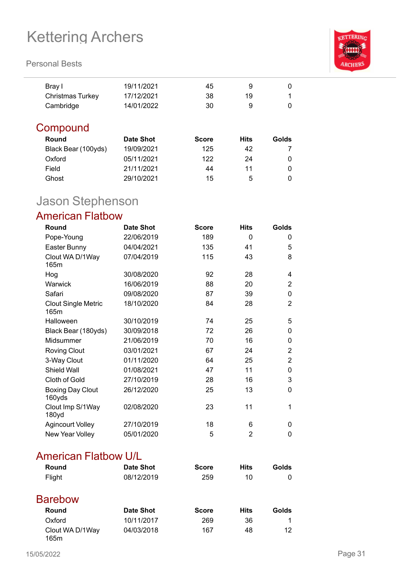#### **Personal Bests**



| Bray I           | 19/11/2021 | 45 |    |  |
|------------------|------------|----|----|--|
| Christmas Turkey | 17/12/2021 | 38 | 19 |  |
| Cambridge        | 14/01/2022 | 30 |    |  |

### **Compound**

| Round               | <b>Date Shot</b> | <b>Score</b> | Hits | Golds |
|---------------------|------------------|--------------|------|-------|
| Black Bear (100yds) | 19/09/2021       | 125          | 42   |       |
| Oxford              | 05/11/2021       | 122          | 24   |       |
| Field               | 21/11/2021       | 44           | 11   |       |
| Ghost               | 29/10/2021       | 15           | 5    |       |

## Jason Stephenson

### American Flatbow

| Round                              | <b>Date Shot</b> | <b>Score</b> | <b>Hits</b> | <b>Golds</b>   |
|------------------------------------|------------------|--------------|-------------|----------------|
| Pope-Young                         | 22/06/2019       | 189          | 0           | 0              |
| Easter Bunny                       | 04/04/2021       | 135          | 41          | 5              |
| Clout WA D/1Way<br>165m            | 07/04/2019       | 115          | 43          | 8              |
| Hog                                | 30/08/2020       | 92           | 28          | 4              |
| Warwick                            | 16/06/2019       | 88           | 20          | 2              |
| Safari                             | 09/08/2020       | 87           | 39          | 0              |
| <b>Clout Single Metric</b><br>165m | 18/10/2020       | 84           | 28          | $\overline{2}$ |
| Halloween                          | 30/10/2019       | 74           | 25          | 5              |
| Black Bear (180yds)                | 30/09/2018       | 72           | 26          | 0              |
| Midsummer                          | 21/06/2019       | 70           | 16          | 0              |
| <b>Roving Clout</b>                | 03/01/2021       | 67           | 24          | 2              |
| 3-Way Clout                        | 01/11/2020       | 64           | 25          | 2              |
| Shield Wall                        | 01/08/2021       | 47           | 11          | 0              |
| Cloth of Gold                      | 27/10/2019       | 28           | 16          | 3              |
| <b>Boxing Day Clout</b><br>160yds  | 26/12/2020       | 25           | 13          | 0              |
| Clout Imp S/1Way<br>180yd          | 02/08/2020       | 23           | 11          | 1              |
| <b>Agincourt Volley</b>            | 27/10/2019       | 18           | 6           | $\Omega$       |
| New Year Volley                    | 05/01/2020       | 5            | 2           | 0              |

### American Flatbow U/L

| Round                   | <b>Date Shot</b> | <b>Score</b> | <b>Hits</b> | Golds |
|-------------------------|------------------|--------------|-------------|-------|
| Flight                  | 08/12/2019       | 259          | 10          | 0     |
| <b>Barebow</b>          |                  |              |             |       |
| Round                   | <b>Date Shot</b> | <b>Score</b> | <b>Hits</b> | Golds |
| Oxford                  | 10/11/2017       | 269          | 36          | 1     |
| Clout WA D/1Way<br>165m | 04/03/2018       | 167          | 48          | 12    |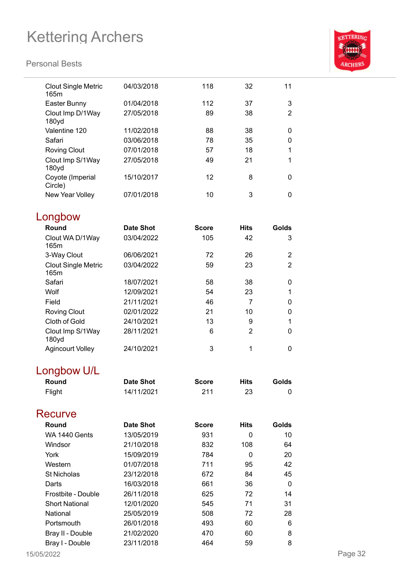

| <b>Clout Single Metric</b><br>165m | 04/03/2018       | 118          | 32             | 11             |
|------------------------------------|------------------|--------------|----------------|----------------|
| Easter Bunny                       | 01/04/2018       | 112          | 37             | 3              |
| Clout Imp D/1Way<br>180yd          | 27/05/2018       | 89           | 38             | $\overline{2}$ |
| Valentine 120                      | 11/02/2018       | 88           | 38             | 0              |
| Safari                             | 03/06/2018       | 78           | 35             | 0              |
| <b>Roving Clout</b>                | 07/01/2018       | 57           | 18             | 1              |
| Clout Imp S/1Way<br>180yd          | 27/05/2018       | 49           | 21             | 1              |
| Coyote (Imperial<br>Circle)        | 15/10/2017       | 12           | 8              | 0              |
| New Year Volley                    | 07/01/2018       | 10           | 3              | 0              |
| Longbow                            |                  |              |                |                |
| Round                              | <b>Date Shot</b> | <b>Score</b> | <b>Hits</b>    | Golds          |
| Clout WA D/1Way<br>165m            | 03/04/2022       | 105          | 42             | 3              |
| 3-Way Clout                        | 06/06/2021       | 72           | 26             | $\overline{2}$ |
| <b>Clout Single Metric</b><br>165m | 03/04/2022       | 59           | 23             | $\overline{2}$ |
| Safari                             | 18/07/2021       | 58           | 38             | 0              |
| Wolf                               | 12/09/2021       | 54           | 23             | 1              |
| Field                              | 21/11/2021       | 46           | 7              | 0              |
| <b>Roving Clout</b>                | 02/01/2022       | 21           | 10             | 0              |
| Cloth of Gold                      | 24/10/2021       | 13           | 9              | 1              |
| Clout Imp S/1Way<br>180yd          | 28/11/2021       | 6            | $\overline{2}$ | 0              |
| <b>Agincourt Volley</b>            | 24/10/2021       | 3            | 1              | 0              |
| Longbow U/L                        |                  |              |                |                |
| Round                              | <b>Date Shot</b> | <b>Score</b> | <b>Hits</b>    | Golds          |
| Flight                             | 14/11/2021       | 211          | 23             | 0              |
| Recurve                            |                  |              |                |                |
| Round                              | <b>Date Shot</b> | <b>Score</b> | <b>Hits</b>    | Golds          |
| WA 1440 Gents                      | 13/05/2019       | 931          | 0              | 10             |
| Windsor                            | 21/10/2018       | 832          | 108            | 64             |
| York                               | 15/09/2019       | 784          | $\Omega$       | 20             |
| Western                            | 01/07/2018       | 711          | 95             | 42             |
| <b>St Nicholas</b>                 | 23/12/2018       | 672          | 84             | 45             |
| Darts                              | 16/03/2018       | 661          | 36             | 0              |
| Frostbite - Double                 | 26/11/2018       | 625          | 72             | 14             |
| <b>Short National</b>              | 12/01/2020       | 545          | 71             | 31             |
| National                           | 25/05/2019       | 508          | 72             | 28             |
| Portsmouth                         | 26/01/2018       | 493          | 60             | 6              |
| Bray II - Double                   | 21/02/2020       | 470          | 60             | 8              |
| Bray I - Double                    | 23/11/2018       | 464          | 59             | 8              |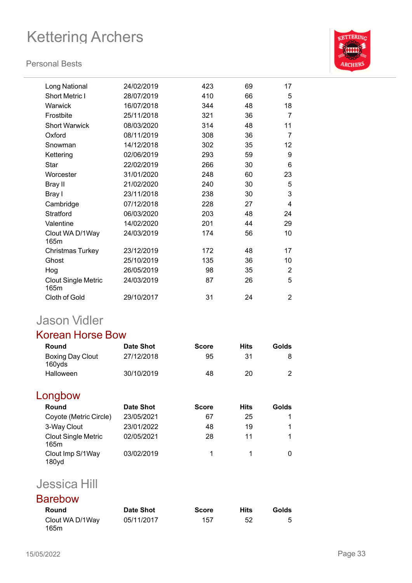#### **Personal Bests**



| Long National                      | 24/02/2019 | 423 | 69 | 17             |
|------------------------------------|------------|-----|----|----------------|
| <b>Short Metric I</b>              | 28/07/2019 | 410 | 66 | 5              |
| Warwick                            | 16/07/2018 | 344 | 48 | 18             |
| Frostbite                          | 25/11/2018 | 321 | 36 | $\overline{7}$ |
| <b>Short Warwick</b>               | 08/03/2020 | 314 | 48 | 11             |
| Oxford                             | 08/11/2019 | 308 | 36 | 7              |
| Snowman                            | 14/12/2018 | 302 | 35 | 12             |
| Kettering                          | 02/06/2019 | 293 | 59 | 9              |
| Star                               | 22/02/2019 | 266 | 30 | 6              |
| Worcester                          | 31/01/2020 | 248 | 60 | 23             |
| Bray II                            | 21/02/2020 | 240 | 30 | 5              |
| Bray I                             | 23/11/2018 | 238 | 30 | 3              |
| Cambridge                          | 07/12/2018 | 228 | 27 | 4              |
| Stratford                          | 06/03/2020 | 203 | 48 | 24             |
| Valentine                          | 14/02/2020 | 201 | 44 | 29             |
| Clout WA D/1Way<br>165m            | 24/03/2019 | 174 | 56 | 10             |
| <b>Christmas Turkey</b>            | 23/12/2019 | 172 | 48 | 17             |
| Ghost                              | 25/10/2019 | 135 | 36 | 10             |
| Hog                                | 26/05/2019 | 98  | 35 | 2              |
| <b>Clout Single Metric</b><br>165m | 24/03/2019 | 87  | 26 | 5              |
| Cloth of Gold                      | 29/10/2017 | 31  | 24 | 2              |
|                                    |            |     |    |                |

## Jason Vidler

### Korean Horse Bow

| Round                             | Date Shot  | <b>Score</b> | Hits | Golds |
|-----------------------------------|------------|--------------|------|-------|
| <b>Boxing Day Clout</b><br>160yds | 27/12/2018 | 95           | 31   |       |
| Halloween                         | 30/10/2019 | 48           | 20   |       |

### Longbow

| Round                                 | <b>Date Shot</b> | <b>Score</b> | <b>Hits</b> | Golds |
|---------------------------------------|------------------|--------------|-------------|-------|
| Coyote (Metric Circle)                | 23/05/2021       | 67           | 25          |       |
| 3-Way Clout                           | 23/01/2022       | 48           | 19          |       |
| <b>Clout Single Metric</b><br>165m    | 02/05/2021       | 28           | 11          |       |
| Clout Imp S/1Way<br>180 <sub>yd</sub> | 03/02/2019       |              |             |       |

## Jessica Hill

### Barebow

| Round                   | Date Shot  | <b>Score</b> | <b>Hits</b> | Golds |
|-------------------------|------------|--------------|-------------|-------|
| Clout WA D/1Way<br>165m | 05/11/2017 | 157          | 52          |       |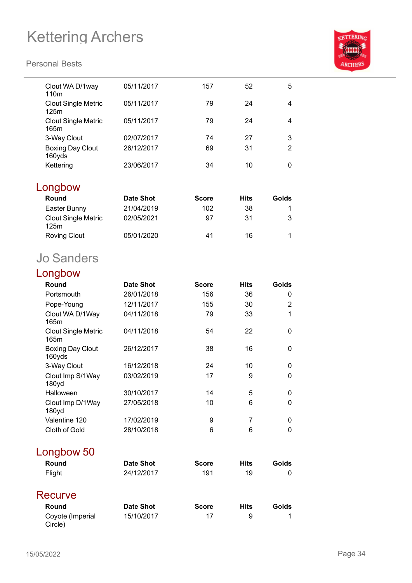

| Clout WA D/1way<br>110 <sub>m</sub> | 05/11/2017       | 157          | 52          | 5              |
|-------------------------------------|------------------|--------------|-------------|----------------|
| <b>Clout Single Metric</b><br>125m  | 05/11/2017       | 79           | 24          | $\overline{4}$ |
| <b>Clout Single Metric</b><br>165m  | 05/11/2017       | 79           | 24          | $\overline{4}$ |
| 3-Way Clout                         | 02/07/2017       | 74           | 27          | 3              |
| <b>Boxing Day Clout</b><br>160yds   | 26/12/2017       | 69           | 31          | $\overline{2}$ |
| Kettering                           | 23/06/2017       | 34           | 10          | 0              |
| Longbow                             |                  |              |             |                |
| Round                               | <b>Date Shot</b> | <b>Score</b> | <b>Hits</b> | Golds          |
| Easter Bunny                        | 21/04/2019       | 102          | 38          | 1              |
| <b>Clout Single Metric</b><br>125m  | 02/05/2021       | 97           | 31          | 3              |
| <b>Roving Clout</b>                 | 05/01/2020       | 41           | 16          | 1              |
| <b>Jo Sanders</b>                   |                  |              |             |                |
| Longbow                             |                  |              |             |                |
| Round                               | <b>Date Shot</b> | <b>Score</b> | <b>Hits</b> | Golds          |
| Portsmouth                          | 26/01/2018       | 156          | 36          | 0              |
| Pope-Young                          | 12/11/2017       | 155          | 30          | 2              |
| Clout WA D/1Way<br>165m             | 04/11/2018       | 79           | 33          | 1              |
| <b>Clout Single Metric</b><br>165m  | 04/11/2018       | 54           | 22          | 0              |
| <b>Boxing Day Clout</b><br>160yds   | 26/12/2017       | 38           | 16          | 0              |
| 3-Way Clout                         | 16/12/2018       | 24           | 10          | 0              |
| Clout Imp S/1Way<br>180yd           | 03/02/2019       | 17           | 9           | 0              |
| Halloween                           | 30/10/2017       | 14           | 5           | 0              |
| Clout Imp D/1Way<br>180yd           | 27/05/2018       | 10           | 6           | 0              |
| Valentine 120                       | 17/02/2019       | 9            | 7           | 0              |
| Cloth of Gold                       | 28/10/2018       | 6            | 6           | 0              |
| Longbow 50                          |                  |              |             |                |
| Round                               | <b>Date Shot</b> | <b>Score</b> | <b>Hits</b> | <b>Golds</b>   |
| Flight                              | 24/12/2017       | 191          | 19          | 0              |
| Recurve                             |                  |              |             |                |
| Round                               | <b>Date Shot</b> | <b>Score</b> | <b>Hits</b> | Golds          |
| Coyote (Imperial<br>Circle)         | 15/10/2017       | 17           | 9           | 1              |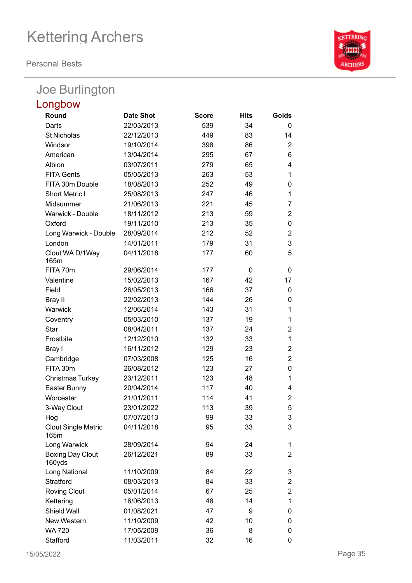**Personal Bests**

### Joe Burlington

| Longbow                            |                  |              |             |                |
|------------------------------------|------------------|--------------|-------------|----------------|
| Round                              | <b>Date Shot</b> | <b>Score</b> | <b>Hits</b> | Golds          |
| Darts                              | 22/03/2013       | 539          | 34          | 0              |
| <b>St Nicholas</b>                 | 22/12/2013       | 449          | 83          | 14             |
| Windsor                            | 19/10/2014       | 398          | 86          | $\overline{2}$ |
| American                           | 13/04/2014       | 295          | 67          | 6              |
| Albion                             | 03/07/2011       | 279          | 65          | 4              |
| <b>FITA Gents</b>                  | 05/05/2013       | 263          | 53          | $\mathbf{1}$   |
| FITA 30m Double                    | 18/08/2013       | 252          | 49          | 0              |
| Short Metric I                     | 25/08/2013       | 247          | 46          | $\mathbf{1}$   |
| Midsummer                          | 21/06/2013       | 221          | 45          | 7              |
| Warwick - Double                   | 18/11/2012       | 213          | 59          | $\overline{2}$ |
| Oxford                             | 19/11/2010       | 213          | 35          | 0              |
| Long Warwick - Double              | 28/09/2014       | 212          | 52          | $\overline{2}$ |
| London                             | 14/01/2011       | 179          | 31          | 3              |
| Clout WA D/1Way<br>165m            | 04/11/2018       | 177          | 60          | 5              |
| FITA 70m                           | 29/06/2014       | 177          | 0           | 0              |
| Valentine                          | 15/02/2013       | 167          | 42          | 17             |
| Field                              | 26/05/2013       | 166          | 37          | 0              |
| Bray II                            | 22/02/2013       | 144          | 26          | 0              |
| Warwick                            | 12/06/2014       | 143          | 31          | 1              |
| Coventry                           | 05/03/2010       | 137          | 19          | 1              |
| <b>Star</b>                        | 08/04/2011       | 137          | 24          | $\overline{2}$ |
| Frostbite                          | 12/12/2010       | 132          | 33          | $\mathbf{1}$   |
| Bray I                             | 16/11/2012       | 129          | 23          | $\overline{2}$ |
| Cambridge                          | 07/03/2008       | 125          | 16          | $\overline{2}$ |
| FITA 30m                           | 26/08/2012       | 123          | 27          | 0              |
| <b>Christmas Turkey</b>            | 23/12/2011       | 123          | 48          | 1              |
| Easter Bunny                       | 20/04/2014       | 117          | 40          | 4              |
| Worcester                          | 21/01/2011       | 114          | 41          | $\overline{2}$ |
| 3-Way Clout                        | 23/01/2022       | 113          | 39          | 5              |
| Hog                                | 07/07/2013       | 99           | 33          | 3              |
| <b>Clout Single Metric</b><br>165m | 04/11/2018       | 95           | 33          | 3              |
| Long Warwick                       | 28/09/2014       | 94           | 24          | 1              |
| <b>Boxing Day Clout</b><br>160yds  | 26/12/2021       | 89           | 33          | $\overline{2}$ |
| Long National                      | 11/10/2009       | 84           | 22          | 3              |
| Stratford                          | 08/03/2013       | 84           | 33          | $\overline{2}$ |
| <b>Roving Clout</b>                | 05/01/2014       | 67           | 25          | 2              |
| Kettering                          | 16/06/2013       | 48           | 14          | $\mathbf{1}$   |
| Shield Wall                        | 01/08/2021       | 47           | 9           | 0              |
| New Western                        | 11/10/2009       | 42           | 10          | 0              |
| <b>WA 720</b>                      | 17/05/2009       | 36           | 8           | 0              |
| Stafford                           | 11/03/2011       | 32           | 16          | 0              |

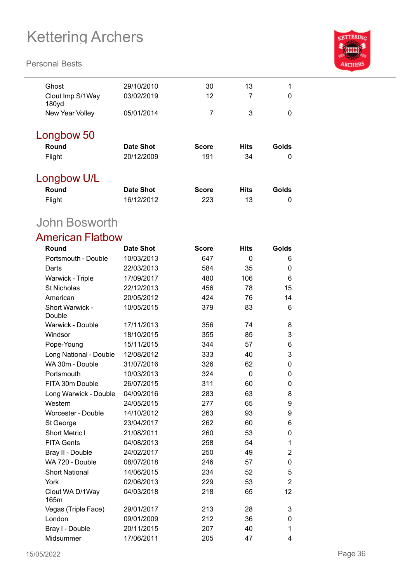#### **Personal Bests**



| Ghost                                 | 29/10/2010       | 30           | 13          | 1     |
|---------------------------------------|------------------|--------------|-------------|-------|
| Clout Imp S/1Way<br>180 <sub>yd</sub> | 03/02/2019       | 12           | 7           | 0     |
| New Year Volley                       | 05/01/2014       | 7            | 3           | 0     |
| Longbow 50                            |                  |              |             |       |
| Round                                 | <b>Date Shot</b> | <b>Score</b> | <b>Hits</b> | Golds |
| Flight                                | 20/12/2009       | 191          | 34          | 0     |
| Longbow U/L                           |                  |              |             |       |
| Round                                 | <b>Date Shot</b> | <b>Score</b> | <b>Hits</b> | Golds |
| Flight                                | 16/12/2012       | 223          | 13          | 0     |

## John Bosworth

### American Flatbow

| Round                     | <b>Date Shot</b> | <b>Score</b> | <b>Hits</b> | Golds          |
|---------------------------|------------------|--------------|-------------|----------------|
| Portsmouth - Double       | 10/03/2013       | 647          | 0           | 6              |
| Darts                     | 22/03/2013       | 584          | 35          | 0              |
| Warwick - Triple          | 17/09/2017       | 480          | 106         | 6              |
| <b>St Nicholas</b>        | 22/12/2013       | 456          | 78          | 15             |
| American                  | 20/05/2012       | 424          | 76          | 14             |
| Short Warwick -<br>Double | 10/05/2015       | 379          | 83          | 6              |
| Warwick - Double          | 17/11/2013       | 356          | 74          | 8              |
| Windsor                   | 18/10/2015       | 355          | 85          | 3              |
| Pope-Young                | 15/11/2015       | 344          | 57          | 6              |
| Long National - Double    | 12/08/2012       | 333          | 40          | 3              |
| WA 30m - Double           | 31/07/2016       | 326          | 62          | 0              |
| Portsmouth                | 10/03/2013       | 324          | 0           | 0              |
| FITA 30m Double           | 26/07/2015       | 311          | 60          | 0              |
| Long Warwick - Double     | 04/09/2016       | 283          | 63          | 8              |
| Western                   | 24/05/2015       | 277          | 65          | 9              |
| <b>Worcester - Double</b> | 14/10/2012       | 263          | 93          | 9              |
| St George                 | 23/04/2017       | 262          | 60          | 6              |
| <b>Short Metric I</b>     | 21/08/2011       | 260          | 53          | 0              |
| <b>FITA Gents</b>         | 04/08/2013       | 258          | 54          | 1              |
| Bray II - Double          | 24/02/2017       | 250          | 49          | 2              |
| WA 720 - Double           | 08/07/2018       | 246          | 57          | 0              |
| <b>Short National</b>     | 14/06/2015       | 234          | 52          | 5              |
| York                      | 02/06/2013       | 229          | 53          | $\overline{2}$ |
| Clout WA D/1Way<br>165m   | 04/03/2018       | 218          | 65          | 12             |
| Vegas (Triple Face)       | 29/01/2017       | 213          | 28          | 3              |
| London                    | 09/01/2009       | 212          | 36          | 0              |
| Bray I - Double           | 20/11/2015       | 207          | 40          | 1              |
| Midsummer                 | 17/06/2011       | 205          | 47          | 4              |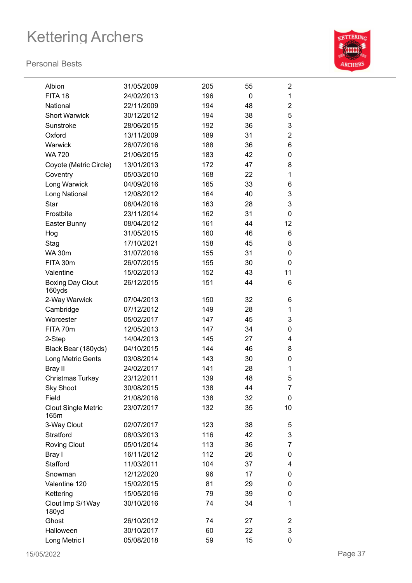

| Albion                             | 31/05/2009 | 205 | 55 | $\overline{2}$ |
|------------------------------------|------------|-----|----|----------------|
| FITA 18                            | 24/02/2013 | 196 | 0  | $\mathbf{1}$   |
| National                           | 22/11/2009 | 194 | 48 | $\overline{2}$ |
| <b>Short Warwick</b>               | 30/12/2012 | 194 | 38 | 5              |
| Sunstroke                          | 28/06/2015 | 192 | 36 | 3              |
| Oxford                             | 13/11/2009 | 189 | 31 | $\overline{2}$ |
| Warwick                            | 26/07/2016 | 188 | 36 | 6              |
| <b>WA 720</b>                      | 21/06/2015 | 183 | 42 | 0              |
| Coyote (Metric Circle)             | 13/01/2013 | 172 | 47 | 8              |
| Coventry                           | 05/03/2010 | 168 | 22 | 1              |
| Long Warwick                       | 04/09/2016 | 165 | 33 | 6              |
| Long National                      | 12/08/2012 | 164 | 40 | 3              |
| Star                               | 08/04/2016 | 163 | 28 | 3              |
| Frostbite                          | 23/11/2014 | 162 | 31 | 0              |
| Easter Bunny                       | 08/04/2012 | 161 | 44 | 12             |
| Hog                                | 31/05/2015 | 160 | 46 | 6              |
| Stag                               | 17/10/2021 | 158 | 45 | 8              |
| <b>WA 30m</b>                      | 31/07/2016 | 155 | 31 | 0              |
| FITA 30m                           | 26/07/2015 | 155 | 30 | 0              |
| Valentine                          | 15/02/2013 | 152 | 43 | 11             |
| <b>Boxing Day Clout</b><br>160yds  | 26/12/2015 | 151 | 44 | 6              |
| 2-Way Warwick                      | 07/04/2013 | 150 | 32 | 6              |
| Cambridge                          | 07/12/2012 | 149 | 28 | 1              |
| Worcester                          | 05/02/2017 | 147 | 45 | 3              |
| FITA 70m                           | 12/05/2013 | 147 | 34 | 0              |
| 2-Step                             | 14/04/2013 | 145 | 27 | 4              |
| Black Bear (180yds)                | 04/10/2015 | 144 | 46 | 8              |
| Long Metric Gents                  | 03/08/2014 | 143 | 30 | 0              |
| Bray II                            | 24/02/2017 | 141 | 28 | 1              |
| <b>Christmas Turkey</b>            | 23/12/2011 | 139 | 48 | 5              |
| <b>Sky Shoot</b>                   | 30/08/2015 | 138 | 44 | 7              |
| Field                              | 21/08/2016 | 138 | 32 | 0              |
| <b>Clout Single Metric</b><br>165m | 23/07/2017 | 132 | 35 | 10             |
| 3-Way Clout                        | 02/07/2017 | 123 | 38 | 5              |
| Stratford                          | 08/03/2013 | 116 | 42 | 3              |
| <b>Roving Clout</b>                | 05/01/2014 | 113 | 36 | 7              |
| Bray I                             | 16/11/2012 | 112 | 26 | 0              |
| Stafford                           | 11/03/2011 | 104 | 37 | 4              |
| Snowman                            | 12/12/2020 | 96  | 17 | 0              |
| Valentine 120                      | 15/02/2015 | 81  | 29 | 0              |
| Kettering                          | 15/05/2016 | 79  | 39 | 0              |
| Clout Imp S/1Way<br>180yd          | 30/10/2016 | 74  | 34 | 1              |
| Ghost                              | 26/10/2012 | 74  | 27 | 2              |
| Halloween                          | 30/10/2017 | 60  | 22 | 3              |
| Long Metric I                      | 05/08/2018 | 59  | 15 | 0              |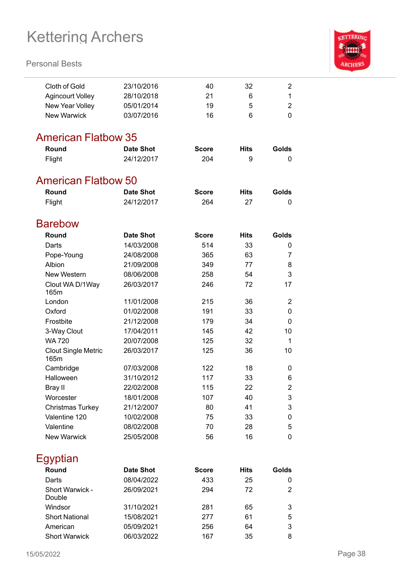### **Personal Bests**



| Cloth of Gold              | 23/10/2016       | 40           | 32          | $\overline{2}$ |
|----------------------------|------------------|--------------|-------------|----------------|
| <b>Agincourt Volley</b>    | 28/10/2018       | 21           | 6           | 1              |
| New Year Volley            | 05/01/2014       | 19           | 5           | $\overline{2}$ |
| <b>New Warwick</b>         | 03/07/2016       | 16           | 6           | 0              |
|                            |                  |              |             |                |
| <b>American Flatbow 35</b> |                  |              |             |                |
| Round                      | <b>Date Shot</b> | <b>Score</b> | <b>Hits</b> | Golds          |
| Flight                     | 24/12/2017       | 204          | 9           | 0              |
| <b>American Flatbow 50</b> |                  |              |             |                |
| Round                      | <b>Date Shot</b> | <b>Score</b> | <b>Hits</b> | Golds          |
| Flight                     | 24/12/2017       | 264          | 27          | 0              |
|                            |                  |              |             |                |
| <b>Barebow</b>             |                  |              |             |                |
| Round                      | <b>Date Shot</b> | <b>Score</b> | <b>Hits</b> | Golds          |
| Darts                      | 14/03/2008       | 514          | 33          | 0              |
| Pope-Young                 | 24/08/2008       | 365          | 63          | 7              |
| Albion                     | 21/09/2008       | 349          | 77          | 8              |
| New Western                | 08/06/2008       | 258          | 54          | 3              |
| Clout WA D/1Way<br>165m    | 26/03/2017       | 246          | 72          | 17             |
| London                     | 11/01/2008       | 215          | 36          | $\overline{2}$ |
| Oxford                     | 01/02/2008       | 191          | 33          | $\mathbf 0$    |
| Frostbite                  | 21/12/2008       | 179          | 34          | $\mathbf 0$    |
| 3-Way Clout                | 17/04/2011       | 145          | 42          | 10             |
| <b>WA 720</b>              | 20/07/2008       | 125          | 32          | 1              |
| <b>Clout Single Metric</b> | 26/03/2017       | 125          | 36          | 10             |
| 165m                       |                  |              |             |                |
| Cambridge                  | 07/03/2008       | 122          | 18          | 0              |
| Halloween                  | 31/10/2012       | 117          | 33          | 6              |
| Bray II                    | 22/02/2008       | 115          | 22          | $\overline{2}$ |
| Worcester                  | 18/01/2008       | 107          | 40          | 3              |
| <b>Christmas Turkey</b>    | 21/12/2007       | 80           | 41          | 3              |
| Valentine 120              | 10/02/2008       | 75           | 33          | 0              |
| Valentine                  | 08/02/2008       | 70           | 28          | 5              |
| <b>New Warwick</b>         | 25/05/2008       | 56           | 16          | 0              |
|                            |                  |              |             |                |

Egyptian

| Round                     | <b>Date Shot</b> | <b>Score</b> | Hits | Golds |
|---------------------------|------------------|--------------|------|-------|
| Darts                     | 08/04/2022       | 433          | 25   | 0     |
| Short Warwick -<br>Double | 26/09/2021       | 294          | 72   | 2     |
| Windsor                   | 31/10/2021       | 281          | 65   | 3     |
| <b>Short National</b>     | 15/08/2021       | 277          | 61   | 5     |
| American                  | 05/09/2021       | 256          | 64   | 3     |
| <b>Short Warwick</b>      | 06/03/2022       | 167          | 35   | 8     |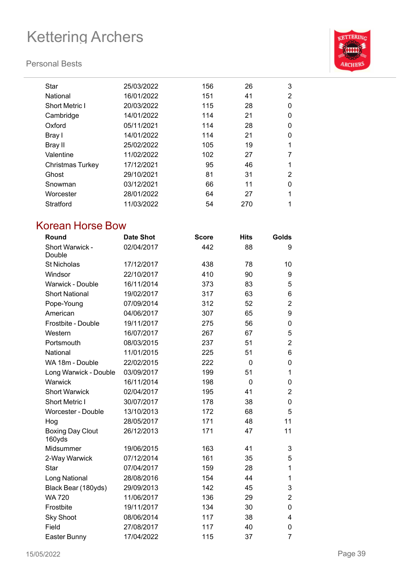### **Personal Bests**



| Star                    | 25/03/2022 | 156 | 26  | 3              |
|-------------------------|------------|-----|-----|----------------|
| National                | 16/01/2022 | 151 | 41  | $\overline{2}$ |
| <b>Short Metric I</b>   | 20/03/2022 | 115 | 28  | 0              |
| Cambridge               | 14/01/2022 | 114 | 21  | 0              |
| Oxford                  | 05/11/2021 | 114 | 28  | 0              |
| Bray I                  | 14/01/2022 | 114 | 21  | 0              |
| Bray II                 | 25/02/2022 | 105 | 19  | 1              |
| Valentine               | 11/02/2022 | 102 | 27  | 7              |
| <b>Christmas Turkey</b> | 17/12/2021 | 95  | 46  | 1              |
| Ghost                   | 29/10/2021 | 81  | 31  | 2              |
| Snowman                 | 03/12/2021 | 66  | 11  | 0              |
| Worcester               | 28/01/2022 | 64  | 27  | 1              |
| Stratford               | 11/03/2022 | 54  | 270 | 1              |

## Korean Horse Bow

| Round                             | <b>Date Shot</b> | <b>Score</b> | <b>Hits</b> | <b>Golds</b>   |
|-----------------------------------|------------------|--------------|-------------|----------------|
| Short Warwick -<br>Double         | 02/04/2017       | 442          | 88          | 9              |
| <b>St Nicholas</b>                | 17/12/2017       | 438          | 78          | 10             |
| Windsor                           | 22/10/2017       | 410          | 90          | 9              |
| Warwick - Double                  | 16/11/2014       | 373          | 83          | 5              |
| <b>Short National</b>             | 19/02/2017       | 317          | 63          | 6              |
| Pope-Young                        | 07/09/2014       | 312          | 52          | $\overline{2}$ |
| American                          | 04/06/2017       | 307          | 65          | 9              |
| Frostbite - Double                | 19/11/2017       | 275          | 56          | 0              |
| Western                           | 16/07/2017       | 267          | 67          | 5              |
| Portsmouth                        | 08/03/2015       | 237          | 51          | $\overline{2}$ |
| National                          | 11/01/2015       | 225          | 51          | 6              |
| WA 18m - Double                   | 22/02/2015       | 222          | 0           | 0              |
| Long Warwick - Double             | 03/09/2017       | 199          | 51          | 1              |
| Warwick                           | 16/11/2014       | 198          | 0           | 0              |
| <b>Short Warwick</b>              | 02/04/2017       | 195          | 41          | $\overline{2}$ |
| <b>Short Metric I</b>             | 30/07/2017       | 178          | 38          | 0              |
| <b>Worcester - Double</b>         | 13/10/2013       | 172          | 68          | 5              |
| Hog                               | 28/05/2017       | 171          | 48          | 11             |
| <b>Boxing Day Clout</b><br>160yds | 26/12/2013       | 171          | 47          | 11             |
| Midsummer                         | 19/06/2015       | 163          | 41          | 3              |
| 2-Way Warwick                     | 07/12/2014       | 161          | 35          | 5              |
| Star                              | 07/04/2017       | 159          | 28          | 1              |
| Long National                     | 28/08/2016       | 154          | 44          | 1              |
| Black Bear (180yds)               | 29/09/2013       | 142          | 45          | 3              |
| <b>WA720</b>                      | 11/06/2017       | 136          | 29          | $\overline{2}$ |
| Frostbite                         | 19/11/2017       | 134          | 30          | 0              |
| <b>Sky Shoot</b>                  | 08/06/2014       | 117          | 38          | 4              |
| Field                             | 27/08/2017       | 117          | 40          | 0              |
| Easter Bunny                      | 17/04/2022       | 115          | 37          | 7              |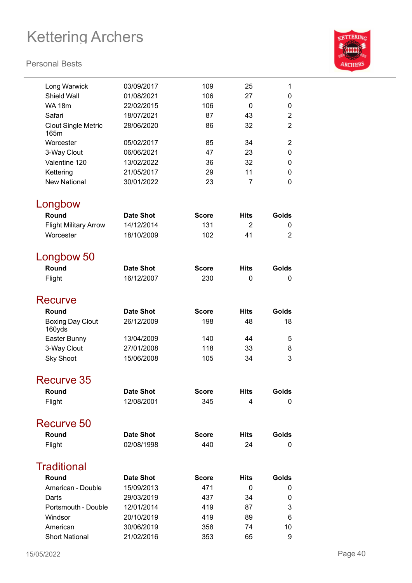

| Long Warwick                 | 03/09/2017       | 109          | 25             | 1              |
|------------------------------|------------------|--------------|----------------|----------------|
| <b>Shield Wall</b>           | 01/08/2021       | 106          | 27             | 0              |
| <b>WA 18m</b>                | 22/02/2015       | 106          | 0              | 0              |
| Safari                       | 18/07/2021       | 87           | 43             | $\overline{2}$ |
| <b>Clout Single Metric</b>   | 28/06/2020       | 86           | 32             | $\overline{2}$ |
| 165m                         |                  |              |                |                |
| Worcester                    | 05/02/2017       | 85           | 34             | 2              |
| 3-Way Clout                  | 06/06/2021       | 47           | 23             | 0              |
| Valentine 120                | 13/02/2022       | 36           | 32             | 0              |
| Kettering                    | 21/05/2017       | 29           | 11             | $\Omega$       |
| <b>New National</b>          | 30/01/2022       | 23           | $\overline{7}$ | 0              |
| Longbow                      |                  |              |                |                |
| Round                        | <b>Date Shot</b> | <b>Score</b> | Hits           | Golds          |
| <b>Flight Military Arrow</b> | 14/12/2014       | 131          | $\overline{2}$ | 0              |
| Worcester                    | 18/10/2009       | 102          | 41             | $\overline{2}$ |
|                              |                  |              |                |                |
| Longbow 50                   |                  |              |                |                |
| Round                        | <b>Date Shot</b> | <b>Score</b> | <b>Hits</b>    | Golds          |
| Flight                       | 16/12/2007       | 230          | 0              | 0              |
| Recurve                      |                  |              |                |                |
| Round                        | <b>Date Shot</b> | <b>Score</b> | <b>Hits</b>    | Golds          |
| <b>Boxing Day Clout</b>      | 26/12/2009       | 198          | 48             | 18             |
| 160yds                       |                  |              |                |                |
| Easter Bunny                 | 13/04/2009       | 140          | 44             | 5              |
| 3-Way Clout                  | 27/01/2008       | 118          | 33             | 8              |
| <b>Sky Shoot</b>             | 15/06/2008       | 105          | 34             | 3              |
| Recurve 35                   |                  |              |                |                |
| Round                        | <b>Date Shot</b> | <b>Score</b> | <b>Hits</b>    | Golds          |
| Flight                       | 12/08/2001       | 345          | 4              | 0              |
|                              |                  |              |                |                |
| Recurve 50                   |                  |              |                |                |
| Round                        | <b>Date Shot</b> | <b>Score</b> | <b>Hits</b>    | Golds          |
| Flight                       | 02/08/1998       | 440          | 24             | 0              |
| <b>Traditional</b>           |                  |              |                |                |
| Round                        | <b>Date Shot</b> | <b>Score</b> | <b>Hits</b>    | Golds          |
| American - Double            | 15/09/2013       | 471          | 0              | 0              |
| Darts                        | 29/03/2019       | 437          | 34             | 0              |
| Portsmouth - Double          | 12/01/2014       | 419          | 87             | 3              |
| Windsor                      | 20/10/2019       | 419          | 89             | 6              |
| American                     | 30/06/2019       | 358          | 74             | 10             |
| <b>Short National</b>        | 21/02/2016       | 353          | 65             | 9              |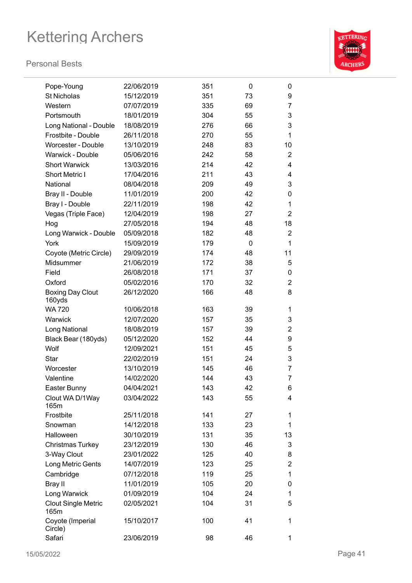

| Pope-Young                         | 22/06/2019 | 351 | 0  | 0              |
|------------------------------------|------------|-----|----|----------------|
| <b>St Nicholas</b>                 | 15/12/2019 | 351 | 73 | 9              |
| Western                            | 07/07/2019 | 335 | 69 | 7              |
| Portsmouth                         | 18/01/2019 | 304 | 55 | 3              |
| <b>Long National - Double</b>      | 18/08/2019 | 276 | 66 | 3              |
| Frostbite - Double                 | 26/11/2018 | 270 | 55 | $\mathbf{1}$   |
| <b>Worcester - Double</b>          | 13/10/2019 | 248 | 83 | 10             |
| Warwick - Double                   | 05/06/2016 | 242 | 58 | $\overline{2}$ |
| <b>Short Warwick</b>               | 13/03/2016 | 214 | 42 | 4              |
| <b>Short Metric I</b>              | 17/04/2016 | 211 | 43 | 4              |
| National                           | 08/04/2018 | 209 | 49 | 3              |
| Bray II - Double                   | 11/01/2019 | 200 | 42 | 0              |
| Bray I - Double                    | 22/11/2019 | 198 | 42 | 1              |
| Vegas (Triple Face)                | 12/04/2019 | 198 | 27 | $\overline{2}$ |
| Hog                                | 27/05/2018 | 194 | 48 | 18             |
| Long Warwick - Double              | 05/09/2018 | 182 | 48 | $\overline{2}$ |
| York                               | 15/09/2019 | 179 | 0  | $\mathbf{1}$   |
| Coyote (Metric Circle)             | 29/09/2019 | 174 | 48 | 11             |
| Midsummer                          | 21/06/2019 | 172 | 38 | 5              |
| Field                              | 26/08/2018 | 171 | 37 | 0              |
| Oxford                             | 05/02/2016 | 170 | 32 | $\overline{2}$ |
| <b>Boxing Day Clout</b><br>160yds  | 26/12/2020 | 166 | 48 | 8              |
| <b>WA 720</b>                      | 10/06/2018 | 163 | 39 | 1              |
| Warwick                            | 12/07/2020 | 157 | 35 | 3              |
| Long National                      | 18/08/2019 | 157 | 39 | $\overline{2}$ |
| Black Bear (180yds)                | 05/12/2020 | 152 | 44 | 9              |
| Wolf                               | 12/09/2021 | 151 | 45 | 5              |
| Star                               | 22/02/2019 | 151 | 24 | 3              |
| Worcester                          | 13/10/2019 | 145 | 46 | 7              |
| Valentine                          | 14/02/2020 | 144 | 43 | 7              |
| Easter Bunny                       | 04/04/2021 | 143 | 42 | 6              |
| Clout WA D/1Way<br>165m            | 03/04/2022 | 143 | 55 | 4              |
| Frostbite                          | 25/11/2018 | 141 | 27 | 1              |
| Snowman                            | 14/12/2018 | 133 | 23 | 1              |
| Halloween                          | 30/10/2019 | 131 | 35 | 13             |
| Christmas Turkey                   | 23/12/2019 | 130 | 46 | 3              |
| 3-Way Clout                        | 23/01/2022 | 125 | 40 | 8              |
| Long Metric Gents                  | 14/07/2019 | 123 | 25 | $\overline{2}$ |
| Cambridge                          | 07/12/2018 | 119 | 25 | 1              |
| Bray II                            | 11/01/2019 | 105 | 20 | 0              |
| Long Warwick                       | 01/09/2019 | 104 | 24 | 1              |
| <b>Clout Single Metric</b><br>165m | 02/05/2021 | 104 | 31 | 5              |
| Coyote (Imperial<br>Circle)        | 15/10/2017 | 100 | 41 | 1              |
| Safari                             | 23/06/2019 | 98  | 46 | 1              |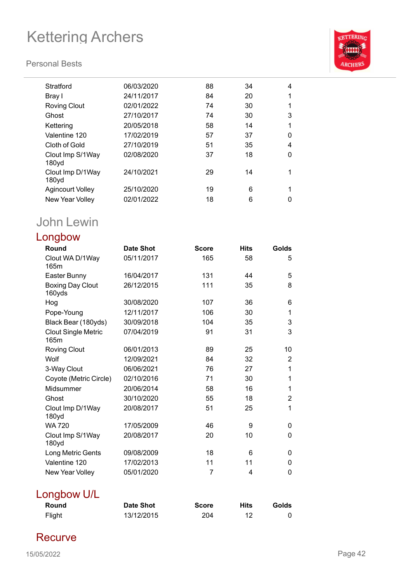### **Personal Bests**



| Stratford                             | 06/03/2020 | 88 | 34 | 4 |
|---------------------------------------|------------|----|----|---|
| Bray I                                | 24/11/2017 | 84 | 20 | 1 |
| <b>Roving Clout</b>                   | 02/01/2022 | 74 | 30 | 1 |
| Ghost                                 | 27/10/2017 | 74 | 30 | 3 |
| Kettering                             | 20/05/2018 | 58 | 14 | 1 |
| Valentine 120                         | 17/02/2019 | 57 | 37 | 0 |
| Cloth of Gold                         | 27/10/2019 | 51 | 35 | 4 |
| Clout Imp S/1Way<br>180yd             | 02/08/2020 | 37 | 18 | 0 |
| Clout Imp D/1Way<br>180 <sub>yd</sub> | 24/10/2021 | 29 | 14 | 1 |
| Agincourt Volley                      | 25/10/2020 | 19 | 6  | 1 |
| New Year Volley                       | 02/01/2022 | 18 | 6  | 0 |
|                                       |            |    |    |   |

## John Lewin

| Longbow                            |                  |              |             |                |
|------------------------------------|------------------|--------------|-------------|----------------|
| Round                              | <b>Date Shot</b> | <b>Score</b> | <b>Hits</b> | Golds          |
| Clout WA D/1Way<br>165m            | 05/11/2017       | 165          | 58          | 5              |
| Easter Bunny                       | 16/04/2017       | 131          | 44          | 5              |
| <b>Boxing Day Clout</b><br>160yds  | 26/12/2015       | 111          | 35          | 8              |
| Hog                                | 30/08/2020       | 107          | 36          | 6              |
| Pope-Young                         | 12/11/2017       | 106          | 30          | 1              |
| Black Bear (180yds)                | 30/09/2018       | 104          | 35          | 3              |
| <b>Clout Single Metric</b><br>165m | 07/04/2019       | 91           | 31          | 3              |
| <b>Roving Clout</b>                | 06/01/2013       | 89           | 25          | 10             |
| Wolf                               | 12/09/2021       | 84           | 32          | $\overline{2}$ |
| 3-Way Clout                        | 06/06/2021       | 76           | 27          | 1              |
| Coyote (Metric Circle)             | 02/10/2016       | 71           | 30          | 1              |
| Midsummer                          | 20/06/2014       | 58           | 16          | 1              |
| Ghost                              | 30/10/2020       | 55           | 18          | $\overline{2}$ |
| Clout Imp D/1Way<br>180yd          | 20/08/2017       | 51           | 25          | $\mathbf{1}$   |
| <b>WA 720</b>                      | 17/05/2009       | 46           | 9           | 0              |
| Clout Imp S/1Way<br>180yd          | 20/08/2017       | 20           | 10          | 0              |
| Long Metric Gents                  | 09/08/2009       | 18           | 6           | 0              |
| Valentine 120                      | 17/02/2013       | 11           | 11          | 0              |
| New Year Volley                    | 05/01/2020       | 7            | 4           | $\Omega$       |
| Longbow U/L                        |                  |              |             |                |

| Round  | <b>Date Shot</b> | <b>Score</b> | Hits | Golds |
|--------|------------------|--------------|------|-------|
| Flight | 13/12/2015       | 204          |      |       |

## **Recurve**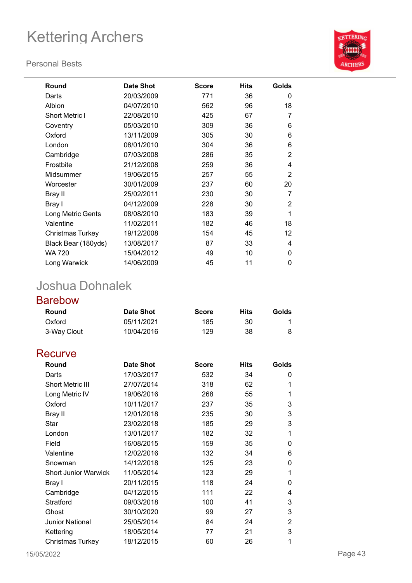#### **Personal Bests**



| <b>Round</b>            | <b>Date Shot</b> | <b>Score</b> | <b>Hits</b> | Golds          |
|-------------------------|------------------|--------------|-------------|----------------|
| Darts                   | 20/03/2009       | 771          | 36          | 0              |
| Albion                  | 04/07/2010       | 562          | 96          | 18             |
| <b>Short Metric I</b>   | 22/08/2010       | 425          | 67          | 7              |
| Coventry                | 05/03/2010       | 309          | 36          | 6              |
| Oxford                  | 13/11/2009       | 305          | 30          | 6              |
| London                  | 08/01/2010       | 304          | 36          | 6              |
| Cambridge               | 07/03/2008       | 286          | 35          | $\overline{2}$ |
| Frostbite               | 21/12/2008       | 259          | 36          | 4              |
| Midsummer               | 19/06/2015       | 257          | 55          | $\overline{2}$ |
| Worcester               | 30/01/2009       | 237          | 60          | 20             |
| Bray II                 | 25/02/2011       | 230          | 30          | 7              |
| Bray I                  | 04/12/2009       | 228          | 30          | 2              |
| Long Metric Gents       | 08/08/2010       | 183          | 39          | 1              |
| Valentine               | 11/02/2011       | 182          | 46          | 18             |
| <b>Christmas Turkey</b> | 19/12/2008       | 154          | 45          | 12             |
| Black Bear (180yds)     | 13/08/2017       | 87           | 33          | 4              |
| WA 720                  | 15/04/2012       | 49           | 10          | $\Omega$       |
| Long Warwick            | 14/06/2009       | 45           | 11          | 0              |

## Joshua Dohnalek

### Barebow

| Round       | <b>Date Shot</b> | <b>Score</b> | Hits | Golds |
|-------------|------------------|--------------|------|-------|
| Oxford      | 05/11/2021       | 185          | 30   |       |
| 3-Way Clout | 10/04/2016       | 129          | 38   |       |

### **Recurve**

| Round                       | <b>Date Shot</b> | <b>Score</b> | <b>Hits</b> | Golds |
|-----------------------------|------------------|--------------|-------------|-------|
| Darts                       | 17/03/2017       | 532          | 34          | 0     |
| <b>Short Metric III</b>     | 27/07/2014       | 318          | 62          | 1     |
| Long Metric IV              | 19/06/2016       | 268          | 55          | 1     |
| Oxford                      | 10/11/2017       | 237          | 35          | 3     |
| Bray II                     | 12/01/2018       | 235          | 30          | 3     |
| Star                        | 23/02/2018       | 185          | 29          | 3     |
| London                      | 13/01/2017       | 182          | 32          | 1     |
| Field                       | 16/08/2015       | 159          | 35          | 0     |
| Valentine                   | 12/02/2016       | 132          | 34          | 6     |
| Snowman                     | 14/12/2018       | 125          | 23          | 0     |
| <b>Short Junior Warwick</b> | 11/05/2014       | 123          | 29          | 1     |
| Bray I                      | 20/11/2015       | 118          | 24          | 0     |
| Cambridge                   | 04/12/2015       | 111          | 22          | 4     |
| Stratford                   | 09/03/2018       | 100          | 41          | 3     |
| Ghost                       | 30/10/2020       | 99           | 27          | 3     |
| <b>Junior National</b>      | 25/05/2014       | 84           | 24          | 2     |
| Kettering                   | 18/05/2014       | 77           | 21          | 3     |
| Christmas Turkey            | 18/12/2015       | 60           | 26          | 1     |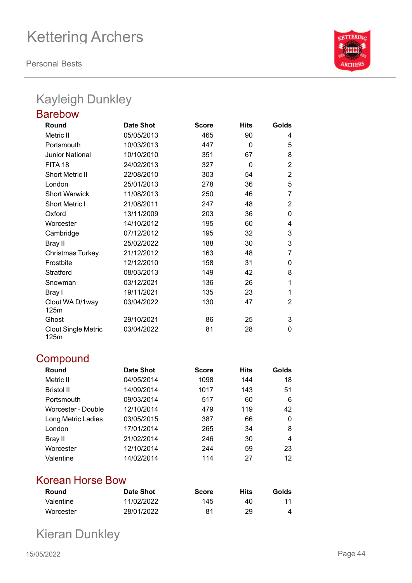**Personal Bests**



## Kayleigh Dunkley

| <b>Barebow</b>                     |                  |              |             |                |
|------------------------------------|------------------|--------------|-------------|----------------|
| Round                              | <b>Date Shot</b> | <b>Score</b> | <b>Hits</b> | Golds          |
| Metric II                          | 05/05/2013       | 465          | 90          | 4              |
| Portsmouth                         | 10/03/2013       | 447          | $\Omega$    | 5              |
| <b>Junior National</b>             | 10/10/2010       | 351          | 67          | 8              |
| FITA 18                            | 24/02/2013       | 327          | 0           | $\overline{2}$ |
| <b>Short Metric II</b>             | 22/08/2010       | 303          | 54          | 2              |
| London                             | 25/01/2013       | 278          | 36          | 5              |
| <b>Short Warwick</b>               | 11/08/2013       | 250          | 46          | 7              |
| <b>Short Metric I</b>              | 21/08/2011       | 247          | 48          | $\overline{2}$ |
| Oxford                             | 13/11/2009       | 203          | 36          | 0              |
| Worcester                          | 14/10/2012       | 195          | 60          | 4              |
| Cambridge                          | 07/12/2012       | 195          | 32          | 3              |
| <b>Bray II</b>                     | 25/02/2022       | 188          | 30          | 3              |
| <b>Christmas Turkey</b>            | 21/12/2012       | 163          | 48          | 7              |
| Frostbite                          | 12/12/2010       | 158          | 31          | 0              |
| Stratford                          | 08/03/2013       | 149          | 42          | 8              |
| Snowman                            | 03/12/2021       | 136          | 26          | 1              |
| Bray I                             | 19/11/2021       | 135          | 23          | 1              |
| Clout WA D/1way<br>125m            | 03/04/2022       | 130          | 47          | 2              |
| Ghost                              | 29/10/2021       | 86           | 25          | 3              |
| <b>Clout Single Metric</b><br>125m | 03/04/2022       | 81           | 28          | 0              |

## **Compound**

| Round              | <b>Date Shot</b> | <b>Score</b> | <b>Hits</b> | Golds |
|--------------------|------------------|--------------|-------------|-------|
| Metric II          | 04/05/2014       | 1098         | 144         | 18    |
| <b>Bristol II</b>  | 14/09/2014       | 1017         | 143         | 51    |
| Portsmouth         | 09/03/2014       | 517          | 60          | 6     |
| Worcester - Double | 12/10/2014       | 479          | 119         | 42    |
| Long Metric Ladies | 03/05/2015       | 387          | 66          | 0     |
| London             | 17/01/2014       | 265          | 34          | 8     |
| Bray II            | 21/02/2014       | 246          | 30          | 4     |
| Worcester          | 12/10/2014       | 244          | 59          | 23    |
| Valentine          | 14/02/2014       | 114          | 27          | 12    |

### Korean Horse Bow

| Round     | Date Shot  | <b>Score</b> | Hits | Golds |
|-----------|------------|--------------|------|-------|
| Valentine | 11/02/2022 | 145          | 40   | 11    |
| Worcester | 28/01/2022 | 81           | 29   |       |

Kieran Dunkley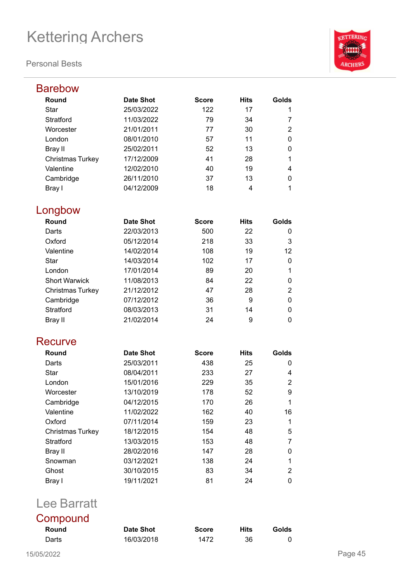#### **Personal Bests**



| <b>Barebow</b>          |                  |              |             |       |
|-------------------------|------------------|--------------|-------------|-------|
| Round                   | <b>Date Shot</b> | <b>Score</b> | <b>Hits</b> | Golds |
| <b>Star</b>             | 25/03/2022       | 122          | 17          | 1     |
| Stratford               | 11/03/2022       | 79           | 34          | 7     |
| Worcester               | 21/01/2011       | 77           | 30          | 2     |
| London                  | 08/01/2010       | 57           | 11          | 0     |
| Bray II                 | 25/02/2011       | 52           | 13          | 0     |
| <b>Christmas Turkey</b> | 17/12/2009       | 41           | 28          | 1     |
| Valentine               | 12/02/2010       | 40           | 19          | 4     |
| Cambridge               | 26/11/2010       | 37           | 13          | 0     |
| Bray I                  | 04/12/2009       | 18           | 4           | 1     |
| Longbow                 |                  |              |             |       |
| Round                   | <b>Date Shot</b> | <b>Score</b> | <b>Hits</b> | Golds |
| Darts                   | 22/03/2013       | 500          | 22          | 0     |
| Oxford                  | 05/12/2014       | 218          | 33          | 3     |
| Valentine               | 14/02/2014       | 108          | 19          | 12    |
| Star                    | 14/03/2014       | 102          | 17          | 0     |
| London                  | 17/01/2014       | 89           | 20          | 1     |
| <b>Short Warwick</b>    | 11/08/2013       | 84           | 22          | 0     |
| <b>Christmas Turkey</b> | 21/12/2012       | 47           | 28          | 2     |
| Cambridge               | 07/12/2012       | 36           | 9           | 0     |
| Stratford               | 08/03/2013       | 31           | 14          | 0     |
| <b>Bray II</b>          | 21/02/2014       | 24           | 9           | 0     |
| Recurve                 |                  |              |             |       |
| Round                   | <b>Date Shot</b> | <b>Score</b> | <b>Hits</b> | Golds |
| Darts                   | 25/03/2011       | 438          | 25          | 0     |
| <b>Star</b>             | 08/04/2011       | 233          | 27          | 4     |
| London                  | 15/01/2016       | 229          | 35          | 2     |
| Worcester               | 13/10/2019       | 178          | 52          | 9     |
| Cambridge               | 04/12/2015       | 170          | 26          | 1     |
| Valentine               | 11/02/2022       | 162          | 40          | 16    |
| Oxford                  | 07/11/2014       | 159          | 23          | 1     |
| <b>Christmas Turkey</b> | 18/12/2015       | 154          | 48          | 5     |
| Stratford               | 13/03/2015       | 153          | 48          | 7     |
| <b>Bray II</b>          | 28/02/2016       | 147          | 28          | 0     |
| Snowman                 | 03/12/2021       | 138          | 24          | 1     |
| Ghost                   | 30/10/2015       | 83           | 34          | 2     |
| Bray I                  | 19/11/2021       | 81           | 24          | 0     |

## Lee Barratt

| Compound |            |              |             |       |
|----------|------------|--------------|-------------|-------|
| Round    | Date Shot  | <b>Score</b> | <b>Hits</b> | Golds |
| Darts    | 16/03/2018 | 1472         | 36          |       |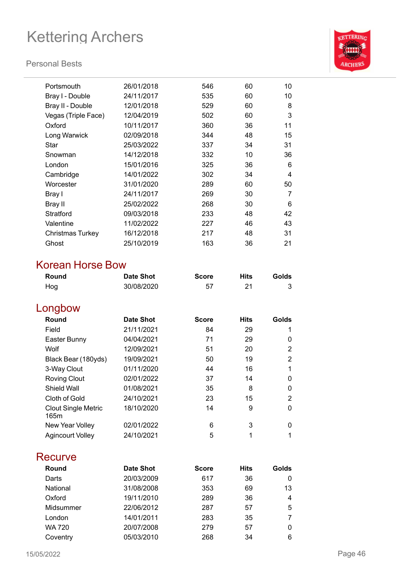#### **Personal Bests**



| Portsmouth          | 26/01/2018 | 546 | 60 | 10 |
|---------------------|------------|-----|----|----|
| Bray I - Double     | 24/11/2017 | 535 | 60 | 10 |
| Bray II - Double    | 12/01/2018 | 529 | 60 | 8  |
| Vegas (Triple Face) | 12/04/2019 | 502 | 60 | 3  |
| Oxford              | 10/11/2017 | 360 | 36 | 11 |
| Long Warwick        | 02/09/2018 | 344 | 48 | 15 |
| Star                | 25/03/2022 | 337 | 34 | 31 |
| Snowman             | 14/12/2018 | 332 | 10 | 36 |
| London              | 15/01/2016 | 325 | 36 | 6  |
| Cambridge           | 14/01/2022 | 302 | 34 | 4  |
| Worcester           | 31/01/2020 | 289 | 60 | 50 |
| Bray I              | 24/11/2017 | 269 | 30 | 7  |
| Bray II             | 25/02/2022 | 268 | 30 | 6  |
| Stratford           | 09/03/2018 | 233 | 48 | 42 |
| Valentine           | 11/02/2022 | 227 | 46 | 43 |
| Christmas Turkey    | 16/12/2018 | 217 | 48 | 31 |
| Ghost               | 25/10/2019 | 163 | 36 | 21 |
|                     |            |     |    |    |

### Korean Horse Bow

| Round | <b>Date Shot</b> | <b>Score</b> | <b>Hits</b> | Golds |
|-------|------------------|--------------|-------------|-------|
| Hog   | 30/08/2020       | 57           |             |       |

## Longbow

| Round                              | <b>Date Shot</b> | <b>Score</b> | <b>Hits</b> | Golds |
|------------------------------------|------------------|--------------|-------------|-------|
| Field                              | 21/11/2021       | 84           | 29          |       |
| Easter Bunny                       | 04/04/2021       | 71           | 29          | 0     |
| Wolf                               | 12/09/2021       | 51           | 20          | 2     |
| Black Bear (180yds)                | 19/09/2021       | 50           | 19          | 2     |
| 3-Way Clout                        | 01/11/2020       | 44           | 16          |       |
| <b>Roving Clout</b>                | 02/01/2022       | 37           | 14          | 0     |
| Shield Wall                        | 01/08/2021       | 35           | 8           | 0     |
| Cloth of Gold                      | 24/10/2021       | 23           | 15          | 2     |
| <b>Clout Single Metric</b><br>165m | 18/10/2020       | 14           | 9           | 0     |
| New Year Volley                    | 02/01/2022       | 6            | 3           | 0     |
| <b>Agincourt Volley</b>            | 24/10/2021       | 5            |             |       |

### **Recurve**

| Round         | <b>Date Shot</b> | <b>Score</b> | <b>Hits</b> | Golds |
|---------------|------------------|--------------|-------------|-------|
| Darts         | 20/03/2009       | 617          | 36          | 0     |
| National      | 31/08/2008       | 353          | 69          | 13    |
| Oxford        | 19/11/2010       | 289          | 36          | 4     |
| Midsummer     | 22/06/2012       | 287          | 57          | 5     |
| London        | 14/01/2011       | 283          | 35          |       |
| <b>WA 720</b> | 20/07/2008       | 279          | 57          | 0     |
| Coventry      | 05/03/2010       | 268          | 34          | 6     |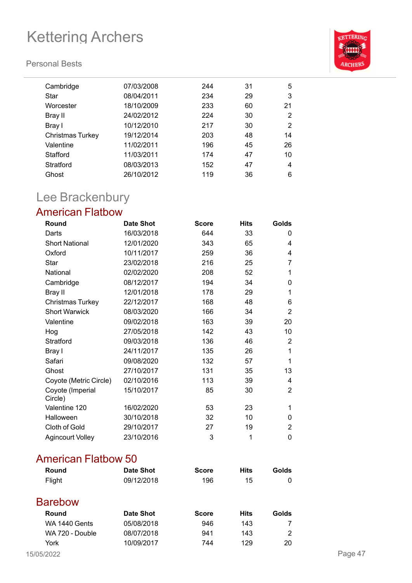### **Personal Bests**



| Cambridge               | 07/03/2008 | 244 | 31 | 5  |
|-------------------------|------------|-----|----|----|
| Star                    | 08/04/2011 | 234 | 29 | 3  |
| Worcester               | 18/10/2009 | 233 | 60 | 21 |
| Bray II                 | 24/02/2012 | 224 | 30 | 2  |
| Bray I                  | 10/12/2010 | 217 | 30 | 2  |
| <b>Christmas Turkey</b> | 19/12/2014 | 203 | 48 | 14 |
| Valentine               | 11/02/2011 | 196 | 45 | 26 |
| Stafford                | 11/03/2011 | 174 | 47 | 10 |
| Stratford               | 08/03/2013 | 152 | 47 | 4  |
| Ghost                   | 26/10/2012 | 119 | 36 | 6  |
|                         |            |     |    |    |

## Lee Brackenbury

### American Flatbow

| Round                       | <b>Date Shot</b> | <b>Score</b> | <b>Hits</b> | Golds          |
|-----------------------------|------------------|--------------|-------------|----------------|
| Darts                       | 16/03/2018       | 644          | 33          | $\Omega$       |
| <b>Short National</b>       | 12/01/2020       | 343          | 65          | 4              |
| Oxford                      | 10/11/2017       | 259          | 36          | 4              |
| Star                        | 23/02/2018       | 216          | 25          | 7              |
| National                    | 02/02/2020       | 208          | 52          | 1              |
| Cambridge                   | 08/12/2017       | 194          | 34          | 0              |
| Bray II                     | 12/01/2018       | 178          | 29          | 1              |
| Christmas Turkey            | 22/12/2017       | 168          | 48          | 6              |
| <b>Short Warwick</b>        | 08/03/2020       | 166          | 34          | 2              |
| Valentine                   | 09/02/2018       | 163          | 39          | 20             |
| Hog                         | 27/05/2018       | 142          | 43          | 10             |
| Stratford                   | 09/03/2018       | 136          | 46          | 2              |
| Bray I                      | 24/11/2017       | 135          | 26          | 1              |
| Safari                      | 09/08/2020       | 132          | 57          | 1              |
| Ghost                       | 27/10/2017       | 131          | 35          | 13             |
| Coyote (Metric Circle)      | 02/10/2016       | 113          | 39          | 4              |
| Coyote (Imperial<br>Circle) | 15/10/2017       | 85           | 30          | $\overline{2}$ |
| Valentine 120               | 16/02/2020       | 53           | 23          | 1              |
| Halloween                   | 30/10/2018       | 32           | 10          | 0              |
| Cloth of Gold               | 29/10/2017       | 27           | 19          | 2              |
| <b>Agincourt Volley</b>     | 23/10/2016       | 3            | 1           | 0              |

### American Flatbow 50

| <b>Round</b>         | <b>Date Shot</b> | <b>Score</b> | <b>Hits</b> | Golds          |         |
|----------------------|------------------|--------------|-------------|----------------|---------|
| Flight               | 09/12/2018       | 196          | 15          | 0              |         |
| <b>Barebow</b>       |                  |              |             |                |         |
| <b>Round</b>         | Date Shot        | <b>Score</b> | <b>Hits</b> | Golds          |         |
| <b>WA 1440 Gents</b> | 05/08/2018       | 946          | 143         | 7              |         |
| WA 720 - Double      | 08/07/2018       | 941          | 143         | $\overline{2}$ |         |
| York                 | 10/09/2017       | 744          | 129         | 20             |         |
| 15/05/2022           |                  |              |             |                | Page 47 |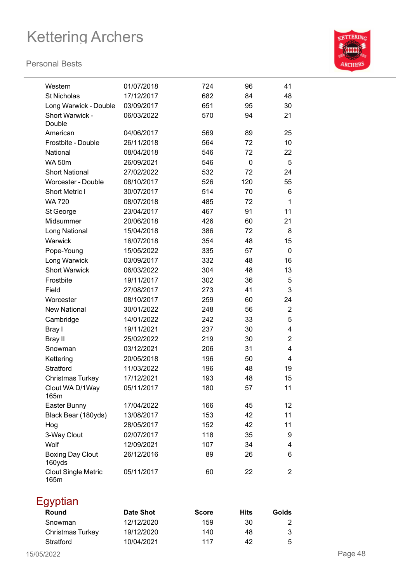

| Western                            | 01/07/2018 | 724 | 96  | 41             |
|------------------------------------|------------|-----|-----|----------------|
| <b>St Nicholas</b>                 | 17/12/2017 | 682 | 84  | 48             |
| Long Warwick - Double              | 03/09/2017 | 651 | 95  | 30             |
| Short Warwick -<br>Double          | 06/03/2022 | 570 | 94  | 21             |
| American                           | 04/06/2017 | 569 | 89  | 25             |
| Frostbite - Double                 | 26/11/2018 | 564 | 72  | 10             |
| National                           | 08/04/2018 | 546 | 72  | 22             |
| <b>WA 50m</b>                      | 26/09/2021 | 546 | 0   | 5              |
| <b>Short National</b>              | 27/02/2022 | 532 | 72  | 24             |
| Worcester - Double                 | 08/10/2017 | 526 | 120 | 55             |
| <b>Short Metric I</b>              | 30/07/2017 | 514 | 70  | 6              |
| <b>WA 720</b>                      | 08/07/2018 | 485 | 72  | $\mathbf 1$    |
| St George                          | 23/04/2017 | 467 | 91  | 11             |
| Midsummer                          | 20/06/2018 | 426 | 60  | 21             |
| Long National                      | 15/04/2018 | 386 | 72  | 8              |
| Warwick                            | 16/07/2018 | 354 | 48  | 15             |
| Pope-Young                         | 15/05/2022 | 335 | 57  | $\pmb{0}$      |
| Long Warwick                       | 03/09/2017 | 332 | 48  | 16             |
| <b>Short Warwick</b>               | 06/03/2022 | 304 | 48  | 13             |
| Frostbite                          | 19/11/2017 | 302 | 36  | 5              |
| Field                              | 27/08/2017 | 273 | 41  | 3              |
| Worcester                          | 08/10/2017 | 259 | 60  | 24             |
| <b>New National</b>                | 30/01/2022 | 248 | 56  | $\overline{2}$ |
| Cambridge                          | 14/01/2022 | 242 | 33  | 5              |
| Bray I                             | 19/11/2021 | 237 | 30  | 4              |
| Bray II                            | 25/02/2022 | 219 | 30  | $\overline{2}$ |
| Snowman                            | 03/12/2021 | 206 | 31  | 4              |
| Kettering                          | 20/05/2018 | 196 | 50  | 4              |
| <b>Stratford</b>                   | 11/03/2022 | 196 | 48  | 19             |
| <b>Christmas Turkey</b>            | 17/12/2021 | 193 | 48  | 15             |
| Clout WA D/1Way<br>165m            | 05/11/2017 | 180 | 57  | 11             |
| Easter Bunny                       | 17/04/2022 | 166 | 45  | 12             |
| Black Bear (180yds)                | 13/08/2017 | 153 | 42  | 11             |
| Hog                                | 28/05/2017 | 152 | 42  | 11             |
| 3-Way Clout                        | 02/07/2017 | 118 | 35  | 9              |
| Wolf                               | 12/09/2021 | 107 | 34  | 4              |
| <b>Boxing Day Clout</b><br>160yds  | 26/12/2016 | 89  | 26  | 6              |
| <b>Clout Single Metric</b><br>165m | 05/11/2017 | 60  | 22  | 2              |

| Egyptian                |                  |              |      |       |
|-------------------------|------------------|--------------|------|-------|
| Round                   | <b>Date Shot</b> | <b>Score</b> | Hits | Golds |
| Snowman                 | 12/12/2020       | 159          | 30   | 2     |
| <b>Christmas Turkey</b> | 19/12/2020       | 140          | 48   | 3     |
| Stratford               | 10/04/2021       | 117          | 42   | 5     |
|                         |                  |              |      |       |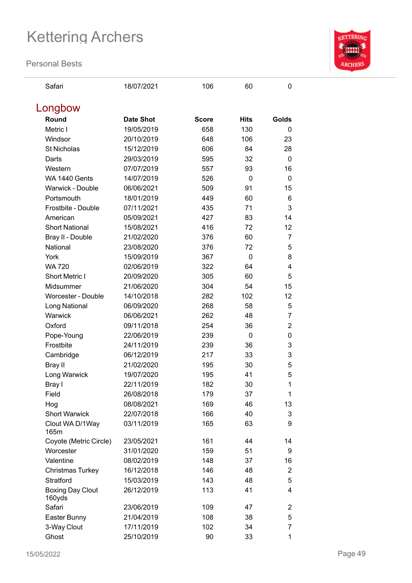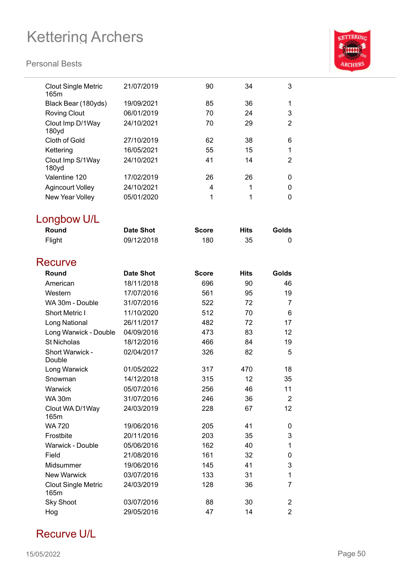### **Personal Bests**



| <b>Clout Single Metric</b><br>165m | 21/07/2019       | 90           | 34          | 3              |
|------------------------------------|------------------|--------------|-------------|----------------|
| Black Bear (180yds)                | 19/09/2021       | 85           | 36          | 1              |
| <b>Roving Clout</b>                | 06/01/2019       | 70           | 24          | 3              |
| Clout Imp D/1Way                   | 24/10/2021       | 70           | 29          | $\overline{2}$ |
| 180yd                              |                  |              |             |                |
| Cloth of Gold                      | 27/10/2019       | 62           | 38          | 6              |
| Kettering                          | 16/05/2021       | 55           | 15          | 1              |
| Clout Imp S/1Way<br>180yd          | 24/10/2021       | 41           | 14          | $\overline{2}$ |
| Valentine 120                      | 17/02/2019       | 26           | 26          | 0              |
| <b>Agincourt Volley</b>            | 24/10/2021       | 4            | 1           | 0              |
| New Year Volley                    | 05/01/2020       | 1            | 1           | 0              |
| Longbow U/L<br>Round               | <b>Date Shot</b> | <b>Score</b> | <b>Hits</b> | Golds          |
| Flight                             | 09/12/2018       | 180          | 35          | 0              |
|                                    |                  |              |             |                |
| Recurve                            |                  |              |             |                |
| Round                              | <b>Date Shot</b> | <b>Score</b> | <b>Hits</b> | Golds          |
| American                           | 18/11/2018       | 696          | 90          | 46             |
| Western                            | 17/07/2016       | 561          | 95          | 19             |
| WA 30m - Double                    | 31/07/2016       | 522          | 72          | $\overline{7}$ |
| <b>Short Metric I</b>              | 11/10/2020       | 512          | 70          | 6              |
| Long National                      | 26/11/2017       | 482          | 72          | 17             |
| Long Warwick - Double              | 04/09/2016       | 473          | 83          | 12             |
| <b>St Nicholas</b>                 | 18/12/2016       | 466          | 84          | 19             |
| Short Warwick -<br>Double          | 02/04/2017       | 326          | 82          | 5              |
| Long Warwick                       | 01/05/2022       | 317          | 470         | 18             |
| Snowman                            | 14/12/2018       | 315          | 12          | 35             |
| Warwick                            | 05/07/2016       | 256          | 46          | 11             |
| <b>WA 30m</b>                      | 31/07/2016       | 246          | 36          | $\overline{2}$ |
| Clout WA D/1Way<br>165m            | 24/03/2019       | 228          | 67          | 12             |
| <b>WA 720</b>                      | 19/06/2016       | 205          | 41          | 0              |
| Frostbite                          | 20/11/2016       | 203          | 35          | 3              |
| Warwick - Double                   | 05/06/2016       | 162          | 40          | 1              |
| Field                              | 21/08/2016       | 161          | 32          | 0              |
| Midsummer                          | 19/06/2016       | 145          | 41          | 3              |
| <b>New Warwick</b>                 | 03/07/2016       | 133          | 31          | 1              |
| <b>Clout Single Metric</b><br>165m | 24/03/2019       | 128          | 36          | 7              |
| <b>Sky Shoot</b>                   | 03/07/2016       | 88           | 30          | 2              |
| Hog                                | 29/05/2016       | 47           | 14          | $\overline{2}$ |
|                                    |                  |              |             |                |

## Recurve U/L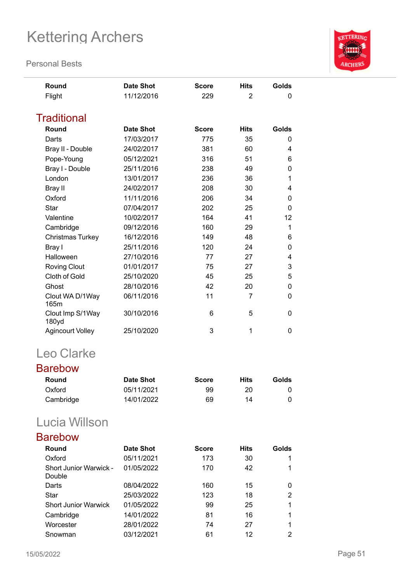**Personal Bests**



### Barebow

| Round     | Date Shot  | <b>Score</b> | Hits | Golds |
|-----------|------------|--------------|------|-------|
| Oxford    | 05/11/2021 | 99           | 20   |       |
| Cambridge | 14/01/2022 | 69           | 14   |       |

## Lucia Willson

| Round                                   | <b>Date Shot</b> | Score | <b>Hits</b> | Golds |
|-----------------------------------------|------------------|-------|-------------|-------|
| Oxford                                  | 05/11/2021       | 173   | 30          |       |
| <b>Short Junior Warwick -</b><br>Double | 01/05/2022       | 170   | 42          |       |
| Darts                                   | 08/04/2022       | 160   | 15          | 0     |
| Star                                    | 25/03/2022       | 123   | 18          | 2     |
| <b>Short Junior Warwick</b>             | 01/05/2022       | 99    | 25          | 1     |
| Cambridge                               | 14/01/2022       | 81    | 16          | 1     |
| Worcester                               | 28/01/2022       | 74    | 27          | 1     |
| Snowman                                 | 03/12/2021       | 61    | 12          | 2     |

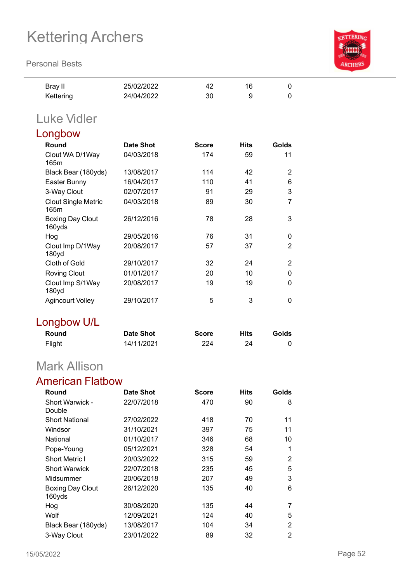**Personal Bests**



| Bray II   | 25/02/2022 | 42 | 16 |  |
|-----------|------------|----|----|--|
| Kettering | 24/04/2022 | 30 |    |  |

## Luke Vidler

| Longbow                               |            |              |             |                |
|---------------------------------------|------------|--------------|-------------|----------------|
| Round                                 | Date Shot  | <b>Score</b> | <b>Hits</b> | Golds          |
| Clout WA D/1Way<br>165m               | 04/03/2018 | 174          | 59          | 11             |
| Black Bear (180yds)                   | 13/08/2017 | 114          | 42          | $\overline{2}$ |
| Easter Bunny                          | 16/04/2017 | 110          | 41          | 6              |
| 3-Way Clout                           | 02/07/2017 | 91           | 29          | 3              |
| <b>Clout Single Metric</b><br>165m    | 04/03/2018 | 89           | 30          | 7              |
| <b>Boxing Day Clout</b><br>160yds     | 26/12/2016 | 78           | 28          | 3              |
| Hog                                   | 29/05/2016 | 76           | 31          | 0              |
| Clout Imp D/1Way<br>180 <sub>yd</sub> | 20/08/2017 | 57           | 37          | $\overline{2}$ |
| Cloth of Gold                         | 29/10/2017 | 32           | 24          | $\overline{2}$ |
| <b>Roving Clout</b>                   | 01/01/2017 | 20           | 10          | 0              |
| Clout Imp S/1Way<br>180yd             | 20/08/2017 | 19           | 19          | 0              |
| <b>Agincourt Volley</b>               | 29/10/2017 | 5            | 3           | 0              |
|                                       |            |              |             |                |

## Longbow U/L

| Round  | <b>Date Shot</b> | <b>Score</b> | Hits | Golds |
|--------|------------------|--------------|------|-------|
| Flight | 14/11/2021       | 224          | 24   |       |

## Mark Allison

## American Flatbow

| Round                      | Date Shot  | <b>Score</b> | <b>Hits</b> | Golds          |
|----------------------------|------------|--------------|-------------|----------------|
| Short Warwick -<br>Double  | 22/07/2018 | 470          | 90          | 8              |
| <b>Short National</b>      | 27/02/2022 | 418          | 70          | 11             |
| Windsor                    | 31/10/2021 | 397          | 75          | 11             |
| National                   | 01/10/2017 | 346          | 68          | 10             |
| Pope-Young                 | 05/12/2021 | 328          | 54          | 1              |
| <b>Short Metric I</b>      | 20/03/2022 | 315          | 59          | $\overline{2}$ |
| <b>Short Warwick</b>       | 22/07/2018 | 235          | 45          | 5              |
| Midsummer                  | 20/06/2018 | 207          | 49          | 3              |
| Boxing Day Clout<br>160yds | 26/12/2020 | 135          | 40          | 6              |
| Hog                        | 30/08/2020 | 135          | 44          | 7              |
| Wolf                       | 12/09/2021 | 124          | 40          | 5              |
| Black Bear (180yds)        | 13/08/2017 | 104          | 34          | 2              |
| 3-Way Clout                | 23/01/2022 | 89           | 32          | 2              |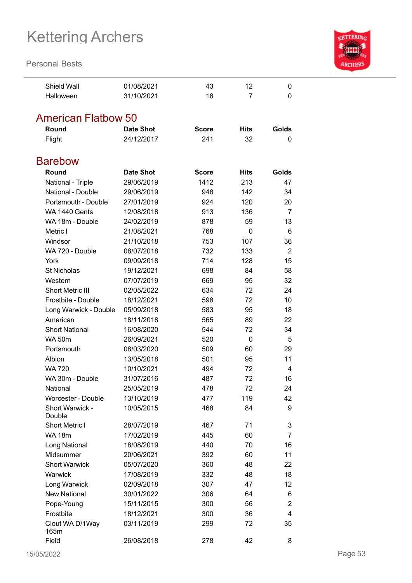

| <b>Shield Wall</b>         | 01/08/2021               | 43           | 12           | $\Omega$       |
|----------------------------|--------------------------|--------------|--------------|----------------|
| Halloween                  | 31/10/2021               | 18           | 7            | 0              |
|                            |                          |              |              |                |
| <b>American Flatbow 50</b> |                          |              |              |                |
| Round                      | <b>Date Shot</b>         | <b>Score</b> | <b>Hits</b>  | Golds          |
| Flight                     | 24/12/2017               | 241          | 32           | 0              |
|                            |                          |              |              |                |
| <b>Barebow</b>             |                          |              |              |                |
| Round                      | <b>Date Shot</b>         | <b>Score</b> | <b>Hits</b>  | Golds          |
| National - Triple          | 29/06/2019               | 1412         | 213          | 47             |
| National - Double          | 29/06/2019               | 948          | 142          | 34             |
| Portsmouth - Double        | 27/01/2019               | 924          | 120          | 20             |
| WA 1440 Gents              | 12/08/2018               | 913          | 136          | $\overline{7}$ |
| WA 18m - Double            | 24/02/2019               | 878          | 59           | 13             |
| Metric I                   | 21/08/2021               | 768          | 0            | 6              |
| Windsor                    | 21/10/2018               | 753          | 107          | 36             |
| WA 720 - Double            | 08/07/2018               | 732          |              | $\overline{2}$ |
| York                       |                          | 714          | 133<br>128   |                |
| <b>St Nicholas</b>         | 09/09/2018<br>19/12/2021 |              | 84           | 15             |
|                            |                          | 698          |              | 58             |
| Western                    | 07/07/2019               | 669          | 95           | 32             |
| <b>Short Metric III</b>    | 02/05/2022               | 634          | 72           | 24             |
| Frostbite - Double         | 18/12/2021               | 598          | 72           | 10             |
| Long Warwick - Double      | 05/09/2018               | 583          | 95           | 18             |
| American                   | 18/11/2018               | 565          | 89           | 22             |
| <b>Short National</b>      | 16/08/2020               | 544          | 72           | 34             |
| <b>WA 50m</b>              | 26/09/2021               | 520          | $\mathbf{0}$ | 5              |
| Portsmouth                 | 08/03/2020               | 509          | 60           | 29             |
| Albion                     | 13/05/2018               | 501          | 95           | 11             |
| WA 720                     | 10/10/2021               | 494          | 72           | 4              |
| WA 30m - Double            | 31/07/2016               | 487          | 72           | 16             |
| National                   | 25/05/2019               | 478          | 72           | 24             |
| <b>Worcester - Double</b>  | 13/10/2019               | 477          | 119          | 42             |
| Short Warwick -<br>Double  | 10/05/2015               | 468          | 84           | 9              |
| Short Metric I             | 28/07/2019               | 467          | 71           | 3              |
| <b>WA 18m</b>              | 17/02/2019               | 445          | 60           | $\overline{7}$ |
| Long National              | 18/08/2019               | 440          | 70           | 16             |
| Midsummer                  | 20/06/2021               | 392          | 60           | 11             |
| <b>Short Warwick</b>       | 05/07/2020               | 360          | 48           | 22             |
| Warwick                    | 17/08/2019               | 332          | 48           | 18             |
| Long Warwick               | 02/09/2018               | 307          | 47           | 12             |
| <b>New National</b>        | 30/01/2022               | 306          | 64           | 6              |
| Pope-Young                 | 15/11/2015               | 300          | 56           | 2              |
| Frostbite                  | 18/12/2021               | 300          | 36           | $\overline{4}$ |
| Clout WA D/1Way<br>165m    | 03/11/2019               | 299          | 72           | 35             |
| Field                      | 26/08/2018               | 278          | 42           | 8              |
|                            |                          |              |              |                |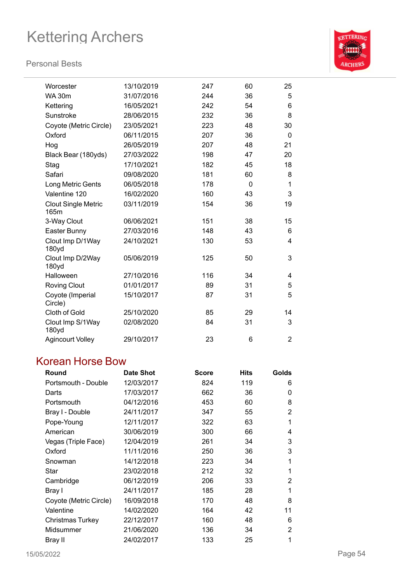### **Personal Bests**



| Worcester                             | 13/10/2019 | 247 | 60           | 25             |
|---------------------------------------|------------|-----|--------------|----------------|
| <b>WA 30m</b>                         | 31/07/2016 | 244 | 36           | 5              |
| Kettering                             | 16/05/2021 | 242 | 54           | 6              |
| Sunstroke                             | 28/06/2015 | 232 | 36           | 8              |
| Coyote (Metric Circle)                | 23/05/2021 | 223 | 48           | 30             |
| Oxford                                | 06/11/2015 | 207 | 36           | 0              |
| Hog                                   | 26/05/2019 | 207 | 48           | 21             |
| Black Bear (180yds)                   | 27/03/2022 | 198 | 47           | 20             |
| Stag                                  | 17/10/2021 | 182 | 45           | 18             |
| Safari                                | 09/08/2020 | 181 | 60           | 8              |
| Long Metric Gents                     | 06/05/2018 | 178 | $\mathbf{0}$ | 1              |
| Valentine 120                         | 16/02/2020 | 160 | 43           | 3              |
| <b>Clout Single Metric</b><br>165m    | 03/11/2019 | 154 | 36           | 19             |
| 3-Way Clout                           | 06/06/2021 | 151 | 38           | 15             |
| Easter Bunny                          | 27/03/2016 | 148 | 43           | 6              |
| Clout Imp D/1Way<br>180 <sub>yd</sub> | 24/10/2021 | 130 | 53           | 4              |
| Clout Imp D/2Way<br>180yd             | 05/06/2019 | 125 | 50           | 3              |
| Halloween                             | 27/10/2016 | 116 | 34           | 4              |
| <b>Roving Clout</b>                   | 01/01/2017 | 89  | 31           | 5              |
| Coyote (Imperial<br>Circle)           | 15/10/2017 | 87  | 31           | 5              |
| Cloth of Gold                         | 25/10/2020 | 85  | 29           | 14             |
| Clout Imp S/1Way<br>180yd             | 02/08/2020 | 84  | 31           | 3              |
| <b>Agincourt Volley</b>               | 29/10/2017 | 23  | 6            | $\overline{2}$ |

## Korean Horse Bow

| Round                  | <b>Date Shot</b> | <b>Score</b> | <b>Hits</b> | Golds |
|------------------------|------------------|--------------|-------------|-------|
| Portsmouth - Double    | 12/03/2017       | 824          | 119         | 6     |
| Darts                  | 17/03/2017       | 662          | 36          | 0     |
| Portsmouth             | 04/12/2016       | 453          | 60          | 8     |
| Bray I - Double        | 24/11/2017       | 347          | 55          | 2     |
| Pope-Young             | 12/11/2017       | 322          | 63          | 1     |
| American               | 30/06/2019       | 300          | 66          | 4     |
| Vegas (Triple Face)    | 12/04/2019       | 261          | 34          | 3     |
| Oxford                 | 11/11/2016       | 250          | 36          | 3     |
| Snowman                | 14/12/2018       | 223          | 34          | 1     |
| Star                   | 23/02/2018       | 212          | 32          | 1     |
| Cambridge              | 06/12/2019       | 206          | 33          | 2     |
| Bray I                 | 24/11/2017       | 185          | 28          | 1     |
| Coyote (Metric Circle) | 16/09/2018       | 170          | 48          | 8     |
| Valentine              | 14/02/2020       | 164          | 42          | 11    |
| Christmas Turkey       | 22/12/2017       | 160          | 48          | 6     |
| Midsummer              | 21/06/2020       | 136          | 34          | 2     |
| Bray II                | 24/02/2017       | 133          | 25          | 1     |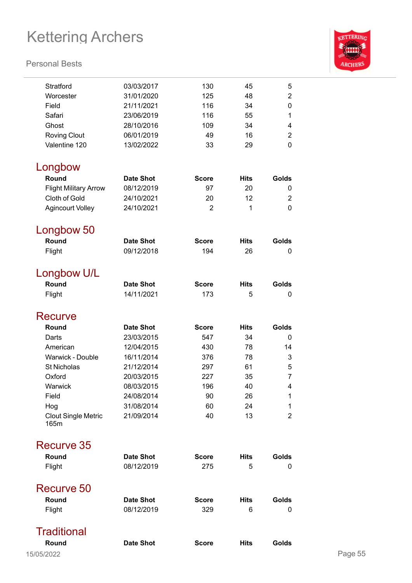

| Stratford                          | 03/03/2017       | 130            | 45          | 5                       |         |
|------------------------------------|------------------|----------------|-------------|-------------------------|---------|
| Worcester                          | 31/01/2020       | 125            | 48          | $\overline{2}$          |         |
| Field                              | 21/11/2021       | 116            | 34          | 0                       |         |
| Safari                             | 23/06/2019       | 116            | 55          | 1                       |         |
| Ghost                              | 28/10/2016       | 109            | 34          | $\overline{\mathbf{4}}$ |         |
| <b>Roving Clout</b>                | 06/01/2019       | 49             | 16          | $\overline{2}$          |         |
| Valentine 120                      | 13/02/2022       | 33             | 29          | 0                       |         |
| Longbow                            |                  |                |             |                         |         |
| Round                              | <b>Date Shot</b> | <b>Score</b>   | <b>Hits</b> | Golds                   |         |
| <b>Flight Military Arrow</b>       | 08/12/2019       | 97             | 20          | 0                       |         |
| Cloth of Gold                      | 24/10/2021       | 20             | 12          | 2                       |         |
| <b>Agincourt Volley</b>            | 24/10/2021       | $\overline{2}$ | 1           | 0                       |         |
| Longbow 50                         |                  |                |             |                         |         |
| Round                              | <b>Date Shot</b> | <b>Score</b>   | <b>Hits</b> | Golds                   |         |
| Flight                             | 09/12/2018       | 194            | 26          | 0                       |         |
| Longbow U/L                        |                  |                |             |                         |         |
| Round                              | <b>Date Shot</b> | <b>Score</b>   | <b>Hits</b> | Golds                   |         |
| Flight                             | 14/11/2021       | 173            | 5           | 0                       |         |
|                                    |                  |                |             |                         |         |
| <b>Recurve</b>                     |                  |                |             |                         |         |
| Round                              | <b>Date Shot</b> | <b>Score</b>   | <b>Hits</b> | Golds                   |         |
| Darts                              | 23/03/2015       | 547            | 34          | 0                       |         |
| American                           | 12/04/2015       | 430            | 78          | 14                      |         |
| Warwick - Double                   | 16/11/2014       | 376            | 78          | 3                       |         |
| <b>St Nicholas</b>                 | 21/12/2014       | 297            | 61          | 5                       |         |
| Oxford                             | 20/03/2015       | 227            | 35          | 7                       |         |
| Warwick                            | 08/03/2015       | 196            | 40          | 4                       |         |
| Field                              | 24/08/2014       | 90             | 26          | 1                       |         |
| Hog                                | 31/08/2014       | 60             | 24          | 1                       |         |
| <b>Clout Single Metric</b><br>165m | 21/09/2014       | 40             | 13          | $\overline{2}$          |         |
| Recurve 35                         |                  |                |             |                         |         |
| Round                              | <b>Date Shot</b> | <b>Score</b>   | <b>Hits</b> | Golds                   |         |
| Flight                             | 08/12/2019       | 275            | 5           | $\mathbf{0}$            |         |
| Recurve 50                         |                  |                |             |                         |         |
| Round                              | <b>Date Shot</b> | <b>Score</b>   | <b>Hits</b> | Golds                   |         |
| Flight                             | 08/12/2019       | 329            | 6           | 0                       |         |
| <b>Traditional</b>                 |                  |                |             |                         |         |
| Round                              | <b>Date Shot</b> | <b>Score</b>   | <b>Hits</b> | Golds                   |         |
|                                    |                  |                |             |                         |         |
| 15/05/2022                         |                  |                |             |                         | Page 55 |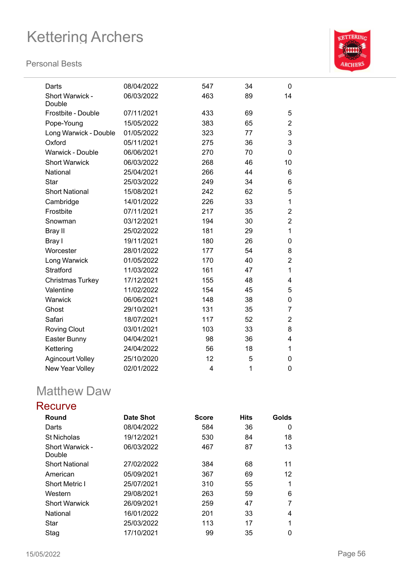### **Personal Bests**



| Darts                     | 08/04/2022 | 547 | 34 | 0              |
|---------------------------|------------|-----|----|----------------|
| Short Warwick -<br>Double | 06/03/2022 | 463 | 89 | 14             |
| Frostbite - Double        | 07/11/2021 | 433 | 69 | 5              |
| Pope-Young                | 15/05/2022 | 383 | 65 | $\overline{2}$ |
| Long Warwick - Double     | 01/05/2022 | 323 | 77 | 3              |
| Oxford                    | 05/11/2021 | 275 | 36 | 3              |
| Warwick - Double          | 06/06/2021 | 270 | 70 | 0              |
| <b>Short Warwick</b>      | 06/03/2022 | 268 | 46 | 10             |
| National                  | 25/04/2021 | 266 | 44 | 6              |
| Star                      | 25/03/2022 | 249 | 34 | 6              |
| <b>Short National</b>     | 15/08/2021 | 242 | 62 | 5              |
| Cambridge                 | 14/01/2022 | 226 | 33 | 1              |
| Frostbite                 | 07/11/2021 | 217 | 35 | $\overline{2}$ |
| Snowman                   | 03/12/2021 | 194 | 30 | $\overline{2}$ |
| Bray II                   | 25/02/2022 | 181 | 29 | 1              |
| Bray I                    | 19/11/2021 | 180 | 26 | 0              |
| Worcester                 | 28/01/2022 | 177 | 54 | 8              |
| Long Warwick              | 01/05/2022 | 170 | 40 | $\overline{2}$ |
| Stratford                 | 11/03/2022 | 161 | 47 | 1              |
| <b>Christmas Turkey</b>   | 17/12/2021 | 155 | 48 | 4              |
| Valentine                 | 11/02/2022 | 154 | 45 | 5              |
| Warwick                   | 06/06/2021 | 148 | 38 | 0              |
| Ghost                     | 29/10/2021 | 131 | 35 | 7              |
| Safari                    | 18/07/2021 | 117 | 52 | $\overline{2}$ |
| <b>Roving Clout</b>       | 03/01/2021 | 103 | 33 | 8              |
| Easter Bunny              | 04/04/2021 | 98  | 36 | 4              |
| Kettering                 | 24/04/2022 | 56  | 18 | 1              |
| <b>Agincourt Volley</b>   | 25/10/2020 | 12  | 5  | 0              |
| New Year Volley           | 02/01/2022 | 4   | 1  | 0              |

## Matthew Daw

### **Recurve**

| Round                     | <b>Date Shot</b> | <b>Score</b> | <b>Hits</b> | Golds |
|---------------------------|------------------|--------------|-------------|-------|
| Darts                     | 08/04/2022       | 584          | 36          | 0     |
| <b>St Nicholas</b>        | 19/12/2021       | 530          | 84          | 18    |
| Short Warwick -<br>Double | 06/03/2022       | 467          | 87          | 13    |
| <b>Short National</b>     | 27/02/2022       | 384          | 68          | 11    |
| American                  | 05/09/2021       | 367          | 69          | 12    |
| <b>Short Metric I</b>     | 25/07/2021       | 310          | 55          | 1     |
| Western                   | 29/08/2021       | 263          | 59          | 6     |
| <b>Short Warwick</b>      | 26/09/2021       | 259          | 47          | 7     |
| National                  | 16/01/2022       | 201          | 33          | 4     |
| Star                      | 25/03/2022       | 113          | 17          |       |
| Stag                      | 17/10/2021       | 99           | 35          | 0     |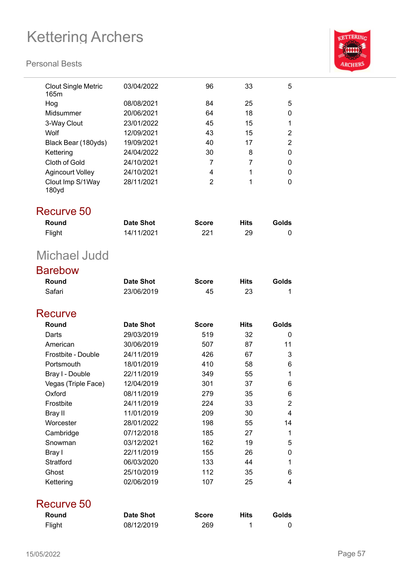

| <b>Clout Single Metric</b><br>165m | 03/04/2022       | 96             | 33          | 5              |
|------------------------------------|------------------|----------------|-------------|----------------|
| Hog                                | 08/08/2021       | 84             | 25          | 5              |
| Midsummer                          | 20/06/2021       | 64             | 18          | 0              |
| 3-Way Clout                        | 23/01/2022       | 45             | 15          | 1              |
| Wolf                               | 12/09/2021       | 43             | 15          | $\overline{2}$ |
| Black Bear (180yds)                | 19/09/2021       | 40             | 17          | $\overline{2}$ |
| Kettering                          | 24/04/2022       | 30             | 8           | 0              |
| Cloth of Gold                      | 24/10/2021       | 7              | 7           | 0              |
| <b>Agincourt Volley</b>            | 24/10/2021       | 4              | 1           | 0              |
| Clout Imp S/1Way<br>180yd          | 28/11/2021       | $\overline{2}$ | 1           | 0              |
| Recurve 50                         |                  |                |             |                |
| Round                              | <b>Date Shot</b> | <b>Score</b>   | <b>Hits</b> | Golds          |
| Flight                             | 14/11/2021       | 221            | 29          | 0              |
| Michael Judd                       |                  |                |             |                |
| <b>Barebow</b>                     |                  |                |             |                |
| Round                              | <b>Date Shot</b> | <b>Score</b>   | <b>Hits</b> | Golds          |
| Safari                             | 23/06/2019       | 45             | 23          | 1              |
| Recurve                            |                  |                |             |                |
| Round                              | <b>Date Shot</b> | <b>Score</b>   | <b>Hits</b> | <b>Golds</b>   |
| Darts                              | 29/03/2019       | 519            | 32          | 0              |
| American                           | 30/06/2019       | 507            | 87          | 11             |
| Frostbite - Double                 | 24/11/2019       | 426            | 67          | 3              |
| Portsmouth                         | 18/01/2019       | 410            | 58          | 6              |
| Bray I - Double                    | 22/11/2019       | 349            | 55          | 1              |
| Vegas (Triple Face)                | 12/04/2019       | 301            | 37          | 6              |
| Oxford                             | 08/11/2019       | 279            | 35          | 6              |
| Frostbite                          | 24/11/2019       | 224            | 33          | $\overline{2}$ |
| <b>Bray II</b>                     | 11/01/2019       | 209            | 30          | 4              |
| Worcester                          | 28/01/2022       | 198            | 55          | 14             |
| Cambridge                          | 07/12/2018       | 185            | 27          | 1              |
| Snowman                            | 03/12/2021       | 162            | 19          | 5              |
| Bray I                             | 22/11/2019       | 155            | 26          | 0              |
| Stratford                          | 06/03/2020       | 133            | 44          | 1              |
| Ghost                              | 25/10/2019       | 112            | 35          | 6              |
| Kettering                          | 02/06/2019       | 107            | 25          | 4              |
| Recurve 50                         |                  |                |             |                |
| Round                              | <b>Date Shot</b> | <b>Score</b>   | <b>Hits</b> | Golds          |
| Flight                             | 08/12/2019       | 269            | 1           | 0              |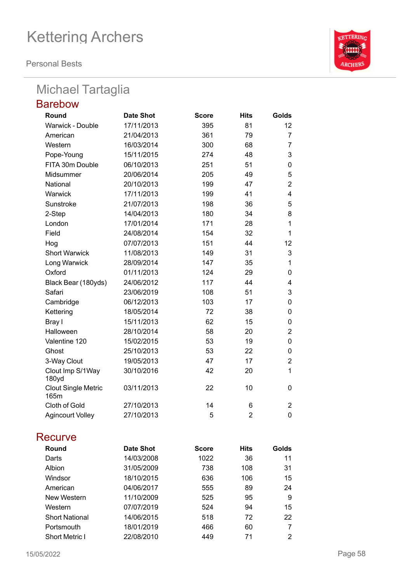**Personal Bests**

## Michael Tartaglia

| <b>Barebow</b>                     |                  |              |                |                |
|------------------------------------|------------------|--------------|----------------|----------------|
| Round                              | <b>Date Shot</b> | <b>Score</b> | <b>Hits</b>    | Golds          |
| Warwick - Double                   | 17/11/2013       | 395          | 81             | 12             |
| American                           | 21/04/2013       | 361          | 79             | 7              |
| Western                            | 16/03/2014       | 300          | 68             | $\overline{7}$ |
| Pope-Young                         | 15/11/2015       | 274          | 48             | 3              |
| FITA 30m Double                    | 06/10/2013       | 251          | 51             | 0              |
| Midsummer                          | 20/06/2014       | 205          | 49             | 5              |
| National                           | 20/10/2013       | 199          | 47             | $\overline{2}$ |
| Warwick                            | 17/11/2013       | 199          | 41             | 4              |
| Sunstroke                          | 21/07/2013       | 198          | 36             | 5              |
| 2-Step                             | 14/04/2013       | 180          | 34             | 8              |
| London                             | 17/01/2014       | 171          | 28             | $\mathbf{1}$   |
| Field                              | 24/08/2014       | 154          | 32             | 1              |
| Hog                                | 07/07/2013       | 151          | 44             | 12             |
| <b>Short Warwick</b>               | 11/08/2013       | 149          | 31             | 3              |
| Long Warwick                       | 28/09/2014       | 147          | 35             | 1              |
| Oxford                             | 01/11/2013       | 124          | 29             | 0              |
| Black Bear (180yds)                | 24/06/2012       | 117          | 44             | 4              |
| Safari                             | 23/06/2019       | 108          | 51             | 3              |
| Cambridge                          | 06/12/2013       | 103          | 17             | $\mathbf 0$    |
| Kettering                          | 18/05/2014       | 72           | 38             | 0              |
| Bray I                             | 15/11/2013       | 62           | 15             | 0              |
| Halloween                          | 28/10/2014       | 58           | 20             | $\overline{2}$ |
| Valentine 120                      | 15/02/2015       | 53           | 19             | $\mathbf 0$    |
| Ghost                              | 25/10/2013       | 53           | 22             | 0              |
| 3-Way Clout                        | 19/05/2013       | 47           | 17             | $\overline{2}$ |
| Clout Imp S/1Way<br>180yd          | 30/10/2016       | 42           | 20             | $\mathbf{1}$   |
| <b>Clout Single Metric</b><br>165m | 03/11/2013       | 22           | 10             | $\mathbf{0}$   |
| Cloth of Gold                      | 27/10/2013       | 14           | 6              | $\overline{2}$ |
| <b>Agincourt Volley</b>            | 27/10/2013       | 5            | $\overline{2}$ | $\mathbf 0$    |

### **Recurve**

| Round                 | Date Shot  | <b>Score</b> | <b>Hits</b> | Golds |
|-----------------------|------------|--------------|-------------|-------|
| Darts                 | 14/03/2008 | 1022         | 36          | 11    |
| <b>Albion</b>         | 31/05/2009 | 738          | 108         | 31    |
| Windsor               | 18/10/2015 | 636          | 106         | 15    |
| American              | 04/06/2017 | 555          | 89          | 24    |
| New Western           | 11/10/2009 | 525          | 95          | 9     |
| Western               | 07/07/2019 | 524          | 94          | 15    |
| <b>Short National</b> | 14/06/2015 | 518          | 72          | 22    |
| Portsmouth            | 18/01/2019 | 466          | 60          |       |
| <b>Short Metric I</b> | 22/08/2010 | 449          | 71          | 2     |

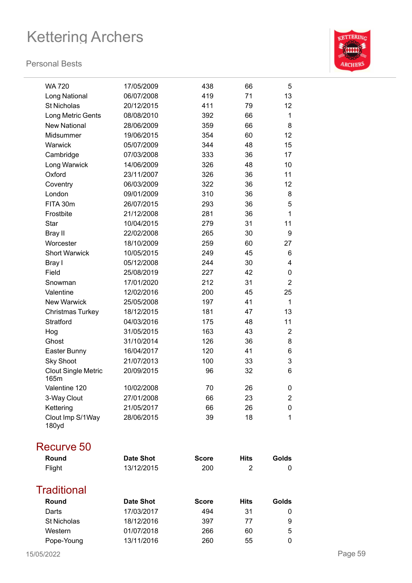#### **Personal Bests**



| <b>WA 720</b>                      | 17/05/2009       | 438          | 66          | 5              |
|------------------------------------|------------------|--------------|-------------|----------------|
| Long National                      | 06/07/2008       | 419          | 71          | 13             |
| <b>St Nicholas</b>                 | 20/12/2015       | 411          | 79          | 12             |
| Long Metric Gents                  | 08/08/2010       | 392          | 66          | 1              |
| <b>New National</b>                | 28/06/2009       | 359          | 66          | 8              |
| Midsummer                          | 19/06/2015       | 354          | 60          | 12             |
| Warwick                            | 05/07/2009       | 344          | 48          | 15             |
| Cambridge                          | 07/03/2008       | 333          | 36          | 17             |
| Long Warwick                       | 14/06/2009       | 326          | 48          | 10             |
| Oxford                             | 23/11/2007       | 326          | 36          | 11             |
| Coventry                           | 06/03/2009       | 322          | 36          | 12             |
| London                             | 09/01/2009       | 310          | 36          | 8              |
| FITA 30m                           | 26/07/2015       | 293          | 36          | 5              |
| Frostbite                          | 21/12/2008       | 281          | 36          | $\mathbf{1}$   |
| <b>Star</b>                        | 10/04/2015       | 279          | 31          | 11             |
| Bray II                            | 22/02/2008       | 265          | 30          | 9              |
| Worcester                          | 18/10/2009       | 259          | 60          | 27             |
| <b>Short Warwick</b>               | 10/05/2015       | 249          | 45          | 6              |
| Bray I                             | 05/12/2008       | 244          | 30          | 4              |
| Field                              | 25/08/2019       | 227          | 42          | 0              |
| Snowman                            | 17/01/2020       | 212          | 31          | $\overline{2}$ |
| Valentine                          | 12/02/2016       | 200          | 45          | 25             |
| <b>New Warwick</b>                 | 25/05/2008       | 197          | 41          | $\mathbf 1$    |
| <b>Christmas Turkey</b>            | 18/12/2015       | 181          | 47          | 13             |
| Stratford                          | 04/03/2016       | 175          | 48          | 11             |
| Hog                                | 31/05/2015       | 163          | 43          | 2              |
| Ghost                              | 31/10/2014       | 126          | 36          | 8              |
| Easter Bunny                       | 16/04/2017       | 120          | 41          | 6              |
| <b>Sky Shoot</b>                   | 21/07/2013       | 100          | 33          | 3              |
| <b>Clout Single Metric</b><br>165m | 20/09/2015       | 96           | 32          | 6              |
| Valentine 120                      | 10/02/2008       | 70           | 26          | 0              |
| 3-Way Clout                        | 27/01/2008       | 66           | 23          | 2              |
| Kettering                          | 21/05/2017       | 66           | 26          | 0              |
| Clout Imp S/1Way<br>180yd          | 28/06/2015       | 39           | 18          | 1              |
| <b>Recurve 50</b>                  |                  |              |             |                |
| Round                              | <b>Date Shot</b> | <b>Score</b> | <b>Hits</b> | Golds          |
| Flight                             | 13/12/2015       | 200          | 2           | 0              |
| <b>Traditional</b>                 |                  |              |             |                |
| Round                              | <b>Date Shot</b> | <b>Score</b> | <b>Hits</b> | Golds          |
| Darts                              | 17/03/2017       | 494          | 31          | 0              |
| St Nicholas                        | 18/12/2016       | 397          | 77          | 9              |
| Western                            | 01/07/2018       | 266          | 60          | 5              |

Pope-Young 13/11/2016 260 55 0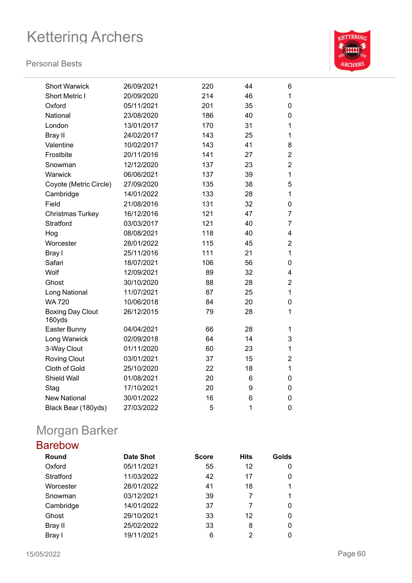#### **Personal Bests**



| <b>Short Warwick</b>              | 26/09/2021 | 220 | 44 | 6              |
|-----------------------------------|------------|-----|----|----------------|
| Short Metric I                    | 20/09/2020 | 214 | 46 | 1              |
| Oxford                            | 05/11/2021 | 201 | 35 | 0              |
| National                          | 23/08/2020 | 186 | 40 | 0              |
| London                            | 13/01/2017 | 170 | 31 | 1              |
| Bray II                           | 24/02/2017 | 143 | 25 | 1              |
| Valentine                         | 10/02/2017 | 143 | 41 | 8              |
| Frostbite                         | 20/11/2016 | 141 | 27 | $\overline{2}$ |
| Snowman                           | 12/12/2020 | 137 | 23 | $\overline{c}$ |
| Warwick                           | 06/06/2021 | 137 | 39 | $\mathbf{1}$   |
| Coyote (Metric Circle)            | 27/09/2020 | 135 | 38 | 5              |
| Cambridge                         | 14/01/2022 | 133 | 28 | 1              |
| Field                             | 21/08/2016 | 131 | 32 | 0              |
| Christmas Turkey                  | 16/12/2016 | 121 | 47 | $\overline{7}$ |
| Stratford                         | 03/03/2017 | 121 | 40 | $\overline{7}$ |
| Hog                               | 08/08/2021 | 118 | 40 | 4              |
| Worcester                         | 28/01/2022 | 115 | 45 | $\overline{2}$ |
| Bray I                            | 25/11/2016 | 111 | 21 | $\mathbf 1$    |
| Safari                            | 18/07/2021 | 106 | 56 | 0              |
| Wolf                              | 12/09/2021 | 89  | 32 | 4              |
| Ghost                             | 30/10/2020 | 88  | 28 | $\overline{2}$ |
| Long National                     | 11/07/2021 | 87  | 25 | $\mathbf 1$    |
| <b>WA 720</b>                     | 10/06/2018 | 84  | 20 | 0              |
| <b>Boxing Day Clout</b><br>160yds | 26/12/2015 | 79  | 28 | 1              |
| Easter Bunny                      | 04/04/2021 | 66  | 28 | 1              |
| Long Warwick                      | 02/09/2018 | 64  | 14 | 3              |
| 3-Way Clout                       | 01/11/2020 | 60  | 23 | $\mathbf 1$    |
| <b>Roving Clout</b>               | 03/01/2021 | 37  | 15 | $\overline{2}$ |
| Cloth of Gold                     | 25/10/2020 | 22  | 18 | 1              |
| Shield Wall                       | 01/08/2021 | 20  | 6  | 0              |
| Stag                              | 17/10/2021 | 20  | 9  | 0              |
| <b>New National</b>               | 30/01/2022 | 16  | 6  | 0              |
| Black Bear (180yds)               | 27/03/2022 | 5   | 1  | $\mathbf 0$    |

## Morgan Barker

## Barebow

| Round     | <b>Date Shot</b> | <b>Score</b> | <b>Hits</b> | Golds |
|-----------|------------------|--------------|-------------|-------|
| Oxford    | 05/11/2021       | 55           | 12          | 0     |
| Stratford | 11/03/2022       | 42           | 17          | 0     |
| Worcester | 28/01/2022       | 41           | 18          | 1     |
| Snowman   | 03/12/2021       | 39           |             | 1     |
| Cambridge | 14/01/2022       | 37           |             | 0     |
| Ghost     | 29/10/2021       | 33           | 12          | 0     |
| Bray II   | 25/02/2022       | 33           | 8           | 0     |
| Bray I    | 19/11/2021       | 6            | 2           |       |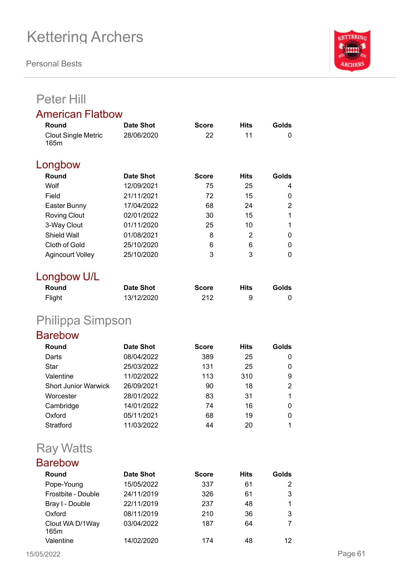**Personal Bests**



## Peter Hill

### American Flatbow

| Round                              | Date Shot  | <b>Score</b> | <b>Hits</b> | Golds |
|------------------------------------|------------|--------------|-------------|-------|
| <b>Clout Single Metric</b><br>165m | 28/06/2020 | 22           | 11          | 0     |
| Longbow                            |            |              |             |       |
| Round                              | Date Shot  | <b>Score</b> | <b>Hits</b> | Golds |
| Wolf                               | 12/09/2021 | 75           | 25          | 4     |
| Field                              | 21/11/2021 | 72           | 15          | 0     |
| Easter Bunny                       | 17/04/2022 | 68           | 24          | 2     |
| <b>Roving Clout</b>                | 02/01/2022 | 30           | 15          |       |
| 3-Way Clout                        | 01/11/2020 | 25           | 10          |       |
| Shield Wall                        | 01/08/2021 | 8            | 2           | 0     |
| Cloth of Gold                      | 25/10/2020 | 6            | 6           | 0     |
| <b>Agincourt Volley</b>            | 25/10/2020 | 3            | 3           | 0     |

### Longbow U/L

| Round  | <b>Date Shot</b> | <b>Score</b> | Hits | Golds |
|--------|------------------|--------------|------|-------|
| Flight | 13/12/2020       | 212          | 9    |       |

## Philippa Simpson

## Barebow

| Round                       | <b>Date Shot</b> | <b>Score</b> | <b>Hits</b> | Golds |
|-----------------------------|------------------|--------------|-------------|-------|
| Darts                       | 08/04/2022       | 389          | 25          | 0     |
| Star                        | 25/03/2022       | 131          | 25          | 0     |
| Valentine                   | 11/02/2022       | 113          | 310         | 9     |
| <b>Short Junior Warwick</b> | 26/09/2021       | 90           | 18          | 2     |
| Worcester                   | 28/01/2022       | 83           | 31          |       |
| Cambridge                   | 14/01/2022       | 74           | 16          | 0     |
| Oxford                      | 05/11/2021       | 68           | 19          | 0     |
| Stratford                   | 11/03/2022       | 44           | 20          |       |

## Ray Watts

| <b>Barebow</b> |
|----------------|
|----------------|

| Round                   | <b>Date Shot</b> | <b>Score</b> | <b>Hits</b> | Golds |
|-------------------------|------------------|--------------|-------------|-------|
| Pope-Young              | 15/05/2022       | 337          | 61          | 2     |
| Frostbite - Double      | 24/11/2019       | 326          | 61          | 3     |
| Bray I - Double         | 22/11/2019       | 237          | 48          |       |
| Oxford                  | 08/11/2019       | 210          | 36          | 3     |
| Clout WA D/1Way<br>165m | 03/04/2022       | 187          | 64          |       |
| Valentine               | 14/02/2020       | 174          | 48          | 12    |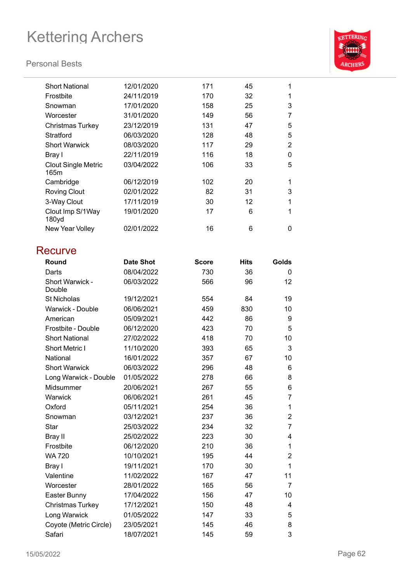### **Personal Bests**



| <b>Short National</b>              | 12/01/2020 | 171 | 45 | 1              |
|------------------------------------|------------|-----|----|----------------|
| Frostbite                          | 24/11/2019 | 170 | 32 | 1              |
| Snowman                            | 17/01/2020 | 158 | 25 | 3              |
| Worcester                          | 31/01/2020 | 149 | 56 | 7              |
| <b>Christmas Turkey</b>            | 23/12/2019 | 131 | 47 | 5              |
| Stratford                          | 06/03/2020 | 128 | 48 | 5              |
| <b>Short Warwick</b>               | 08/03/2020 | 117 | 29 | $\overline{2}$ |
| Bray I                             | 22/11/2019 | 116 | 18 | 0              |
| <b>Clout Single Metric</b><br>165m | 03/04/2022 | 106 | 33 | 5              |
| Cambridge                          | 06/12/2019 | 102 | 20 | 1              |
| <b>Roving Clout</b>                | 02/01/2022 | 82  | 31 | 3              |
| 3-Way Clout                        | 17/11/2019 | 30  | 12 | 1              |
| Clout Imp S/1Way<br>180yd          | 19/01/2020 | 17  | 6  | 1              |
| New Year Volley                    | 02/01/2022 | 16  | 6  | 0              |
|                                    |            |     |    |                |

## **Recurve**

| Round                     | <b>Date Shot</b> | <b>Score</b> | <b>Hits</b> | Golds          |
|---------------------------|------------------|--------------|-------------|----------------|
| Darts                     | 08/04/2022       | 730          | 36          | $\Omega$       |
| Short Warwick -<br>Double | 06/03/2022       | 566          | 96          | 12             |
| <b>St Nicholas</b>        | 19/12/2021       | 554          | 84          | 19             |
| Warwick - Double          | 06/06/2021       | 459          | 830         | 10             |
| American                  | 05/09/2021       | 442          | 86          | 9              |
| Frostbite - Double        | 06/12/2020       | 423          | 70          | 5              |
| <b>Short National</b>     | 27/02/2022       | 418          | 70          | 10             |
| <b>Short Metric I</b>     | 11/10/2020       | 393          | 65          | 3              |
| National                  | 16/01/2022       | 357          | 67          | 10             |
| <b>Short Warwick</b>      | 06/03/2022       | 296          | 48          | 6              |
| Long Warwick - Double     | 01/05/2022       | 278          | 66          | 8              |
| Midsummer                 | 20/06/2021       | 267          | 55          | 6              |
| Warwick                   | 06/06/2021       | 261          | 45          | 7              |
| Oxford                    | 05/11/2021       | 254          | 36          | 1              |
| Snowman                   | 03/12/2021       | 237          | 36          | $\overline{2}$ |
| Star                      | 25/03/2022       | 234          | 32          | 7              |
| Bray II                   | 25/02/2022       | 223          | 30          | 4              |
| Frostbite                 | 06/12/2020       | 210          | 36          | 1              |
| <b>WA 720</b>             | 10/10/2021       | 195          | 44          | $\overline{2}$ |
| Bray I                    | 19/11/2021       | 170          | 30          | 1              |
| Valentine                 | 11/02/2022       | 167          | 47          | 11             |
| Worcester                 | 28/01/2022       | 165          | 56          | $\overline{7}$ |
| Easter Bunny              | 17/04/2022       | 156          | 47          | 10             |
| Christmas Turkey          | 17/12/2021       | 150          | 48          | 4              |
| Long Warwick              | 01/05/2022       | 147          | 33          | 5              |
| Coyote (Metric Circle)    | 23/05/2021       | 145          | 46          | 8              |
| Safari                    | 18/07/2021       | 145          | 59          | 3              |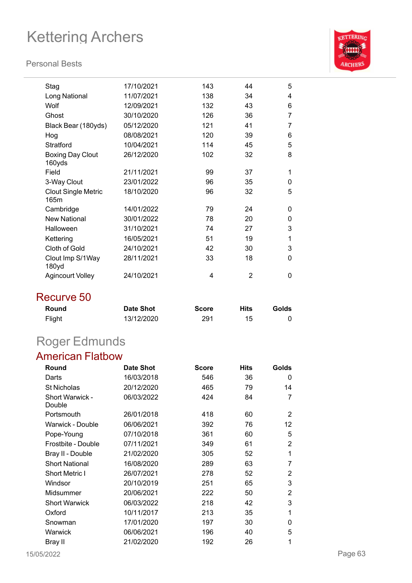### **Personal Bests**



| Stag                               | 17/10/2021 | 143 | 44 | 5 |
|------------------------------------|------------|-----|----|---|
| Long National                      | 11/07/2021 | 138 | 34 | 4 |
| Wolf                               | 12/09/2021 | 132 | 43 | 6 |
| Ghost                              | 30/10/2020 | 126 | 36 | 7 |
| Black Bear (180yds)                | 05/12/2020 | 121 | 41 | 7 |
| Hog                                | 08/08/2021 | 120 | 39 | 6 |
| Stratford                          | 10/04/2021 | 114 | 45 | 5 |
| <b>Boxing Day Clout</b><br>160yds  | 26/12/2020 | 102 | 32 | 8 |
| Field                              | 21/11/2021 | 99  | 37 | 1 |
| 3-Way Clout                        | 23/01/2022 | 96  | 35 | 0 |
| <b>Clout Single Metric</b><br>165m | 18/10/2020 | 96  | 32 | 5 |
| Cambridge                          | 14/01/2022 | 79  | 24 | 0 |
| <b>New National</b>                | 30/01/2022 | 78  | 20 | 0 |
| Halloween                          | 31/10/2021 | 74  | 27 | 3 |
| Kettering                          | 16/05/2021 | 51  | 19 | 1 |
| Cloth of Gold                      | 24/10/2021 | 42  | 30 | 3 |
| Clout Imp S/1Way<br>180yd          | 28/11/2021 | 33  | 18 | 0 |
| <b>Agincourt Volley</b>            | 24/10/2021 | 4   | 2  | 0 |

## Recurve 50

| Round  | <b>Date Shot</b> | <b>Score</b> | <b>Hits</b> | Golds |
|--------|------------------|--------------|-------------|-------|
| Flight | 13/12/2020       | 291          | 15          |       |

## Roger Edmunds

## American Flatbow

| Round                            | Date Shot  | <b>Score</b> | <b>Hits</b> | Golds |
|----------------------------------|------------|--------------|-------------|-------|
| Darts                            | 16/03/2018 | 546          | 36          | 0     |
| <b>St Nicholas</b>               | 20/12/2020 | 465          | 79          | 14    |
| <b>Short Warwick -</b><br>Double | 06/03/2022 | 424          | 84          | 7     |
| Portsmouth                       | 26/01/2018 | 418          | 60          | 2     |
| Warwick - Double                 | 06/06/2021 | 392          | 76          | 12    |
| Pope-Young                       | 07/10/2018 | 361          | 60          | 5     |
| Frostbite - Double               | 07/11/2021 | 349          | 61          | 2     |
| Bray II - Double                 | 21/02/2020 | 305          | 52          | 1     |
| <b>Short National</b>            | 16/08/2020 | 289          | 63          | 7     |
| Short Metric I                   | 26/07/2021 | 278          | 52          | 2     |
| Windsor                          | 20/10/2019 | 251          | 65          | 3     |
| Midsummer                        | 20/06/2021 | 222          | 50          | 2     |
| <b>Short Warwick</b>             | 06/03/2022 | 218          | 42          | 3     |
| Oxford                           | 10/11/2017 | 213          | 35          | 1     |
| Snowman                          | 17/01/2020 | 197          | 30          | 0     |
| Warwick                          | 06/06/2021 | 196          | 40          | 5     |
| Bray II                          | 21/02/2020 | 192          | 26          | 1     |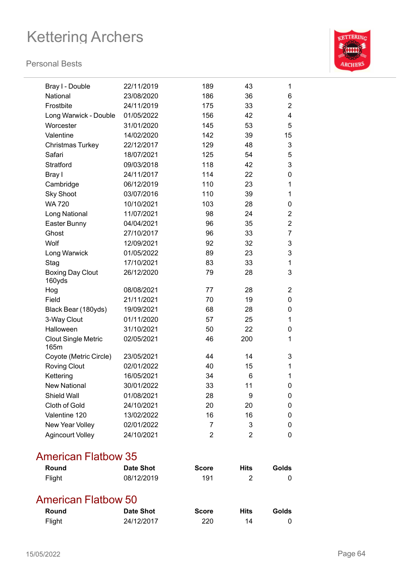### **Personal Bests**



| Bray I - Double                    | 22/11/2019 | 189            | 43             | 1                         |
|------------------------------------|------------|----------------|----------------|---------------------------|
| National                           | 23/08/2020 | 186            | 36             | 6                         |
| Frostbite                          | 24/11/2019 | 175            | 33             | $\overline{2}$            |
| Long Warwick - Double              | 01/05/2022 | 156            | 42             | $\overline{4}$            |
| Worcester                          | 31/01/2020 | 145            | 53             | 5                         |
| Valentine                          | 14/02/2020 | 142            | 39             | 15                        |
| <b>Christmas Turkey</b>            | 22/12/2017 | 129            | 48             | $\ensuremath{\mathsf{3}}$ |
| Safari                             | 18/07/2021 | 125            | 54             | 5                         |
| Stratford                          | 09/03/2018 | 118            | 42             | 3                         |
| Bray I                             | 24/11/2017 | 114            | 22             | $\mathbf 0$               |
| Cambridge                          | 06/12/2019 | 110            | 23             | $\mathbf{1}$              |
| <b>Sky Shoot</b>                   | 03/07/2016 | 110            | 39             | $\mathbf 1$               |
| <b>WA 720</b>                      | 10/10/2021 | 103            | 28             | 0                         |
| Long National                      | 11/07/2021 | 98             | 24             | $\overline{2}$            |
| Easter Bunny                       | 04/04/2021 | 96             | 35             | $\overline{2}$            |
| Ghost                              | 27/10/2017 | 96             | 33             | $\overline{7}$            |
| Wolf                               | 12/09/2021 | 92             | 32             | 3                         |
| Long Warwick                       | 01/05/2022 | 89             | 23             | 3                         |
| Stag                               | 17/10/2021 | 83             | 33             | $\mathbf 1$               |
| <b>Boxing Day Clout</b><br>160yds  | 26/12/2020 | 79             | 28             | 3                         |
| Hog                                | 08/08/2021 | 77             | 28             | 2                         |
| Field                              | 21/11/2021 | 70             | 19             | 0                         |
| Black Bear (180yds)                | 19/09/2021 | 68             | 28             | 0                         |
| 3-Way Clout                        | 01/11/2020 | 57             | 25             | 1                         |
| Halloween                          | 31/10/2021 | 50             | 22             | 0                         |
| <b>Clout Single Metric</b><br>165m | 02/05/2021 | 46             | 200            | $\mathbf 1$               |
| Coyote (Metric Circle)             | 23/05/2021 | 44             | 14             | 3                         |
| <b>Roving Clout</b>                | 02/01/2022 | 40             | 15             | 1                         |
| Kettering                          | 16/05/2021 | 34             | 6              | 1                         |
| <b>New National</b>                | 30/01/2022 | 33             | 11             | 0                         |
| Shield Wall                        | 01/08/2021 | 28             | 9              | 0                         |
| Cloth of Gold                      | 24/10/2021 | 20             | 20             | 0                         |
| Valentine 120                      | 13/02/2022 | 16             | 16             | 0                         |
| New Year Volley                    | 02/01/2022 | $\overline{7}$ | 3              | 0                         |
| <b>Agincourt Volley</b>            | 24/10/2021 | $\overline{2}$ | $\overline{2}$ | $\mathbf 0$               |

## American Flatbow 35

| Round               | <b>Date Shot</b> | <b>Score</b> | Hits | Golds |
|---------------------|------------------|--------------|------|-------|
| Flight              | 08/12/2019       | 191          |      |       |
| American Flatbow 50 |                  |              |      |       |

| Round  | <b>Date Shot</b> | <b>Score</b> | <b>Hits</b> | Golds |
|--------|------------------|--------------|-------------|-------|
| Flight | 24/12/2017       | 220          | 14          |       |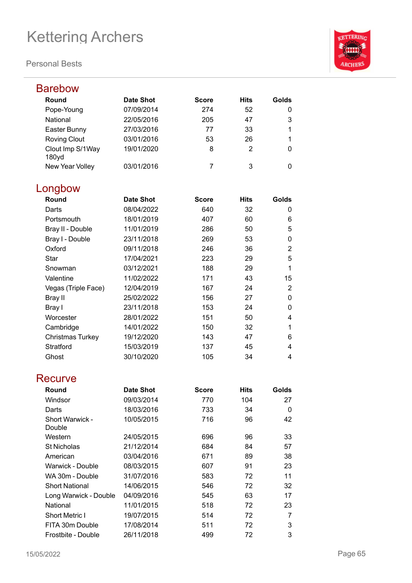

| Barebow                   |                  |              |                |                |
|---------------------------|------------------|--------------|----------------|----------------|
| Round                     | <b>Date Shot</b> | <b>Score</b> | <b>Hits</b>    | Golds          |
| Pope-Young                | 07/09/2014       | 274          | 52             | 0              |
| National                  | 22/05/2016       | 205          | 47             | 3              |
| Easter Bunny              | 27/03/2016       | 77           | 33             | 1              |
| <b>Roving Clout</b>       | 03/01/2016       | 53           | 26             | 1              |
| Clout Imp S/1Way<br>180yd | 19/01/2020       | 8            | $\overline{2}$ | 0              |
| New Year Volley           | 03/01/2016       | 7            | 3              | 0              |
| Longbow                   |                  |              |                |                |
| Round                     | <b>Date Shot</b> | <b>Score</b> | <b>Hits</b>    | Golds          |
| Darts                     | 08/04/2022       | 640          | 32             | 0              |
| Portsmouth                | 18/01/2019       | 407          | 60             | 6              |
| Bray II - Double          | 11/01/2019       | 286          | 50             | 5              |
| Bray I - Double           | 23/11/2018       | 269          | 53             | 0              |
| Oxford                    | 09/11/2018       | 246          | 36             | $\overline{2}$ |
| <b>Star</b>               | 17/04/2021       | 223          | 29             | 5              |
| Snowman                   | 03/12/2021       | 188          | 29             | 1              |
| Valentine                 | 11/02/2022       | 171          | 43             | 15             |
| Vegas (Triple Face)       | 12/04/2019       | 167          | 24             | 2              |
| Bray II                   | 25/02/2022       | 156          | 27             | $\mathbf 0$    |
| Bray I                    | 23/11/2018       | 153          | 24             | 0              |
| Worcester                 | 28/01/2022       | 151          | 50             | 4              |
| Cambridge                 | 14/01/2022       | 150          | 32             | 1              |
| <b>Christmas Turkey</b>   | 19/12/2020       | 143          | 47             | 6              |
| Stratford                 | 15/03/2019       | 137          | 45             | 4              |
| Ghost                     | 30/10/2020       | 105          | 34             | 4              |
| Recurve                   |                  |              |                |                |
| Round                     | <b>Date Shot</b> | <b>Score</b> | <b>Hits</b>    | Golds          |
| Windsor                   | 09/03/2014       | 770          | 104            | 27             |
| Darts                     | 18/03/2016       | 733          | 34             | 0              |
| Short Warwick -<br>Double | 10/05/2015       | 716          | 96             | 42             |
| Western                   | 24/05/2015       | 696          | 96             | 33             |
| St Nicholas               | 21/12/2014       | 684          | 84             | 57             |
| American                  | 03/04/2016       | 671          | 89             | 38             |
| Warwick - Double          | 08/03/2015       | 607          | 91             | 23             |
| WA 30m - Double           | 31/07/2016       | 583          | 72             | 11             |
| <b>Short National</b>     | 14/06/2015       | 546          | 72             | 32             |
| Long Warwick - Double     | 04/09/2016       | 545          | 63             | 17             |
| National                  | 11/01/2015       | 518          | 72             | 23             |
| <b>Short Metric I</b>     | 19/07/2015       | 514          | 72             | 7              |
| FITA 30m Double           | 17/08/2014       | 511          | 72             | 3              |
| Frostbite - Double        | 26/11/2018       | 499          | 72             | 3              |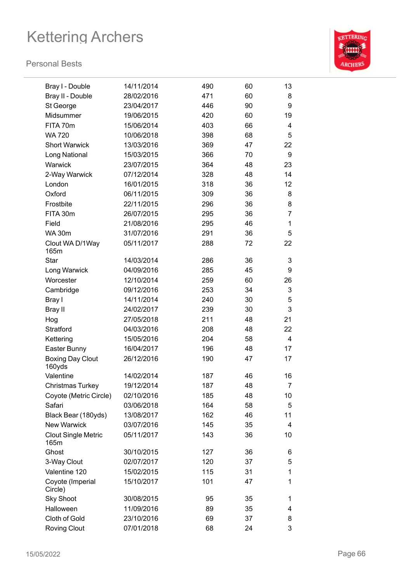

| Bray I - Double                    | 14/11/2014 | 490 | 60 | 13             |
|------------------------------------|------------|-----|----|----------------|
| Bray II - Double                   | 28/02/2016 | 471 | 60 | 8              |
| St George                          | 23/04/2017 | 446 | 90 | 9              |
| Midsummer                          | 19/06/2015 | 420 | 60 | 19             |
| FITA 70m                           | 15/06/2014 | 403 | 66 | 4              |
| <b>WA 720</b>                      | 10/06/2018 | 398 | 68 | 5              |
| <b>Short Warwick</b>               | 13/03/2016 | 369 | 47 | 22             |
| Long National                      | 15/03/2015 | 366 | 70 | 9              |
| Warwick                            | 23/07/2015 | 364 | 48 | 23             |
| 2-Way Warwick                      | 07/12/2014 | 328 | 48 | 14             |
| London                             | 16/01/2015 | 318 | 36 | 12             |
| Oxford                             | 06/11/2015 | 309 | 36 | 8              |
| Frostbite                          | 22/11/2015 | 296 | 36 | 8              |
| FITA 30m                           | 26/07/2015 | 295 | 36 | $\overline{7}$ |
| Field                              | 21/08/2016 | 295 | 46 | 1              |
| <b>WA 30m</b>                      | 31/07/2016 | 291 | 36 | 5              |
| Clout WA D/1Way<br>165m            | 05/11/2017 | 288 | 72 | 22             |
| <b>Star</b>                        | 14/03/2014 | 286 | 36 | 3              |
| Long Warwick                       | 04/09/2016 | 285 | 45 | 9              |
| Worcester                          | 12/10/2014 | 259 | 60 | 26             |
| Cambridge                          | 09/12/2016 | 253 | 34 | 3              |
| Bray I                             | 14/11/2014 | 240 | 30 | 5              |
| Bray II                            | 24/02/2017 | 239 | 30 | 3              |
| Hog                                | 27/05/2018 | 211 | 48 | 21             |
| Stratford                          | 04/03/2016 | 208 | 48 | 22             |
| Kettering                          | 15/05/2016 | 204 | 58 | $\overline{4}$ |
| Easter Bunny                       | 16/04/2017 | 196 | 48 | 17             |
| <b>Boxing Day Clout</b><br>160yds  | 26/12/2016 | 190 | 47 | 17             |
| Valentine                          | 14/02/2014 | 187 | 46 | 16             |
| <b>Christmas Turkey</b>            | 19/12/2014 | 187 | 48 | $\overline{7}$ |
| Coyote (Metric Circle)             | 02/10/2016 | 185 | 48 | 10             |
| Safari                             | 03/06/2018 | 164 | 58 | 5              |
| Black Bear (180yds)                | 13/08/2017 | 162 | 46 | 11             |
| <b>New Warwick</b>                 | 03/07/2016 | 145 | 35 | 4              |
| <b>Clout Single Metric</b><br>165m | 05/11/2017 | 143 | 36 | 10             |
| Ghost                              | 30/10/2015 | 127 | 36 | 6              |
| 3-Way Clout                        | 02/07/2017 | 120 | 37 | 5              |
| Valentine 120                      | 15/02/2015 | 115 | 31 | 1              |
| Coyote (Imperial<br>Circle)        | 15/10/2017 | 101 | 47 | 1              |
| <b>Sky Shoot</b>                   | 30/08/2015 | 95  | 35 | 1              |
| Halloween                          | 11/09/2016 | 89  | 35 | 4              |
| Cloth of Gold                      | 23/10/2016 | 69  | 37 | 8              |
| <b>Roving Clout</b>                | 07/01/2018 | 68  | 24 | 3              |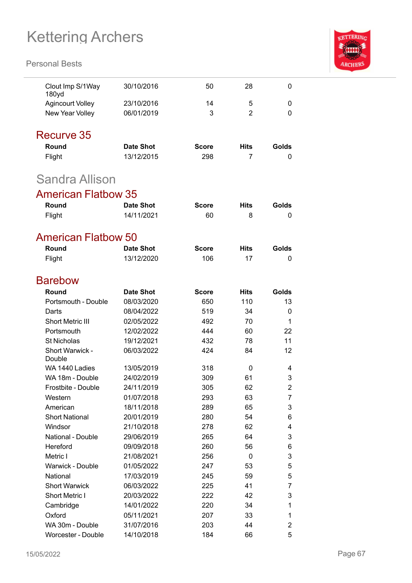

| Clout Imp S/1Way<br>180yd    | 30/10/2016               | 50           | 28             | 0              |
|------------------------------|--------------------------|--------------|----------------|----------------|
| <b>Agincourt Volley</b>      | 23/10/2016               | 14           | 5              | 0              |
| New Year Volley              | 06/01/2019               | 3            | $\overline{2}$ | 0              |
|                              |                          |              |                |                |
| Recurve 35                   |                          |              |                |                |
| Round                        | Date Shot                | <b>Score</b> | Hits           | Golds          |
| Flight                       | 13/12/2015               | 298          | 7              | 0              |
| Sandra Allison               |                          |              |                |                |
| <b>American Flatbow 35</b>   |                          |              |                |                |
| Round                        | <b>Date Shot</b>         | <b>Score</b> | <b>Hits</b>    | Golds          |
| Flight                       | 14/11/2021               | 60           | 8              | 0              |
|                              |                          |              |                |                |
| <b>American Flatbow 50</b>   |                          |              |                |                |
| Round                        | <b>Date Shot</b>         | <b>Score</b> | <b>Hits</b>    | Golds          |
| Flight                       | 13/12/2020               | 106          | 17             | 0              |
| <b>Barebow</b>               |                          |              |                |                |
| Round                        | <b>Date Shot</b>         | <b>Score</b> | Hits           | Golds          |
| Portsmouth - Double          | 08/03/2020               | 650          | 110            | 13             |
| Darts                        | 08/04/2022               | 519          | 34             | 0              |
| <b>Short Metric III</b>      | 02/05/2022               | 492          | 70             | 1              |
| Portsmouth                   | 12/02/2022               | 444          | 60             | 22             |
| <b>St Nicholas</b>           | 19/12/2021               | 432          | 78             | 11             |
| Short Warwick -              | 06/03/2022               | 424          | 84             | 12             |
| Double                       |                          |              |                |                |
| WA 1440 Ladies               | 13/05/2019               | 318          | 0              | 4              |
| WA 18m - Double              | 24/02/2019               | 309          | 61             | 3              |
| Frostbite - Double           | 24/11/2019               | 305          | 62             | 2              |
| Western                      | 01/07/2018               | 293          | 63             | 7              |
| American                     | 18/11/2018               | 289          | 65             | 3              |
| <b>Short National</b>        | 20/01/2019               | 280          | 54             | 6              |
| Windsor                      | 21/10/2018               | 278          | 62             | 4              |
| National - Double            | 29/06/2019               | 265          | 64             | 3              |
| Hereford<br>Metric I         | 09/09/2018               | 260          | 56             | 6              |
|                              | 21/08/2021<br>01/05/2022 | 256          | 0              | 3              |
| Warwick - Double<br>National | 17/03/2019               | 247<br>245   | 53<br>59       | 5<br>5         |
| <b>Short Warwick</b>         | 06/03/2022               | 225          | 41             | 7              |
| Short Metric I               | 20/03/2022               | 222          | 42             | 3              |
| Cambridge                    | 14/01/2022               | 220          | 34             | 1              |
| Oxford                       | 05/11/2021               | 207          | 33             | 1              |
| WA 30m - Double              | 31/07/2016               | 203          | 44             | $\overline{c}$ |
| Worcester - Double           | 14/10/2018               | 184          | 66             | 5              |
|                              |                          |              |                |                |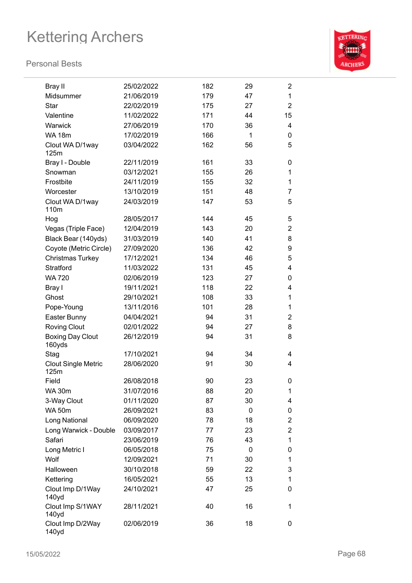

| Bray II                            | 25/02/2022 | 182 | 29 | $\overline{2}$ |
|------------------------------------|------------|-----|----|----------------|
| Midsummer                          | 21/06/2019 | 179 | 47 | 1              |
| <b>Star</b>                        | 22/02/2019 | 175 | 27 | $\overline{2}$ |
| Valentine                          | 11/02/2022 | 171 | 44 | 15             |
| Warwick                            | 27/06/2019 | 170 | 36 | 4              |
| <b>WA 18m</b>                      | 17/02/2019 | 166 | 1  | 0              |
| Clout WA D/1way                    | 03/04/2022 | 162 | 56 | 5              |
| 125m                               |            |     |    |                |
| Bray I - Double                    | 22/11/2019 | 161 | 33 | 0              |
| Snowman                            | 03/12/2021 | 155 | 26 | 1              |
| Frostbite                          | 24/11/2019 | 155 | 32 | 1              |
| Worcester                          | 13/10/2019 | 151 | 48 | 7              |
| Clout WA D/1way<br>110m            | 24/03/2019 | 147 | 53 | 5              |
| Hog                                | 28/05/2017 | 144 | 45 | 5              |
| Vegas (Triple Face)                | 12/04/2019 | 143 | 20 | $\overline{2}$ |
| Black Bear (140yds)                | 31/03/2019 | 140 | 41 | 8              |
| Coyote (Metric Circle)             | 27/09/2020 | 136 | 42 | 9              |
| Christmas Turkey                   | 17/12/2021 | 134 | 46 | 5              |
| Stratford                          | 11/03/2022 | 131 | 45 | 4              |
| <b>WA 720</b>                      | 02/06/2019 | 123 | 27 | 0              |
| Bray I                             | 19/11/2021 | 118 | 22 | 4              |
| Ghost                              | 29/10/2021 | 108 | 33 | 1              |
| Pope-Young                         | 13/11/2016 | 101 | 28 | 1              |
| Easter Bunny                       | 04/04/2021 | 94  | 31 | 2              |
| <b>Roving Clout</b>                | 02/01/2022 | 94  | 27 | 8              |
| <b>Boxing Day Clout</b><br>160yds  | 26/12/2019 | 94  | 31 | 8              |
| Stag                               | 17/10/2021 | 94  | 34 | 4              |
| <b>Clout Single Metric</b><br>125m | 28/06/2020 | 91  | 30 | 4              |
| Field                              | 26/08/2018 | 90  | 23 | 0              |
| WA 30m                             | 31/07/2016 | 88  | 20 | 1              |
| 3-Way Clout                        | 01/11/2020 | 87  | 30 | 4              |
| <b>WA 50m</b>                      | 26/09/2021 | 83  | 0  | 0              |
| Long National                      | 06/09/2020 | 78  | 18 | $\overline{2}$ |
| Long Warwick - Double              | 03/09/2017 | 77  | 23 | $\overline{2}$ |
| Safari                             | 23/06/2019 | 76  | 43 | 1              |
| Long Metric I                      | 06/05/2018 | 75  | 0  | 0              |
| Wolf                               | 12/09/2021 | 71  | 30 | 1              |
| Halloween                          | 30/10/2018 | 59  | 22 | 3              |
| Kettering                          | 16/05/2021 | 55  | 13 | 1              |
| Clout Imp D/1Way<br>140yd          | 24/10/2021 | 47  | 25 | 0              |
| Clout Imp S/1WAY<br>140yd          | 28/11/2021 | 40  | 16 | 1              |
| Clout Imp D/2Way<br>140yd          | 02/06/2019 | 36  | 18 | 0              |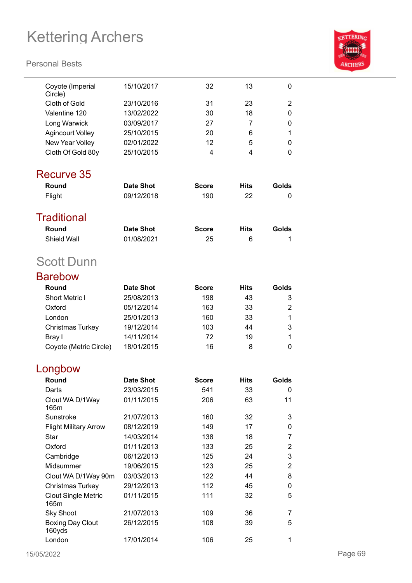

| Coyote (Imperial<br>Circle)        | 15/10/2017       | 32           | 13          | 0                         |
|------------------------------------|------------------|--------------|-------------|---------------------------|
| <b>Cloth of Gold</b>               | 23/10/2016       | 31           | 23          | 2                         |
| Valentine 120                      | 13/02/2022       | 30           | 18          | 0                         |
| Long Warwick                       | 03/09/2017       | 27           | 7           | 0                         |
| <b>Agincourt Volley</b>            | 25/10/2015       | 20           | 6           | 1                         |
| New Year Volley                    | 02/01/2022       | 12           | 5           | 0                         |
| Cloth Of Gold 80y                  | 25/10/2015       | 4            | 4           | 0                         |
|                                    |                  |              |             |                           |
| Recurve 35                         |                  |              |             |                           |
| Round                              | <b>Date Shot</b> | <b>Score</b> | <b>Hits</b> | Golds                     |
| Flight                             | 09/12/2018       | 190          | 22          | 0                         |
|                                    |                  |              |             |                           |
| <b>Traditional</b>                 |                  |              |             |                           |
| Round                              | <b>Date Shot</b> | <b>Score</b> | <b>Hits</b> | Golds                     |
| <b>Shield Wall</b>                 | 01/08/2021       | 25           | 6           | 1                         |
| <b>Scott Dunn</b>                  |                  |              |             |                           |
| <b>Barebow</b>                     |                  |              |             |                           |
| Round                              | <b>Date Shot</b> | <b>Score</b> | <b>Hits</b> | Golds                     |
| <b>Short Metric I</b>              | 25/08/2013       | 198          | 43          | 3                         |
| Oxford                             | 05/12/2014       | 163          | 33          | 2                         |
| London                             | 25/01/2013       | 160          | 33          | 1                         |
| <b>Christmas Turkey</b>            | 19/12/2014       | 103          | 44          | 3                         |
| Bray I                             | 14/11/2014       | 72           | 19          | 1                         |
| Coyote (Metric Circle)             | 18/01/2015       | 16           | 8           | 0                         |
|                                    |                  |              |             |                           |
| Longbow                            |                  |              |             |                           |
| Round                              | <b>Date Shot</b> | <b>Score</b> | <b>Hits</b> | Golds                     |
| Darts                              | 23/03/2015       | 541          | 33          | 0                         |
| Clout WA D/1Way<br>165m            | 01/11/2015       | 206          | 63          | 11                        |
| Sunstroke                          | 21/07/2013       | 160          | 32          | 3                         |
| <b>Flight Military Arrow</b>       | 08/12/2019       | 149          | 17          | 0                         |
| <b>Star</b>                        | 14/03/2014       | 138          | 18          | $\overline{7}$            |
| Oxford                             | 01/11/2013       | 133          | 25          | 2                         |
| Cambridge                          | 06/12/2013       | 125          | 24          | $\ensuremath{\mathsf{3}}$ |
| Midsummer                          | 19/06/2015       | 123          | 25          | $\overline{2}$            |
| Clout WA D/1Way 90m                | 03/03/2013       | 122          | 44          | 8                         |
| Christmas Turkey                   | 29/12/2013       | 112          | 45          | 0                         |
| <b>Clout Single Metric</b><br>165m | 01/11/2015       | 111          | 32          | 5                         |
| <b>Sky Shoot</b>                   | 21/07/2013       | 109          | 36          | 7                         |
| <b>Boxing Day Clout</b><br>160yds  | 26/12/2015       | 108          | 39          | 5                         |
| London                             | 17/01/2014       | 106          | 25          | 1                         |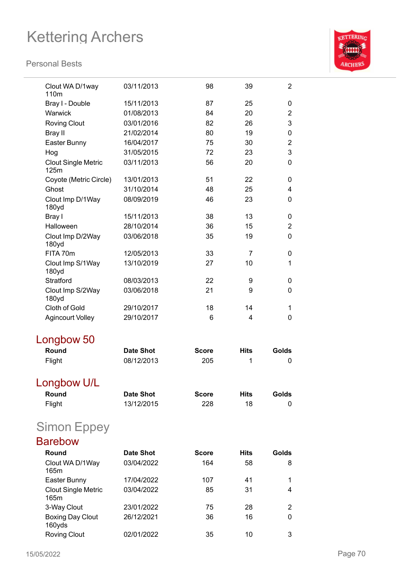

| Clout WA D/1way<br>110 <sub>m</sub> | 03/11/2013       | 98           | 39          | $\overline{2}$ |
|-------------------------------------|------------------|--------------|-------------|----------------|
| Bray I - Double                     | 15/11/2013       | 87           | 25          | 0              |
| Warwick                             | 01/08/2013       | 84           | 20          | $\overline{2}$ |
| <b>Roving Clout</b>                 | 03/01/2016       | 82           | 26          | 3              |
| <b>Bray II</b>                      | 21/02/2014       | 80           | 19          | 0              |
| Easter Bunny                        | 16/04/2017       | 75           | 30          | $\overline{2}$ |
| Hog                                 | 31/05/2015       | 72           | 23          | 3              |
| <b>Clout Single Metric</b><br>125m  | 03/11/2013       | 56           | 20          | 0              |
| Coyote (Metric Circle)              | 13/01/2013       | 51           | 22          | 0              |
| Ghost                               | 31/10/2014       | 48           | 25          | 4              |
| Clout Imp D/1Way<br>180yd           | 08/09/2019       | 46           | 23          | 0              |
| Bray I                              | 15/11/2013       | 38           | 13          | 0              |
| Halloween                           | 28/10/2014       | 36           | 15          | $\overline{2}$ |
| Clout Imp D/2Way<br>180yd           | 03/06/2018       | 35           | 19          | 0              |
| FITA 70m                            | 12/05/2013       | 33           | 7           | 0              |
| Clout Imp S/1Way<br>180yd           | 13/10/2019       | 27           | 10          | 1              |
| <b>Stratford</b>                    | 08/03/2013       | 22           | 9           | 0              |
| Clout Imp S/2Way<br>180yd           | 03/06/2018       | 21           | 9           | 0              |
| Cloth of Gold                       | 29/10/2017       | 18           | 14          | 1              |
| <b>Agincourt Volley</b>             | 29/10/2017       | 6            | 4           | $\overline{0}$ |
| Longbow 50                          |                  |              |             |                |
| Round                               | <b>Date Shot</b> | <b>Score</b> | <b>Hits</b> | Golds          |
| Flight                              | 08/12/2013       | 205          | 1           | 0              |
| Longbow U/L                         |                  |              |             |                |
| Round                               | <b>Date Shot</b> | <b>Score</b> | <b>Hits</b> | Golds          |
| Flight                              | 13/12/2015       | 228          | 18          | 0              |
| <b>Simon Eppey</b>                  |                  |              |             |                |
| <b>Barebow</b>                      |                  |              |             |                |
| Round                               | <b>Date Shot</b> | <b>Score</b> | <b>Hits</b> | Golds          |
| Clout WA D/1Way<br>165m             | 03/04/2022       | 164          | 58          | 8              |
| Easter Bunny                        | 17/04/2022       | 107          | 41          | 1              |
| <b>Clout Single Metric</b><br>165m  | 03/04/2022       | 85           | 31          | 4              |
| 3-Way Clout                         | 23/01/2022       | 75           | 28          | 2              |
| <b>Boxing Day Clout</b><br>160yds   | 26/12/2021       | 36           | 16          | 0              |
| <b>Roving Clout</b>                 | 02/01/2022       | 35           | 10          | 3              |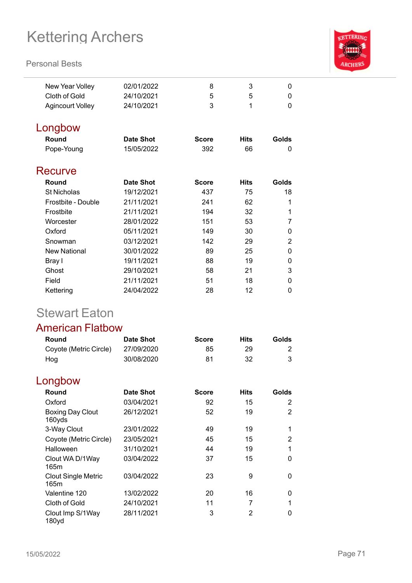#### **Personal Bests**



| New Year Volley         | 02/01/2022       | 8            | 3           | 0        |
|-------------------------|------------------|--------------|-------------|----------|
| Cloth of Gold           | 24/10/2021       | 5            | 5           | 0        |
| <b>Agincourt Volley</b> | 24/10/2021       | 3            | 1           | $\Omega$ |
| Longbow                 |                  |              |             |          |
| Round                   | <b>Date Shot</b> | <b>Score</b> | <b>Hits</b> | Golds    |
| Pope-Young              | 15/05/2022       | 392          | 66          | 0        |
| Recurve                 |                  |              |             |          |
| Round                   | <b>Date Shot</b> | <b>Score</b> | <b>Hits</b> | Golds    |
| <b>St Nicholas</b>      | 19/12/2021       | 437          | 75          | 18       |
| Frostbite - Double      | 21/11/2021       | 241          | 62          | 1        |
| Frostbite               | 21/11/2021       | 194          | 32          | 1        |
| Worcester               | 28/01/2022       | 151          | 53          | 7        |
| Oxford                  | 05/11/2021       | 149          | 30          | 0        |
| Snowman                 | 03/12/2021       | 142          | 29          | 2        |
| <b>New National</b>     | 30/01/2022       | 89           | 25          | 0        |
| Bray I                  | 19/11/2021       | 88           | 19          | 0        |
| Ghost                   | 29/10/2021       | 58           | 21          | 3        |
| Field                   | 21/11/2021       | 51           | 18          | 0        |
| Kettering               | 24/04/2022       | 28           | 12          | 0        |

## Stewart Eaton

### American Flatbow

| Round                  | Date Shot  | <b>Score</b> | Hits | Golds |
|------------------------|------------|--------------|------|-------|
| Coyote (Metric Circle) | 27/09/2020 | 85           | 29   |       |
| Hog                    | 30/08/2020 | 81           | -32  |       |

## Longbow

| <b>Round</b>                       | <b>Date Shot</b> | <b>Score</b> | <b>Hits</b> | Golds |
|------------------------------------|------------------|--------------|-------------|-------|
| Oxford                             | 03/04/2021       | 92           | 15          | 2     |
| Boxing Day Clout<br>160yds         | 26/12/2021       | 52           | 19          | 2     |
| 3-Way Clout                        | 23/01/2022       | 49           | 19          | 1     |
| Coyote (Metric Circle)             | 23/05/2021       | 45           | 15          | 2     |
| Halloween                          | 31/10/2021       | 44           | 19          | 1     |
| Clout WA D/1Way<br>165m            | 03/04/2022       | 37           | 15          | 0     |
| <b>Clout Single Metric</b><br>165m | 03/04/2022       | 23           | 9           | 0     |
| Valentine 120                      | 13/02/2022       | 20           | 16          | 0     |
| Cloth of Gold                      | 24/10/2021       | 11           | 7           | 1     |
| Clout Imp S/1Way<br>180yd          | 28/11/2021       | 3            | 2           | 0     |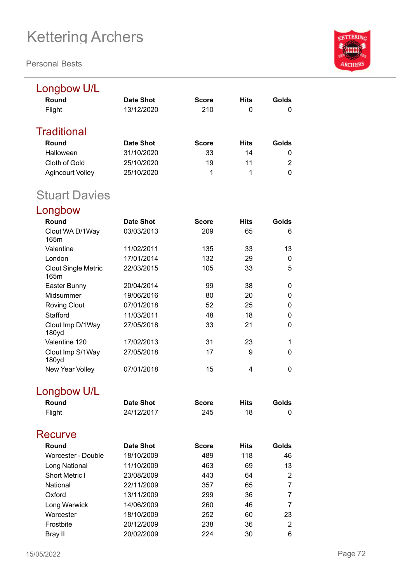**Personal Bests**



| Longbow U/L                        |                  |              |             |                |
|------------------------------------|------------------|--------------|-------------|----------------|
| Round                              | <b>Date Shot</b> | <b>Score</b> | <b>Hits</b> | Golds          |
| Flight                             | 13/12/2020       | 210          | 0           | 0              |
| <b>Traditional</b>                 |                  |              |             |                |
| Round                              | <b>Date Shot</b> | <b>Score</b> | <b>Hits</b> | Golds          |
| Halloween                          | 31/10/2020       | 33           | 14          | 0              |
| Cloth of Gold                      | 25/10/2020       | 19           | 11          | $\overline{2}$ |
| <b>Agincourt Volley</b>            | 25/10/2020       | 1            | 1           | $\overline{0}$ |
| <b>Stuart Davies</b>               |                  |              |             |                |
| Longbow                            |                  |              |             |                |
| Round                              | <b>Date Shot</b> | <b>Score</b> | <b>Hits</b> | Golds          |
| Clout WA D/1Way<br>165m            | 03/03/2013       | 209          | 65          | 6              |
| Valentine                          | 11/02/2011       | 135          | 33          | 13             |
| London                             | 17/01/2014       | 132          | 29          | 0              |
| <b>Clout Single Metric</b><br>165m | 22/03/2015       | 105          | 33          | 5              |
| Easter Bunny                       | 20/04/2014       | 99           | 38          | 0              |
| Midsummer                          | 19/06/2016       | 80           | 20          | $\mathbf 0$    |
| <b>Roving Clout</b>                | 07/01/2018       | 52           | 25          | 0              |
| Stafford                           | 11/03/2011       | 48           | 18          | $\mathbf 0$    |
| Clout Imp D/1Way<br>180yd          | 27/05/2018       | 33           | 21          | $\mathbf 0$    |
| Valentine 120                      | 17/02/2013       | 31           | 23          | 1              |
| Clout Imp S/1Way<br>180yd          | 27/05/2018       | 17           | 9           | 0              |
| New Year Volley                    | 07/01/2018       | 15           | 4           | 0              |

## Longbow U/L

| Round  | <b>Date Shot</b> | <b>Score</b> | Hits | Golds |
|--------|------------------|--------------|------|-------|
| Flight | 24/12/2017       | 245          |      |       |

| Recurve               |            |              |             |       |
|-----------------------|------------|--------------|-------------|-------|
| Round                 | Date Shot  | <b>Score</b> | <b>Hits</b> | Golds |
| Worcester - Double    | 18/10/2009 | 489          | 118         | 46    |
| Long National         | 11/10/2009 | 463          | 69          | 13    |
| <b>Short Metric I</b> | 23/08/2009 | 443          | 64          | 2     |
| National              | 22/11/2009 | 357          | 65          | 7     |
| Oxford                | 13/11/2009 | 299          | 36          | 7     |
| Long Warwick          | 14/06/2009 | 260          | 46          | 7     |
| Worcester             | 18/10/2009 | 252          | 60          | 23    |
| Frostbite             | 20/12/2009 | 238          | 36          | 2     |
| Bray II               | 20/02/2009 | 224          | 30          | 6     |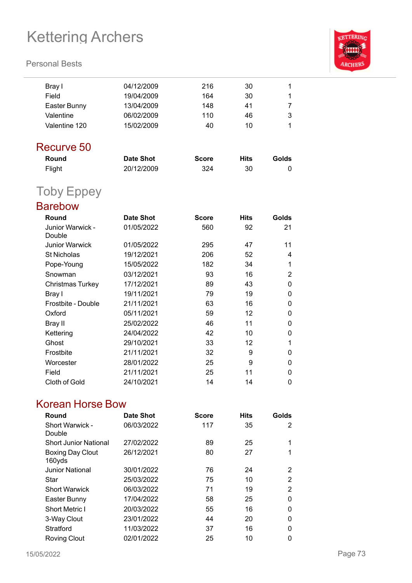# Kettering Archers

#### **Personal Bests**



| Bray I                     | 04/12/2009       | 216          | 30          | 1              |
|----------------------------|------------------|--------------|-------------|----------------|
| Field                      | 19/04/2009       | 164          | 30          | 1              |
| Easter Bunny               | 13/04/2009       | 148          | 41          | 7              |
| Valentine                  | 06/02/2009       | 110          | 46          | 3              |
| Valentine 120              | 15/02/2009       | 40           | 10          | 1              |
| Recurve 50                 |                  |              |             |                |
| Round                      | <b>Date Shot</b> | <b>Score</b> | <b>Hits</b> | Golds          |
| Flight                     | 20/12/2009       | 324          | 30          | 0              |
| <b>Toby Eppey</b>          |                  |              |             |                |
| <b>Barebow</b>             |                  |              |             |                |
| Round                      | <b>Date Shot</b> | <b>Score</b> | <b>Hits</b> | Golds          |
| Junior Warwick -<br>Double | 01/05/2022       | 560          | 92          | 21             |
| <b>Junior Warwick</b>      | 01/05/2022       | 295          | 47          | 11             |
| <b>St Nicholas</b>         | 19/12/2021       | 206          | 52          | 4              |
| Pope-Young                 | 15/05/2022       | 182          | 34          | 1              |
| Snowman                    | 03/12/2021       | 93           | 16          | $\overline{2}$ |
| <b>Christmas Turkey</b>    | 17/12/2021       | 89           | 43          | 0              |
| Bray I                     | 19/11/2021       | 79           | 19          | 0              |
| Frostbite - Double         | 21/11/2021       | 63           | 16          | 0              |
| Oxford                     | 05/11/2021       | 59           | 12          | 0              |
| Bray II                    | 25/02/2022       | 46           | 11          | 0              |
| Kettering                  | 24/04/2022       | 42           | 10          | 0              |
| Ghost                      | 29/10/2021       | 33           | 12          | 1              |
| Frostbite                  | 21/11/2021       | 32           | 9           | 0              |
| Worcester                  | 28/01/2022       | 25           | 9           | 0              |
| Field                      | 21/11/2021       | 25           | 11          | 0              |
| Cloth of Gold              | 24/10/2021       | 14           | 14          | $\mathbf 0$    |

### Korean Horse Bow

| Round                             | <b>Date Shot</b> | <b>Score</b> | <b>Hits</b> | Golds    |
|-----------------------------------|------------------|--------------|-------------|----------|
| Short Warwick -<br>Double         | 06/03/2022       | 117          | 35          | 2        |
| <b>Short Junior National</b>      | 27/02/2022       | 89           | 25          | 1        |
| <b>Boxing Day Clout</b><br>160yds | 26/12/2021       | 80           | 27          | 1        |
| <b>Junior National</b>            | 30/01/2022       | 76           | 24          | 2        |
| Star                              | 25/03/2022       | 75           | 10          | 2        |
| <b>Short Warwick</b>              | 06/03/2022       | 71           | 19          | 2        |
| Easter Bunny                      | 17/04/2022       | 58           | 25          | $\Omega$ |
| <b>Short Metric I</b>             | 20/03/2022       | 55           | 16          | $\Omega$ |
| 3-Way Clout                       | 23/01/2022       | 44           | 20          | 0        |
| Stratford                         | 11/03/2022       | 37           | 16          | 0        |
| <b>Roving Clout</b>               | 02/01/2022       | 25           | 10          | 0        |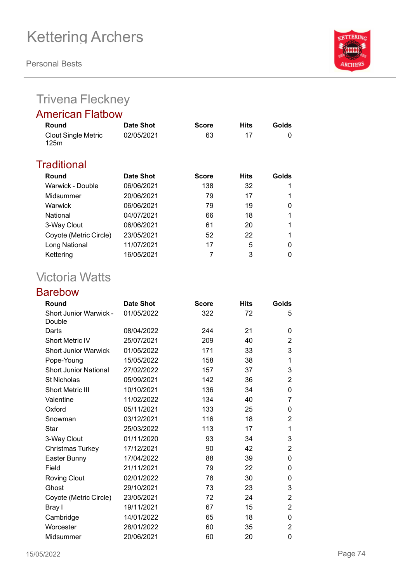**Personal Bests**



## Trivena Fleckney

### American Flatbow

| Round                              | Date Shot  | <b>Score</b> | <b>Hits</b> | Golds |
|------------------------------------|------------|--------------|-------------|-------|
| <b>Clout Single Metric</b><br>125m | 02/05/2021 | 63           | 17          | 0     |
| Traditional                        |            |              |             |       |
| Round                              | Date Shot  | <b>Score</b> | <b>Hits</b> | Golds |
| Warwick - Double                   | 06/06/2021 | 138          | 32          | 1     |
| Midsummer                          | 20/06/2021 | 79           | 17          |       |
| Warwick                            | 06/06/2021 | 79           | 19          | 0     |
| National                           | 04/07/2021 | 66           | 18          | 1     |
| 3-Way Clout                        | 06/06/2021 | 61           | 20          |       |
| Coyote (Metric Circle)             | 23/05/2021 | 52           | 22          |       |
| Long National                      | 11/07/2021 | 17           | 5           | 0     |
| Kettering                          | 16/05/2021 |              | 3           | 0     |

## Victoria Watts

### Barebow

| Round                                   | <b>Date Shot</b> | <b>Score</b> | <b>Hits</b> | Golds          |
|-----------------------------------------|------------------|--------------|-------------|----------------|
| <b>Short Junior Warwick -</b><br>Double | 01/05/2022       | 322          | 72          | 5              |
| Darts                                   | 08/04/2022       | 244          | 21          | 0              |
| <b>Short Metric IV</b>                  | 25/07/2021       | 209          | 40          | 2              |
| <b>Short Junior Warwick</b>             | 01/05/2022       | 171          | 33          | 3              |
| Pope-Young                              | 15/05/2022       | 158          | 38          | 1              |
| <b>Short Junior National</b>            | 27/02/2022       | 157          | 37          | 3              |
| <b>St Nicholas</b>                      | 05/09/2021       | 142          | 36          | 2              |
| <b>Short Metric III</b>                 | 10/10/2021       | 136          | 34          | 0              |
| Valentine                               | 11/02/2022       | 134          | 40          | 7              |
| Oxford                                  | 05/11/2021       | 133          | 25          | 0              |
| Snowman                                 | 03/12/2021       | 116          | 18          | 2              |
| Star                                    | 25/03/2022       | 113          | 17          | 1              |
| 3-Way Clout                             | 01/11/2020       | 93           | 34          | 3              |
| Christmas Turkey                        | 17/12/2021       | 90           | 42          | $\overline{2}$ |
| Easter Bunny                            | 17/04/2022       | 88           | 39          | 0              |
| Field                                   | 21/11/2021       | 79           | 22          | 0              |
| <b>Roving Clout</b>                     | 02/01/2022       | 78           | 30          | 0              |
| Ghost                                   | 29/10/2021       | 73           | 23          | 3              |
| Coyote (Metric Circle)                  | 23/05/2021       | 72           | 24          | $\overline{2}$ |
| Bray I                                  | 19/11/2021       | 67           | 15          | $\overline{2}$ |
| Cambridge                               | 14/01/2022       | 65           | 18          | 0              |
| Worcester                               | 28/01/2022       | 60           | 35          | $\overline{2}$ |
| Midsummer                               | 20/06/2021       | 60           | 20          | 0              |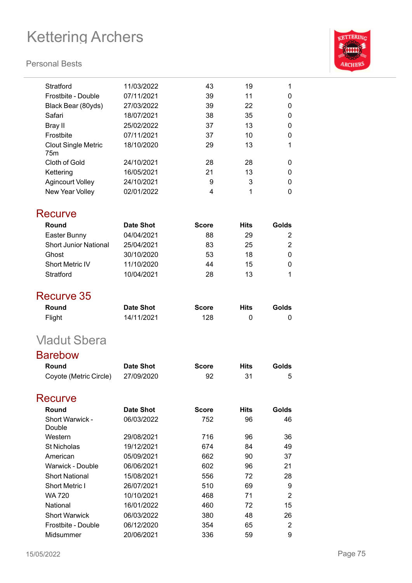# Kettering Archers

#### **Personal Bests**



| 11/03/2022       | 43                                                                                                                                     | 19                                                | 1                                                             |
|------------------|----------------------------------------------------------------------------------------------------------------------------------------|---------------------------------------------------|---------------------------------------------------------------|
| 07/11/2021       | 39                                                                                                                                     | 11                                                | 0                                                             |
| 27/03/2022       | 39                                                                                                                                     | 22                                                | 0                                                             |
| 18/07/2021       | 38                                                                                                                                     | 35                                                | 0                                                             |
| 25/02/2022       | 37                                                                                                                                     | 13                                                | 0                                                             |
| 07/11/2021       | 37                                                                                                                                     | 10                                                | 0                                                             |
| 18/10/2020       | 29                                                                                                                                     | 13                                                | 1                                                             |
| 24/10/2021       | 28                                                                                                                                     | 28                                                | 0                                                             |
| 16/05/2021       | 21                                                                                                                                     | 13                                                | 0                                                             |
|                  | 9                                                                                                                                      |                                                   | 0                                                             |
| 02/01/2022       | 4                                                                                                                                      | 1                                                 | 0                                                             |
|                  |                                                                                                                                        |                                                   |                                                               |
| <b>Date Shot</b> | <b>Score</b>                                                                                                                           | <b>Hits</b>                                       | Golds                                                         |
|                  |                                                                                                                                        | 29                                                | 2                                                             |
|                  |                                                                                                                                        |                                                   | $\overline{c}$                                                |
|                  |                                                                                                                                        |                                                   | 0                                                             |
|                  |                                                                                                                                        |                                                   | 0                                                             |
|                  |                                                                                                                                        |                                                   | 1                                                             |
|                  |                                                                                                                                        |                                                   |                                                               |
|                  |                                                                                                                                        |                                                   |                                                               |
| <b>Date Shot</b> | <b>Score</b>                                                                                                                           | <b>Hits</b>                                       | Golds                                                         |
| 14/11/2021       | 128                                                                                                                                    | 0                                                 | 0                                                             |
|                  |                                                                                                                                        |                                                   |                                                               |
|                  |                                                                                                                                        |                                                   |                                                               |
|                  |                                                                                                                                        |                                                   | Golds                                                         |
| 27/09/2020       | 92                                                                                                                                     | 31                                                | 5                                                             |
|                  |                                                                                                                                        |                                                   |                                                               |
|                  |                                                                                                                                        |                                                   |                                                               |
|                  | <b>Score</b>                                                                                                                           |                                                   | Golds                                                         |
|                  |                                                                                                                                        |                                                   | 46                                                            |
| 29/08/2021       | 716                                                                                                                                    | 96                                                | 36                                                            |
| 19/12/2021       | 674                                                                                                                                    | 84                                                | 49                                                            |
| 05/09/2021       | 662                                                                                                                                    | 90                                                | 37                                                            |
| 06/06/2021       | 602                                                                                                                                    | 96                                                | 21                                                            |
| 15/08/2021       | 556                                                                                                                                    | 72                                                | 28                                                            |
| 26/07/2021       | 510                                                                                                                                    | 69                                                | 9                                                             |
| 10/10/2021       | 468                                                                                                                                    | 71                                                | $\overline{2}$                                                |
| 16/01/2022       | 460                                                                                                                                    | 72                                                | 15                                                            |
|                  |                                                                                                                                        |                                                   |                                                               |
| 06/03/2022       | 380                                                                                                                                    | 48                                                | 26                                                            |
| 06/12/2020       | 354                                                                                                                                    | 65                                                | $\overline{2}$                                                |
|                  | 24/10/2021<br>04/04/2021<br>25/04/2021<br>30/10/2020<br>11/10/2020<br>10/04/2021<br><b>Date Shot</b><br><b>Date Shot</b><br>06/03/2022 | 88<br>83<br>53<br>44<br>28<br><b>Score</b><br>752 | 3<br>25<br>18<br>15<br>13<br><b>Hits</b><br><b>Hits</b><br>96 |